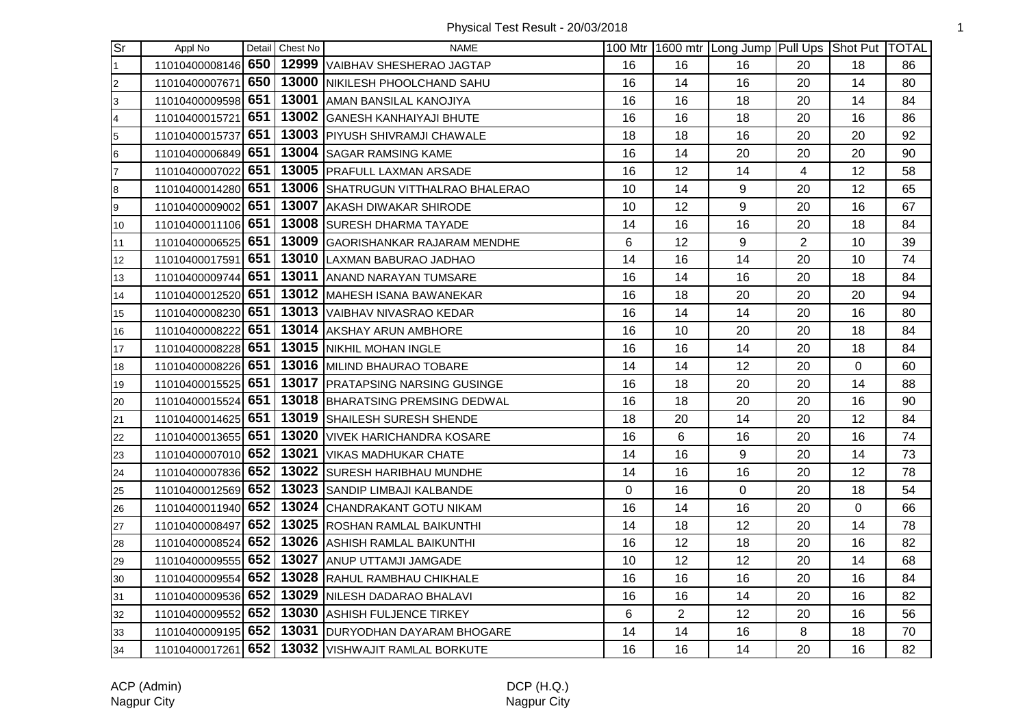Physical Test Result - 20/03/2018 1

| $\overline{\text{Sr}}$  | Appl No            |     | Detail Chest No | <b>NAME</b>                                        |    |                | 100 Mtr   1600 mtr   Long Jump   Pull Ups   Shot Put   TOTAL |                |    |    |
|-------------------------|--------------------|-----|-----------------|----------------------------------------------------|----|----------------|--------------------------------------------------------------|----------------|----|----|
| $\mathbf{1}$            | 11010400008146     | 650 |                 | 12999 VAIBHAV SHESHERAO JAGTAP                     | 16 | 16             | 16                                                           | 20             | 18 | 86 |
| $\overline{c}$          | 11010400007671     | 650 |                 | 13000 NIKILESH PHOOLCHAND SAHU                     | 16 | 14             | 16                                                           | 20             | 14 | 80 |
| 3                       | 11010400009598 651 |     |                 | 13001 AMAN BANSILAL KANOJIYA                       | 16 | 16             | 18                                                           | 20             | 14 | 84 |
| $\overline{\mathbf{4}}$ | 11010400015721     | 651 |                 | 13002 GANESH KANHAIYAJI BHUTE                      | 16 | 16             | 18                                                           | 20             | 16 | 86 |
| 5                       | 11010400015737     | 651 |                 | 13003 PIYUSH SHIVRAMJI CHAWALE                     | 18 | 18             | 16                                                           | 20             | 20 | 92 |
| 6                       | 11010400006849 651 |     |                 | 13004 SAGAR RAMSING KAME                           | 16 | 14             | 20                                                           | 20             | 20 | 90 |
| $\overline{7}$          | 11010400007022 651 |     |                 | 13005 PRAFULL LAXMAN ARSADE                        | 16 | 12             | 14                                                           | 4              | 12 | 58 |
| 8                       | 11010400014280 651 |     |                 | 13006 SHATRUGUN VITTHALRAO BHALERAO                | 10 | 14             | 9                                                            | 20             | 12 | 65 |
| 9                       | 11010400009002     | 651 |                 | 13007 AKASH DIWAKAR SHIRODE                        | 10 | 12             | 9                                                            | 20             | 16 | 67 |
| 10                      | 11010400011106 651 |     |                 | 13008 SURESH DHARMA TAYADE                         | 14 | 16             | 16                                                           | 20             | 18 | 84 |
| 11                      | 11010400006525     | 651 |                 | 13009 GAORISHANKAR RAJARAM MENDHE                  | 6  | 12             | 9                                                            | $\overline{2}$ | 10 | 39 |
| 12                      | 11010400017591 651 |     |                 | 13010 LAXMAN BABURAO JADHAO                        | 14 | 16             | 14                                                           | 20             | 10 | 74 |
| 13                      | 11010400009744 651 |     |                 | 13011 ANAND NARAYAN TUMSARE                        | 16 | 14             | 16                                                           | 20             | 18 | 84 |
| 14                      | 11010400012520 651 |     |                 | 13012 MAHESH ISANA BAWANEKAR                       | 16 | 18             | 20                                                           | 20             | 20 | 94 |
| 15                      | 11010400008230 651 |     |                 | 13013 VAIBHAV NIVASRAO KEDAR                       | 16 | 14             | 14                                                           | 20             | 16 | 80 |
| 16                      | 11010400008222     | 651 |                 | 13014 AKSHAY ARUN AMBHORE                          | 16 | 10             | 20                                                           | 20             | 18 | 84 |
| 17                      | 11010400008228 651 |     |                 | 13015 NIKHIL MOHAN INGLE                           | 16 | 16             | 14                                                           | 20             | 18 | 84 |
| 18                      | 11010400008226 651 |     |                 | 13016 MILIND BHAURAO TOBARE                        | 14 | 14             | 12                                                           | 20             | 0  | 60 |
| 19                      | 11010400015525 651 |     |                 | 13017 PRATAPSING NARSING GUSINGE                   | 16 | 18             | 20                                                           | 20             | 14 | 88 |
| 20                      | 11010400015524 651 |     |                 | 13018 BHARATSING PREMSING DEDWAL                   | 16 | 18             | 20                                                           | 20             | 16 | 90 |
| 21                      | 11010400014625 651 |     |                 | 13019 SHAILESH SURESH SHENDE                       | 18 | 20             | 14                                                           | 20             | 12 | 84 |
| 22                      | 11010400013655 651 |     |                 | 13020 VIVEK HARICHANDRA KOSARE                     | 16 | 6              | 16                                                           | 20             | 16 | 74 |
| 23                      | 11010400007010 652 |     |                 | 13021 VIKAS MADHUKAR CHATE                         | 14 | 16             | 9                                                            | 20             | 14 | 73 |
| 24                      | 11010400007836 652 |     |                 | 13022 SURESH HARIBHAU MUNDHE                       | 14 | 16             | 16                                                           | 20             | 12 | 78 |
| 25                      | 11010400012569 652 |     |                 | 13023 SANDIP LIMBAJI KALBANDE                      | 0  | 16             | 0                                                            | 20             | 18 | 54 |
| 26                      | 11010400011940 652 |     |                 | 13024 CHANDRAKANT GOTU NIKAM                       | 16 | 14             | 16                                                           | 20             | 0  | 66 |
| 27                      | 11010400008497     | 652 |                 | 13025 ROSHAN RAMLAL BAIKUNTHI                      | 14 | 18             | 12                                                           | 20             | 14 | 78 |
| 28                      | 11010400008524 652 |     |                 | 13026 ASHISH RAMLAL BAIKUNTHI                      | 16 | 12             | 18                                                           | 20             | 16 | 82 |
| 29                      | 11010400009555 652 |     |                 | 13027 ANUP UTTAMJI JAMGADE                         | 10 | 12             | 12                                                           | 20             | 14 | 68 |
| 30                      | 11010400009554 652 |     |                 | 13028 RAHUL RAMBHAU CHIKHALE                       | 16 | 16             | 16                                                           | 20             | 16 | 84 |
| 31                      | 11010400009536     | 652 |                 | 13029 NILESH DADARAO BHALAVI                       | 16 | 16             | 14                                                           | 20             | 16 | 82 |
| 32                      | 11010400009552     | 652 |                 | 13030 ASHISH FULJENCE TIRKEY                       | 6  | $\overline{2}$ | 12                                                           | 20             | 16 | 56 |
| 33                      |                    |     |                 | 11010400009195 652 13031 DURYODHAN DAYARAM BHOGARE | 14 | 14             | 16                                                           | 8              | 18 | 70 |
| 34                      |                    |     |                 | 11010400017261 652 13032 VISHWAJIT RAMLAL BORKUTE  | 16 | 16             | 14                                                           | 20             | 16 | 82 |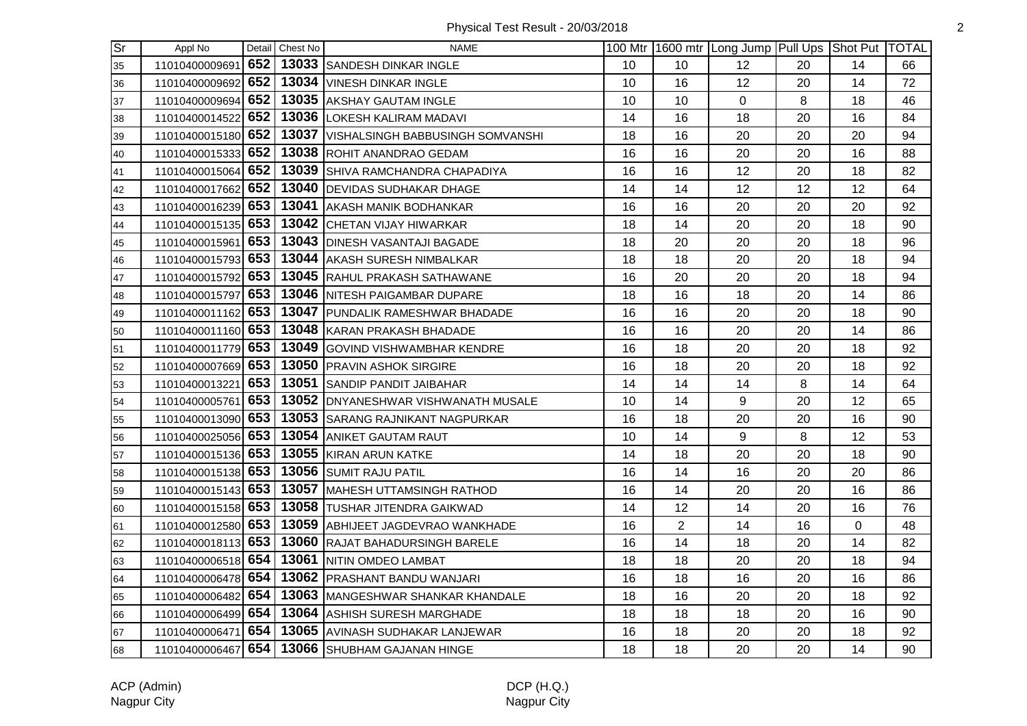| $\overline{\mathsf{Sr}}$ | Appl No            |     | Detail Chest No | <b>NAME</b>                              |    |                | 100 Mtr   1600 mtr   Long Jump   Pull Ups   Shot Put   TOTAL |    |    |    |
|--------------------------|--------------------|-----|-----------------|------------------------------------------|----|----------------|--------------------------------------------------------------|----|----|----|
| 35                       | 11010400009691     | 652 |                 | 13033 SANDESH DINKAR INGLE               | 10 | 10             | 12                                                           | 20 | 14 | 66 |
| 36                       | 11010400009692 652 |     |                 | 13034 VINESH DINKAR INGLE                | 10 | 16             | 12                                                           | 20 | 14 | 72 |
| 37                       | 11010400009694     | 652 |                 | 13035 AKSHAY GAUTAM INGLE                | 10 | 10             | $\mathbf 0$                                                  | 8  | 18 | 46 |
| 38                       | 11010400014522     | 652 |                 | 13036 LOKESH KALIRAM MADAVI              | 14 | 16             | 18                                                           | 20 | 16 | 84 |
| 39                       | 11010400015180 652 |     |                 | 13037   VISHALSINGH BABBUSINGH SOMVANSHI | 18 | 16             | 20                                                           | 20 | 20 | 94 |
| 40                       | 11010400015333 652 |     |                 | 13038 ROHIT ANANDRAO GEDAM               | 16 | 16             | 20                                                           | 20 | 16 | 88 |
| 41                       | 11010400015064 652 |     |                 | 13039 SHIVA RAMCHANDRA CHAPADIYA         | 16 | 16             | 12                                                           | 20 | 18 | 82 |
| 42                       | 11010400017662 652 |     |                 | 13040 DEVIDAS SUDHAKAR DHAGE             | 14 | 14             | 12                                                           | 12 | 12 | 64 |
| 43                       | 11010400016239 653 |     | 13041           | <b>AKASH MANIK BODHANKAR</b>             | 16 | 16             | 20                                                           | 20 | 20 | 92 |
| 44                       | 11010400015135 653 |     |                 | 13042 CHETAN VIJAY HIWARKAR              | 18 | 14             | 20                                                           | 20 | 18 | 90 |
| 45                       | 11010400015961     | 653 |                 | 13043 DINESH VASANTAJI BAGADE            | 18 | 20             | 20                                                           | 20 | 18 | 96 |
| 46                       | 11010400015793 653 |     |                 | 13044 AKASH SURESH NIMBALKAR             | 18 | 18             | 20                                                           | 20 | 18 | 94 |
| 47                       | 11010400015792 653 |     |                 | 13045 RAHUL PRAKASH SATHAWANE            | 16 | 20             | 20                                                           | 20 | 18 | 94 |
| 48                       | 11010400015797 653 |     |                 | 13046 NITESH PAIGAMBAR DUPARE            | 18 | 16             | 18                                                           | 20 | 14 | 86 |
| 49                       | 11010400011162 653 |     |                 | 13047 PUNDALIK RAMESHWAR BHADADE         | 16 | 16             | 20                                                           | 20 | 18 | 90 |
| 50                       | 11010400011160 653 |     |                 | 13048 KARAN PRAKASH BHADADE              | 16 | 16             | 20                                                           | 20 | 14 | 86 |
| 51                       | 11010400011779 653 |     |                 | 13049 GOVIND VISHWAMBHAR KENDRE          | 16 | 18             | 20                                                           | 20 | 18 | 92 |
| 52                       | 11010400007669 653 |     |                 | 13050 PRAVIN ASHOK SIRGIRE               | 16 | 18             | 20                                                           | 20 | 18 | 92 |
| 53                       | 11010400013221 653 |     |                 | 13051 SANDIP PANDIT JAIBAHAR             | 14 | 14             | 14                                                           | 8  | 14 | 64 |
| 54                       | 11010400005761 653 |     |                 | 13052 DNYANESHWAR VISHWANATH MUSALE      | 10 | 14             | 9                                                            | 20 | 12 | 65 |
| 55                       | 11010400013090 653 |     |                 | 13053 SARANG RAJNIKANT NAGPURKAR         | 16 | 18             | 20                                                           | 20 | 16 | 90 |
| 56                       | 11010400025056 653 |     |                 | 13054 ANIKET GAUTAM RAUT                 | 10 | 14             | 9                                                            | 8  | 12 | 53 |
| 57                       | 11010400015136 653 |     |                 | 13055 KIRAN ARUN KATKE                   | 14 | 18             | 20                                                           | 20 | 18 | 90 |
| 58                       | 11010400015138 653 |     |                 | 13056 SUMIT RAJU PATIL                   | 16 | 14             | 16                                                           | 20 | 20 | 86 |
| 59                       | 11010400015143 653 |     |                 | 13057   MAHESH UTTAMSINGH RATHOD         | 16 | 14             | 20                                                           | 20 | 16 | 86 |
| 60                       | 11010400015158 653 |     |                 | 13058 TUSHAR JITENDRA GAIKWAD            | 14 | 12             | 14                                                           | 20 | 16 | 76 |
| 61                       | 11010400012580 653 |     |                 | 13059 ABHIJEET JAGDEVRAO WANKHADE        | 16 | $\overline{2}$ | 14                                                           | 16 | 0  | 48 |
| 62                       | 11010400018113 653 |     |                 | 13060 RAJAT BAHADURSINGH BARELE          | 16 | 14             | 18                                                           | 20 | 14 | 82 |
| 63                       | 11010400006518 654 |     |                 | 13061 NITIN OMDEO LAMBAT                 | 18 | 18             | 20                                                           | 20 | 18 | 94 |
| 64                       | 11010400006478 654 |     |                 | 13062 PRASHANT BANDU WANJARI             | 16 | 18             | 16                                                           | 20 | 16 | 86 |
| 65                       | 11010400006482 654 |     |                 | 13063 MANGESHWAR SHANKAR KHANDALE        | 18 | 16             | 20                                                           | 20 | 18 | 92 |
| 66                       | 11010400006499 654 |     |                 | 13064 ASHISH SURESH MARGHADE             | 18 | 18             | 18                                                           | 20 | 16 | 90 |
| 67                       | 11010400006471     | 654 |                 | 13065 AVINASH SUDHAKAR LANJEWAR          | 16 | 18             | 20                                                           | 20 | 18 | 92 |
| 68                       | 11010400006467 654 |     |                 | 13066 SHUBHAM GAJANAN HINGE              | 18 | 18             | 20                                                           | 20 | 14 | 90 |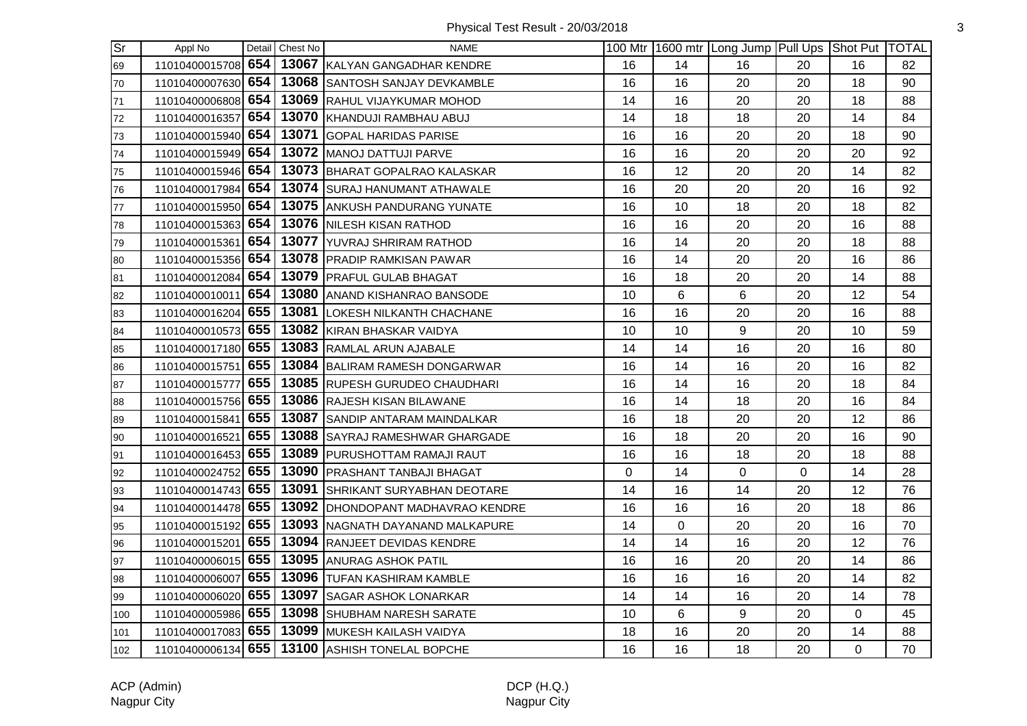| Sr  | Appl No            |     | Detail Chest No | <b>NAME</b>                                    |    |    | 100 Mtr 1600 mtr Long Jump Pull Ups Shot Put TOTAL |    |                |    |
|-----|--------------------|-----|-----------------|------------------------------------------------|----|----|----------------------------------------------------|----|----------------|----|
| 69  | 11010400015708 654 |     |                 | 13067 KALYAN GANGADHAR KENDRE                  | 16 | 14 | 16                                                 | 20 | 16             | 82 |
| 70  | 11010400007630 654 |     |                 | 13068 SANTOSH SANJAY DEVKAMBLE                 | 16 | 16 | 20                                                 | 20 | 18             | 90 |
| 71  | 11010400006808 654 |     |                 | 13069 RAHUL VIJAYKUMAR MOHOD                   | 14 | 16 | 20                                                 | 20 | 18             | 88 |
| 72  | 11010400016357     | 654 |                 | 13070 KHANDUJI RAMBHAU ABUJ                    | 14 | 18 | 18                                                 | 20 | 14             | 84 |
| 73  | 11010400015940 654 |     |                 | 13071 GOPAL HARIDAS PARISE                     | 16 | 16 | 20                                                 | 20 | 18             | 90 |
| 74  | 11010400015949 654 |     |                 | 13072 MANOJ DATTUJI PARVE                      | 16 | 16 | 20                                                 | 20 | 20             | 92 |
| 75  | 11010400015946 654 |     |                 | 13073 BHARAT GOPALRAO KALASKAR                 | 16 | 12 | 20                                                 | 20 | 14             | 82 |
| 76  | 11010400017984 654 |     |                 | 13074 SURAJ HANUMANT ATHAWALE                  | 16 | 20 | 20                                                 | 20 | 16             | 92 |
| 77  | 11010400015950 654 |     |                 | 13075 ANKUSH PANDURANG YUNATE                  | 16 | 10 | 18                                                 | 20 | 18             | 82 |
| 78  | 11010400015363 654 |     |                 | 13076 NILESH KISAN RATHOD                      | 16 | 16 | 20                                                 | 20 | 16             | 88 |
| 79  | 11010400015361     | 654 |                 | 13077 YUVRAJ SHRIRAM RATHOD                    | 16 | 14 | 20                                                 | 20 | 18             | 88 |
| 80  | 11010400015356 654 |     |                 | 13078 PRADIP RAMKISAN PAWAR                    | 16 | 14 | 20                                                 | 20 | 16             | 86 |
| 81  | 11010400012084 654 |     |                 | 13079   PRAFUL GULAB BHAGAT                    | 16 | 18 | 20                                                 | 20 | 14             | 88 |
| 82  | 11010400010011 654 |     |                 | 13080 ANAND KISHANRAO BANSODE                  | 10 | 6  | 6                                                  | 20 | 12             | 54 |
| 83  | 11010400016204 655 |     |                 | 13081 LOKESH NILKANTH CHACHANE                 | 16 | 16 | 20                                                 | 20 | 16             | 88 |
| 84  | 11010400010573 655 |     |                 | 13082 KIRAN BHASKAR VAIDYA                     | 10 | 10 | 9                                                  | 20 | 10             | 59 |
| 85  | 11010400017180 655 |     |                 | 13083 RAMLAL ARUN AJABALE                      | 14 | 14 | 16                                                 | 20 | 16             | 80 |
| 86  | 11010400015751 655 |     |                 | 13084 BALIRAM RAMESH DONGARWAR                 | 16 | 14 | 16                                                 | 20 | 16             | 82 |
| 87  | 11010400015777     | 655 |                 | 13085 RUPESH GURUDEO CHAUDHARI                 | 16 | 14 | 16                                                 | 20 | 18             | 84 |
| 88  | 11010400015756 655 |     |                 | 13086 RAJESH KISAN BILAWANE                    | 16 | 14 | 18                                                 | 20 | 16             | 84 |
| 89  | 11010400015841 655 |     |                 | 13087 SANDIP ANTARAM MAINDALKAR                | 16 | 18 | 20                                                 | 20 | 12             | 86 |
| 90  | 11010400016521 655 |     |                 | 13088 SAYRAJ RAMESHWAR GHARGADE                | 16 | 18 | 20                                                 | 20 | 16             | 90 |
| 91  | 11010400016453 655 |     |                 | 13089 PURUSHOTTAM RAMAJI RAUT                  | 16 | 16 | 18                                                 | 20 | 18             | 88 |
| 92  | 11010400024752 655 |     |                 | 13090 PRASHANT TANBAJI BHAGAT                  | 0  | 14 | $\mathbf 0$                                        | 0  | 14             | 28 |
| 93  | 11010400014743 655 |     |                 | 13091 SHRIKANT SURYABHAN DEOTARE               | 14 | 16 | 14                                                 | 20 | 12             | 76 |
| 94  | 11010400014478 655 |     |                 | 13092   DHONDOPANT MADHAVRAO KENDRE            | 16 | 16 | 16                                                 | 20 | 18             | 86 |
| 95  | 11010400015192 655 |     |                 | 13093 NAGNATH DAYANAND MALKAPURE               | 14 | 0  | 20                                                 | 20 | 16             | 70 |
| 96  | 11010400015201 655 |     |                 | 13094 RANJEET DEVIDAS KENDRE                   | 14 | 14 | 16                                                 | 20 | 12             | 76 |
| 97  | 11010400006015 655 |     |                 | 13095 ANURAG ASHOK PATIL                       | 16 | 16 | 20                                                 | 20 | 14             | 86 |
| 98  | 11010400006007 655 |     |                 | 13096 TUFAN KASHIRAM KAMBLE                    | 16 | 16 | 16                                                 | 20 | 14             | 82 |
| 99  | 11010400006020 655 |     |                 | 13097 SAGAR ASHOK LONARKAR                     | 14 | 14 | 16                                                 | 20 | 14             | 78 |
| 100 | 11010400005986 655 |     |                 | 13098 SHUBHAM NARESH SARATE                    | 10 | 6  | 9                                                  | 20 | 0              | 45 |
| 101 | 11010400017083 655 |     |                 | 13099 MUKESH KAILASH VAIDYA                    | 18 | 16 | 20                                                 | 20 | 14             | 88 |
| 102 |                    |     |                 | 11010400006134 655 13100 ASHISH TONELAL BOPCHE | 16 | 16 | 18                                                 | 20 | $\overline{0}$ | 70 |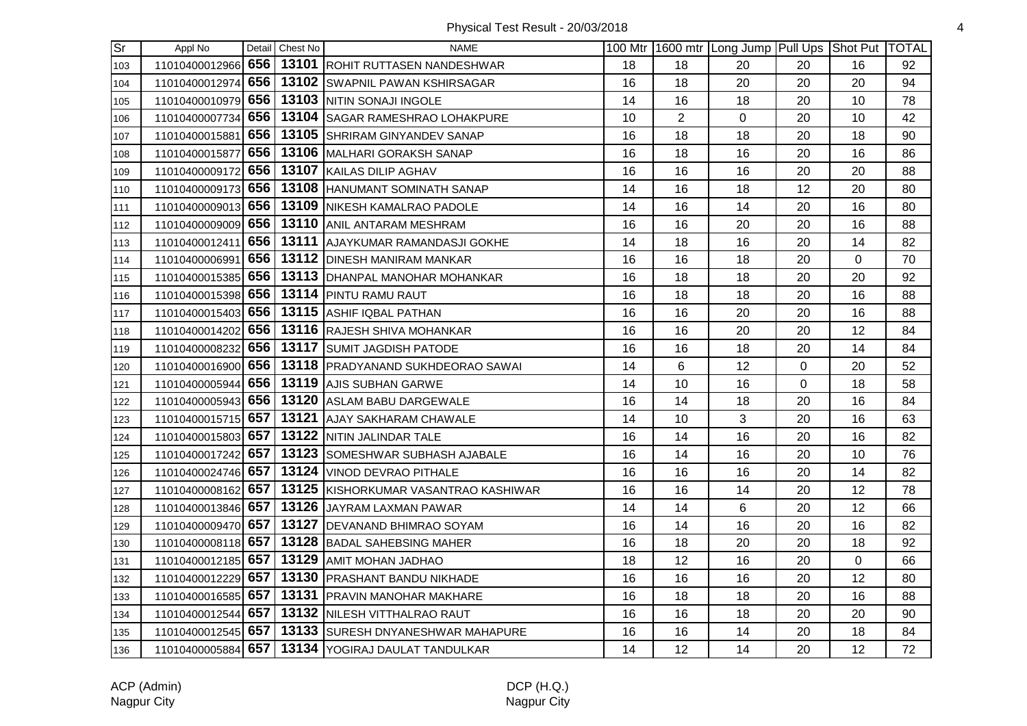| Sr] | Appl No            | Detail Chest No | <b>NAME</b>                                          |    |                | 100 Mtr 1600 mtr Long Jump Pull Ups Shot Put TOTAL |             |                |    |
|-----|--------------------|-----------------|------------------------------------------------------|----|----------------|----------------------------------------------------|-------------|----------------|----|
| 103 |                    |                 | 11010400012966 656 13101 ROHIT RUTTASEN NANDESHWAR   | 18 | 18             | 20                                                 | 20          | 16             | 92 |
| 104 | 11010400012974     |                 | 656   13102 SWAPNIL PAWAN KSHIRSAGAR                 | 16 | 18             | 20                                                 | 20          | 20             | 94 |
| 105 | 11010400010979 656 |                 | 13103 NITIN SONAJI INGOLE                            | 14 | 16             | 18                                                 | 20          | 10             | 78 |
| 106 | 11010400007734     |                 | 656   13104 SAGAR RAMESHRAO LOHAKPURE                | 10 | $\overline{2}$ | $\mathbf 0$                                        | 20          | 10             | 42 |
| 107 |                    |                 | 11010400015881 656 13105 SHRIRAM GINYANDEV SANAP     | 16 | 18             | 18                                                 | 20          | 18             | 90 |
| 108 | 11010400015877 656 |                 | 13106 MALHARI GORAKSH SANAP                          | 16 | 18             | 16                                                 | 20          | 16             | 86 |
| 109 | 11010400009172 656 |                 | 13107 KAILAS DILIP AGHAV                             | 16 | 16             | 16                                                 | 20          | 20             | 88 |
| 110 | 11010400009173 656 |                 | 13108 HANUMANT SOMINATH SANAP                        | 14 | 16             | 18                                                 | 12          | 20             | 80 |
| 111 | 11010400009013 656 |                 | 13109 NIKESH KAMALRAO PADOLE                         | 14 | 16             | 14                                                 | 20          | 16             | 80 |
| 112 | 11010400009009 656 |                 | 13110 ANIL ANTARAM MESHRAM                           | 16 | 16             | 20                                                 | 20          | 16             | 88 |
| 113 |                    |                 | 11010400012411 656 13111 AJAYKUMAR RAMANDASJI GOKHE  | 14 | 18             | 16                                                 | 20          | 14             | 82 |
| 114 | 11010400006991     |                 | 656   13112   DINESH MANIRAM MANKAR                  | 16 | 16             | 18                                                 | 20          | $\overline{0}$ | 70 |
| 115 | 11010400015385 656 |                 | 13113 DHANPAL MANOHAR MOHANKAR                       | 16 | 18             | 18                                                 | 20          | 20             | 92 |
| 116 | 11010400015398 656 |                 | 13114 PINTU RAMU RAUT                                | 16 | 18             | 18                                                 | 20          | 16             | 88 |
| 117 |                    |                 | 11010400015403 656 13115 ASHIF IQBAL PATHAN          | 16 | 16             | 20                                                 | 20          | 16             | 88 |
| 118 | 11010400014202 656 |                 | 13116 RAJESH SHIVA MOHANKAR                          | 16 | 16             | 20                                                 | 20          | 12             | 84 |
| 119 | 11010400008232 656 |                 | 13117 SUMIT JAGDISH PATODE                           | 16 | 16             | 18                                                 | 20          | 14             | 84 |
| 120 | 11010400016900 656 |                 | 13118 PRADYANAND SUKHDEORAO SAWAI                    | 14 | 6              | 12                                                 | $\Omega$    | 20             | 52 |
| 121 |                    |                 | 11010400005944 656   13119 AJIS SUBHAN GARWE         | 14 | 10             | 16                                                 | $\mathbf 0$ | 18             | 58 |
| 122 |                    |                 | 11010400005943 656 13120 ASLAM BABU DARGEWALE        | 16 | 14             | 18                                                 | 20          | 16             | 84 |
| 123 | 11010400015715 657 |                 | 13121 AJAY SAKHARAM CHAWALE                          | 14 | 10             | 3                                                  | 20          | 16             | 63 |
| 124 | 11010400015803 657 |                 | 13122 NITIN JALINDAR TALE                            | 16 | 14             | 16                                                 | 20          | 16             | 82 |
| 125 |                    |                 | 11010400017242 657 13123 SOMESHWAR SUBHASH AJABALE   | 16 | 14             | 16                                                 | 20          | 10             | 76 |
| 126 | 11010400024746 657 |                 | 13124 VINOD DEVRAO PITHALE                           | 16 | 16             | 16                                                 | 20          | 14             | 82 |
| 127 | 11010400008162 657 |                 | 13125 KISHORKUMAR VASANTRAO KASHIWAR                 | 16 | 16             | 14                                                 | 20          | 12             | 78 |
| 128 | 11010400013846 657 |                 | 13126 JAYRAM LAXMAN PAWAR                            | 14 | 14             | 6                                                  | 20          | 12             | 66 |
| 129 | 11010400009470 657 |                 | 13127 DEVANAND BHIMRAO SOYAM                         | 16 | 14             | 16                                                 | 20          | 16             | 82 |
| 130 | 11010400008118 657 |                 | 13128 BADAL SAHEBSING MAHER                          | 16 | 18             | 20                                                 | 20          | 18             | 92 |
| 131 | 11010400012185 657 |                 | 13129 AMIT MOHAN JADHAO                              | 18 | 12             | 16                                                 | 20          | $\Omega$       | 66 |
| 132 |                    |                 | 11010400012229 657   13130 PRASHANT BANDU NIKHADE    | 16 | 16             | 16                                                 | 20          | 12             | 80 |
| 133 | 11010400016585 657 |                 | 13131 PRAVIN MANOHAR MAKHARE                         | 16 | 18             | 18                                                 | 20          | 16             | 88 |
| 134 | 11010400012544 657 |                 | 13132 NILESH VITTHALRAO RAUT                         | 16 | 16             | 18                                                 | 20          | 20             | 90 |
| 135 |                    |                 | 11010400012545 657 13133 SURESH DNYANESHWAR MAHAPURE | 16 | 16             | 14                                                 | 20          | 18             | 84 |
| 136 |                    |                 | 11010400005884 657 13134 YOGIRAJ DAULAT TANDULKAR    | 14 | 12             | 14                                                 | 20          | 12             | 72 |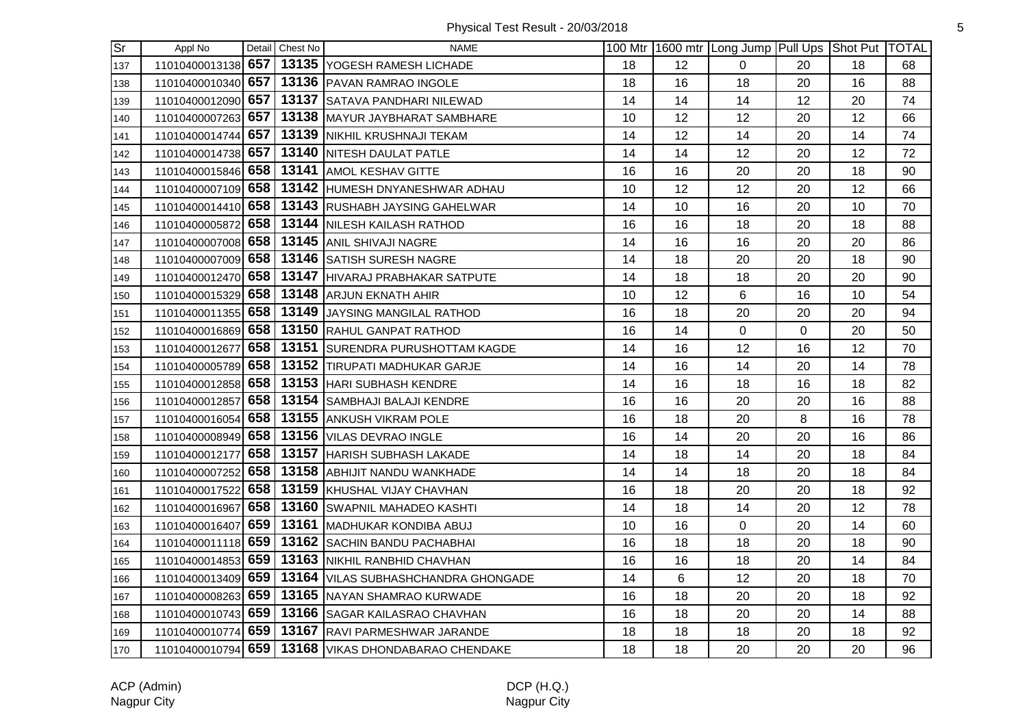| $\overline{\text{Sr}}$ | Appl No            |     | Detail Chest No | <b>NAME</b>                                         |    |    | 100 Mtr   1600 mtr   Long Jump   Pull Ups   Shot Put   TOTAL |                |    |    |
|------------------------|--------------------|-----|-----------------|-----------------------------------------------------|----|----|--------------------------------------------------------------|----------------|----|----|
| 137                    |                    |     |                 | 11010400013138 657 13135 YOGESH RAMESH LICHADE      | 18 | 12 | 0                                                            | 20             | 18 | 68 |
| 138                    |                    |     |                 | 11010400010340 657 13136 PAVAN RAMRAO INGOLE        | 18 | 16 | 18                                                           | 20             | 16 | 88 |
| 139                    | 11010400012090 657 |     |                 | 13137 SATAVA PANDHARI NILEWAD                       | 14 | 14 | 14                                                           | 12             | 20 | 74 |
| 140                    | 11010400007263 657 |     |                 | 13138 MAYUR JAYBHARAT SAMBHARE                      | 10 | 12 | 12                                                           | 20             | 12 | 66 |
| 141                    | 11010400014744 657 |     |                 | 13139 NIKHIL KRUSHNAJI TEKAM                        | 14 | 12 | 14                                                           | 20             | 14 | 74 |
| 142                    | 11010400014738 657 |     |                 | 13140 NITESH DAULAT PATLE                           | 14 | 14 | 12                                                           | 20             | 12 | 72 |
| 143                    | 11010400015846 658 |     |                 | 13141 AMOL KESHAV GITTE                             | 16 | 16 | 20                                                           | 20             | 18 | 90 |
| 144                    | 11010400007109 658 |     |                 | 13142 HUMESH DNYANESHWAR ADHAU                      | 10 | 12 | 12                                                           | 20             | 12 | 66 |
| 145                    | 11010400014410 658 |     |                 | 13143 RUSHABH JAYSING GAHELWAR                      | 14 | 10 | 16                                                           | 20             | 10 | 70 |
| 146                    | 11010400005872 658 |     |                 | 13144 NILESH KAILASH RATHOD                         | 16 | 16 | 18                                                           | 20             | 18 | 88 |
| 147                    |                    |     |                 | 11010400007008 658 13145 ANIL SHIVAJI NAGRE         | 14 | 16 | 16                                                           | 20             | 20 | 86 |
| 148                    | 11010400007009 658 |     |                 | 13146 SATISH SURESH NAGRE                           | 14 | 18 | 20                                                           | 20             | 18 | 90 |
| 149                    | 11010400012470 658 |     |                 | 13147 HIVARAJ PRABHAKAR SATPUTE                     | 14 | 18 | 18                                                           | 20             | 20 | 90 |
| 150                    | 11010400015329 658 |     |                 | 13148 ARJUN EKNATH AHIR                             | 10 | 12 | 6                                                            | 16             | 10 | 54 |
| 151                    | 11010400011355 658 |     |                 | 13149 JAYSING MANGILAL RATHOD                       | 16 | 18 | 20                                                           | 20             | 20 | 94 |
| 152                    | 11010400016869 658 |     |                 | 13150 RAHUL GANPAT RATHOD                           | 16 | 14 | $\mathbf 0$                                                  | $\overline{0}$ | 20 | 50 |
| 153                    | 11010400012677     | 658 |                 | 13151 SURENDRA PURUSHOTTAM KAGDE                    | 14 | 16 | 12                                                           | 16             | 12 | 70 |
| 154                    | 11010400005789 658 |     |                 | 13152 TIRUPATI MADHUKAR GARJE                       | 14 | 16 | 14                                                           | 20             | 14 | 78 |
| 155                    |                    |     |                 | 11010400012858 658 13153 HARI SUBHASH KENDRE        | 14 | 16 | 18                                                           | 16             | 18 | 82 |
| 156                    | 11010400012857 658 |     |                 | 13154 SAMBHAJI BALAJI KENDRE                        | 16 | 16 | 20                                                           | 20             | 16 | 88 |
| 157                    | 11010400016054 658 |     |                 | 13155 ANKUSH VIKRAM POLE                            | 16 | 18 | 20                                                           | 8              | 16 | 78 |
| 158                    | 11010400008949 658 |     |                 | 13156 VILAS DEVRAO INGLE                            | 16 | 14 | 20                                                           | 20             | 16 | 86 |
| 159                    | 11010400012177 658 |     |                 | 13157 HARISH SUBHASH LAKADE                         | 14 | 18 | 14                                                           | 20             | 18 | 84 |
| 160                    | 11010400007252 658 |     |                 | 13158 ABHIJIT NANDU WANKHADE                        | 14 | 14 | 18                                                           | 20             | 18 | 84 |
| 161                    | 11010400017522 658 |     |                 | 13159 KHUSHAL VIJAY CHAVHAN                         | 16 | 18 | 20                                                           | 20             | 18 | 92 |
| 162                    | 11010400016967     | 658 |                 | 13160 SWAPNIL MAHADEO KASHTI                        | 14 | 18 | 14                                                           | 20             | 12 | 78 |
| 163                    | 11010400016407 659 |     |                 | 13161 MADHUKAR KONDIBA ABUJ                         | 10 | 16 | $\mathbf 0$                                                  | 20             | 14 | 60 |
| 164                    | 11010400011118 659 |     |                 | 13162 SACHIN BANDU PACHABHAI                        | 16 | 18 | 18                                                           | 20             | 18 | 90 |
| 165                    |                    |     |                 | 11010400014853 659 13163 NIKHIL RANBHID CHAVHAN     | 16 | 16 | 18                                                           | 20             | 14 | 84 |
| 166                    | 11010400013409 659 |     |                 | 13164 VILAS SUBHASHCHANDRA GHONGADE                 | 14 | 6  | 12                                                           | 20             | 18 | 70 |
| 167                    | 11010400008263 659 |     |                 | 13165 NAYAN SHAMRAO KURWADE                         | 16 | 18 | 20                                                           | 20             | 18 | 92 |
| 168                    | 11010400010743 659 |     |                 | 13166 SAGAR KAILASRAO CHAVHAN                       | 16 | 18 | 20                                                           | 20             | 14 | 88 |
| 169                    |                    |     |                 | 11010400010774 659 13167 RAVI PARMESHWAR JARANDE    | 18 | 18 | 18                                                           | 20             | 18 | 92 |
| 170                    |                    |     |                 | 11010400010794 659 13168 VIKAS DHONDABARAO CHENDAKE | 18 | 18 | 20                                                           | 20             | 20 | 96 |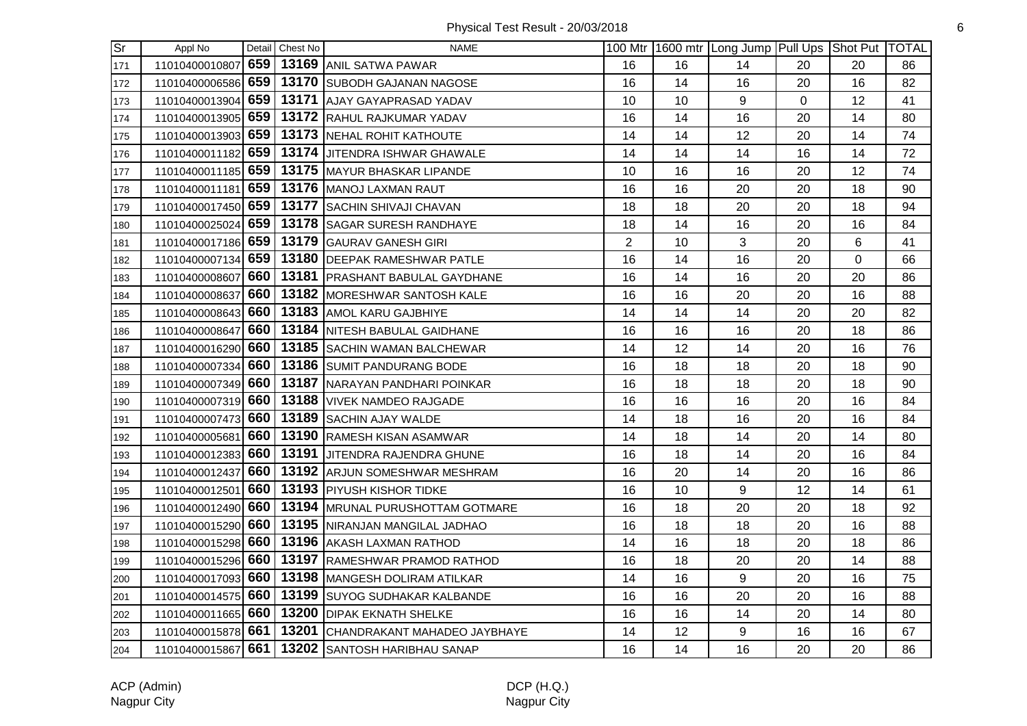| <b>Sr</b> | Appl No            |     | Detail Chest No | <b>NAME</b>                                     |                |    | 100 Mtr 1600 mtr Long Jump Pull Ups Shot Put TOTAL |                |                |    |
|-----------|--------------------|-----|-----------------|-------------------------------------------------|----------------|----|----------------------------------------------------|----------------|----------------|----|
| 171       | 11010400010807     | 659 |                 | 13169 ANIL SATWA PAWAR                          | 16             | 16 | 14                                                 | 20             | 20             | 86 |
| 172       | 11010400006586     | 659 |                 | 13170 SUBODH GAJANAN NAGOSE                     | 16             | 14 | 16                                                 | 20             | 16             | 82 |
| 173       | 11010400013904     | 659 |                 | 13171 AJAY GAYAPRASAD YADAV                     | 10             | 10 | 9                                                  | $\overline{0}$ | 12             | 41 |
| 174       | 11010400013905 659 |     |                 | 13172 RAHUL RAJKUMAR YADAV                      | 16             | 14 | 16                                                 | 20             | 14             | 80 |
| 175       | 11010400013903     | 659 |                 | 13173 NEHAL ROHIT KATHOUTE                      | 14             | 14 | 12                                                 | 20             | 14             | 74 |
| 176       | 11010400011182 659 |     |                 | 13174 JJITENDRA ISHWAR GHAWALE                  | 14             | 14 | 14                                                 | 16             | 14             | 72 |
| 177       | 11010400011185 659 |     |                 | 13175 MAYUR BHASKAR LIPANDE                     | 10             | 16 | 16                                                 | 20             | 12             | 74 |
| 178       | 11010400011181 659 |     |                 | 13176 MANOJ LAXMAN RAUT                         | 16             | 16 | 20                                                 | 20             | 18             | 90 |
| 179       | 11010400017450 659 |     |                 | 13177 SACHIN SHIVAJI CHAVAN                     | 18             | 18 | 20                                                 | 20             | 18             | 94 |
| 180       | 11010400025024 659 |     |                 | 13178 SAGAR SURESH RANDHAYE                     | 18             | 14 | 16                                                 | 20             | 16             | 84 |
| 181       | 11010400017186 659 |     |                 | 13179 GAURAV GANESH GIRI                        | $\overline{2}$ | 10 | 3                                                  | 20             | 6              | 41 |
| 182       | 11010400007134     | 659 |                 | 13180 DEEPAK RAMESHWAR PATLE                    | 16             | 14 | 16                                                 | 20             | $\overline{0}$ | 66 |
| 183       | 11010400008607     | 660 |                 | 13181   PRASHANT BABULAL GAYDHANE               | 16             | 14 | 16                                                 | 20             | 20             | 86 |
| 184       | 11010400008637 660 |     |                 | 13182 MORESHWAR SANTOSH KALE                    | 16             | 16 | 20                                                 | 20             | 16             | 88 |
| 185       | 11010400008643 660 |     |                 | 13183 AMOL KARU GAJBHIYE                        | 14             | 14 | 14                                                 | 20             | 20             | 82 |
| 186       | 11010400008647 660 |     |                 | 13184 NITESH BABULAL GAIDHANE                   | 16             | 16 | 16                                                 | 20             | 18             | 86 |
| 187       | 11010400016290     | 660 |                 | 13185 SACHIN WAMAN BALCHEWAR                    | 14             | 12 | 14                                                 | 20             | 16             | 76 |
| 188       | 11010400007334     | 660 |                 | 13186 SUMIT PANDURANG BODE                      | 16             | 18 | 18                                                 | 20             | 18             | 90 |
| 189       | 11010400007349 660 |     |                 | 13187 NARAYAN PANDHARI POINKAR                  | 16             | 18 | 18                                                 | 20             | 18             | 90 |
| 190       | 11010400007319 660 |     |                 | 13188   VIVEK NAMDEO RAJGADE                    | 16             | 16 | 16                                                 | 20             | 16             | 84 |
| 191       | 11010400007473 660 |     |                 | 13189 SACHIN AJAY WALDE                         | 14             | 18 | 16                                                 | 20             | 16             | 84 |
| 192       | 11010400005681 660 |     |                 | 13190 RAMESH KISAN ASAMWAR                      | 14             | 18 | 14                                                 | 20             | 14             | 80 |
| 193       | 11010400012383 660 |     |                 | 13191 JITENDRA RAJENDRA GHUNE                   | 16             | 18 | 14                                                 | 20             | 16             | 84 |
| 194       | 11010400012437     | 660 |                 | 13192 ARJUN SOMESHWAR MESHRAM                   | 16             | 20 | 14                                                 | 20             | 16             | 86 |
| 195       | 11010400012501     | 660 |                 | 13193 PIYUSH KISHOR TIDKE                       | 16             | 10 | 9                                                  | 12             | 14             | 61 |
| 196       | 11010400012490     | 660 |                 | 13194 MRUNAL PURUSHOTTAM GOTMARE                | 16             | 18 | 20                                                 | 20             | 18             | 92 |
| 197       | 11010400015290     | 660 |                 | 13195 NIRANJAN MANGILAL JADHAO                  | 16             | 18 | 18                                                 | 20             | 16             | 88 |
| 198       | 11010400015298 660 |     |                 | 13196 AKASH LAXMAN RATHOD                       | 14             | 16 | 18                                                 | 20             | 18             | 86 |
| 199       | 11010400015296 660 |     |                 | 13197 RAMESHWAR PRAMOD RATHOD                   | 16             | 18 | 20                                                 | 20             | 14             | 88 |
| 200       | 11010400017093 660 |     |                 | 13198 MANGESH DOLIRAM ATILKAR                   | 14             | 16 | $\boldsymbol{9}$                                   | 20             | 16             | 75 |
| 201       | 11010400014575 660 |     |                 | 13199 SUYOG SUDHAKAR KALBANDE                   | 16             | 16 | 20                                                 | 20             | 16             | 88 |
| 202       | 11010400011665     | 660 |                 | 13200 DIPAK EKNATH SHELKE                       | 16             | 16 | 14                                                 | 20             | 14             | 80 |
| 203       | 11010400015878 661 |     |                 | 13201 CHANDRAKANT MAHADEO JAYBHAYE              | 14             | 12 | 9                                                  | 16             | 16             | 67 |
| 204       |                    |     |                 | 11010400015867 661 13202 SANTOSH HARIBHAU SANAP | 16             | 14 | 16                                                 | 20             | 20             | 86 |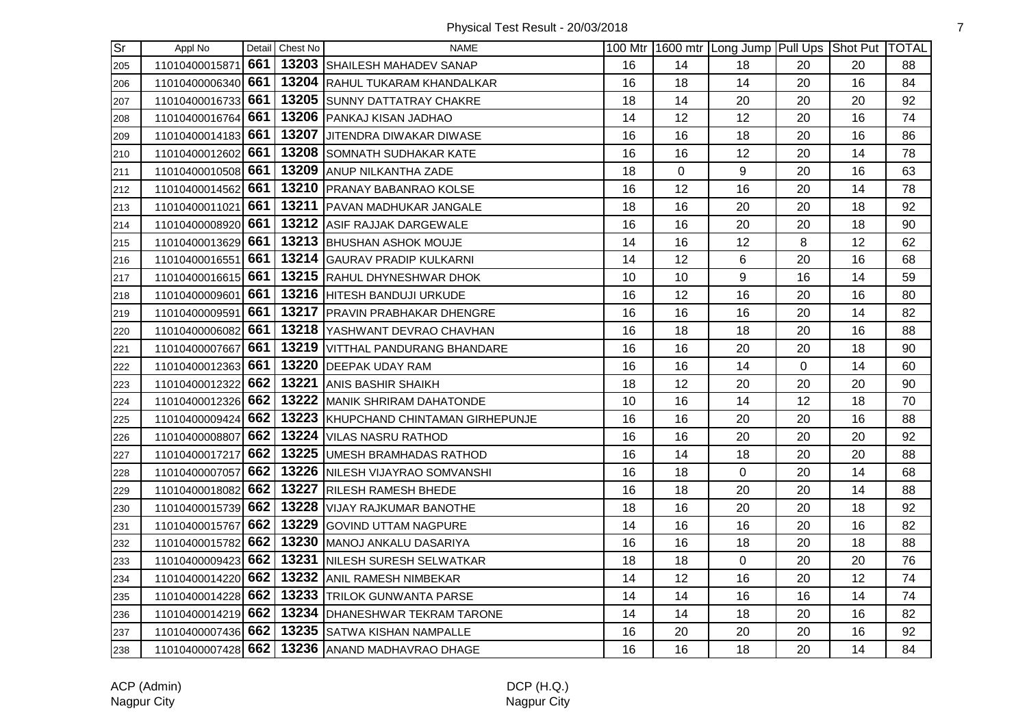Physical Test Result - 20/03/2018 **7** 

| $\overline{\text{Sr}}$ | Appl No            |     | Detail Chest No | NAME                                 |    |    | 100 Mtr 1600 mtr Long Jump Pull Ups Shot Put TOTAL |                |    |    |
|------------------------|--------------------|-----|-----------------|--------------------------------------|----|----|----------------------------------------------------|----------------|----|----|
| 205                    | 11010400015871     | 661 |                 | 13203 SHAILESH MAHADEV SANAP         | 16 | 14 | 18                                                 | 20             | 20 | 88 |
| 206                    | 11010400006340     | 661 |                 | 13204 RAHUL TUKARAM KHANDALKAR       | 16 | 18 | 14                                                 | 20             | 16 | 84 |
| 207                    | 11010400016733     | 661 |                 | 13205 SUNNY DATTATRAY CHAKRE         | 18 | 14 | 20                                                 | 20             | 20 | 92 |
| 208                    | 11010400016764 661 |     |                 | 13206 PANKAJ KISAN JADHAO            | 14 | 12 | 12                                                 | 20             | 16 | 74 |
| 209                    | 11010400014183 661 |     |                 | 13207 JJITENDRA DIWAKAR DIWASE       | 16 | 16 | 18                                                 | 20             | 16 | 86 |
| 210                    | 11010400012602     | 661 |                 | 13208 SOMNATH SUDHAKAR KATE          | 16 | 16 | 12                                                 | 20             | 14 | 78 |
| 211                    | 11010400010508 661 |     |                 | 13209 ANUP NILKANTHA ZADE            | 18 | 0  | 9                                                  | 20             | 16 | 63 |
| 212                    | 11010400014562     | 661 |                 | 13210 PRANAY BABANRAO KOLSE          | 16 | 12 | 16                                                 | 20             | 14 | 78 |
| 213                    | 11010400011021     | 661 |                 | 13211 PAVAN MADHUKAR JANGALE         | 18 | 16 | 20                                                 | 20             | 18 | 92 |
| 214                    | 11010400008920     | 661 |                 | 13212 ASIF RAJJAK DARGEWALE          | 16 | 16 | 20                                                 | 20             | 18 | 90 |
| 215                    | 11010400013629     | 661 |                 | 13213 BHUSHAN ASHOK MOUJE            | 14 | 16 | 12                                                 | 8              | 12 | 62 |
| 216                    | 11010400016551 661 |     |                 | 13214 GAURAV PRADIP KULKARNI         | 14 | 12 | 6                                                  | 20             | 16 | 68 |
| 217                    | 11010400016615 661 |     |                 | 13215 RAHUL DHYNESHWAR DHOK          | 10 | 10 | 9                                                  | 16             | 14 | 59 |
| 218                    | 11010400009601 661 |     |                 | 13216 HITESH BANDUJI URKUDE          | 16 | 12 | 16                                                 | 20             | 16 | 80 |
| 219                    | 11010400009591     | 661 |                 | 13217 PRAVIN PRABHAKAR DHENGRE       | 16 | 16 | 16                                                 | 20             | 14 | 82 |
| 220                    | 11010400006082 661 |     |                 | 13218 YASHWANT DEVRAO CHAVHAN        | 16 | 18 | 18                                                 | 20             | 16 | 88 |
| 221                    | 11010400007667     | 661 |                 | 13219 VITTHAL PANDURANG BHANDARE     | 16 | 16 | 20                                                 | 20             | 18 | 90 |
| 222                    | 11010400012363     | 661 |                 | 13220 DEEPAK UDAY RAM                | 16 | 16 | 14                                                 | $\overline{0}$ | 14 | 60 |
| 223                    | 11010400012322     | 662 |                 | 13221 ANIS BASHIR SHAIKH             | 18 | 12 | 20                                                 | 20             | 20 | 90 |
| 224                    | 11010400012326 662 |     |                 | 13222 MANIK SHRIRAM DAHATONDE        | 10 | 16 | 14                                                 | 12             | 18 | 70 |
| 225                    | 11010400009424     | 662 |                 | 13223 KHUPCHAND CHINTAMAN GIRHEPUNJE | 16 | 16 | 20                                                 | 20             | 16 | 88 |
| 226                    | 11010400008807     | 662 |                 | 13224 VILAS NASRU RATHOD             | 16 | 16 | 20                                                 | 20             | 20 | 92 |
| 227                    | 11010400017217     | 662 |                 | 13225 UMESH BRAMHADAS RATHOD         | 16 | 14 | 18                                                 | 20             | 20 | 88 |
| 228                    | 11010400007057     | 662 |                 | 13226 NILESH VIJAYRAO SOMVANSHI      | 16 | 18 | 0                                                  | 20             | 14 | 68 |
| 229                    | 11010400018082     | 662 |                 | 13227 RILESH RAMESH BHEDE            | 16 | 18 | 20                                                 | 20             | 14 | 88 |
| 230                    | 11010400015739     | 662 |                 | 13228 VIJAY RAJKUMAR BANOTHE         | 18 | 16 | 20                                                 | 20             | 18 | 92 |
| 231                    | 11010400015767     | 662 |                 | 13229 GOVIND UTTAM NAGPURE           | 14 | 16 | 16                                                 | 20             | 16 | 82 |
| 232                    | 11010400015782 662 |     |                 | 13230 MANOJ ANKALU DASARIYA          | 16 | 16 | 18                                                 | 20             | 18 | 88 |
| 233                    | 11010400009423 662 |     |                 | 13231 NILESH SURESH SELWATKAR        | 18 | 18 | $\mathbf 0$                                        | 20             | 20 | 76 |
| 234                    | 11010400014220 662 |     |                 | 13232 ANIL RAMESH NIMBEKAR           | 14 | 12 | 16                                                 | 20             | 12 | 74 |
| 235                    | 11010400014228     | 662 |                 | 13233 TRILOK GUNWANTA PARSE          | 14 | 14 | 16                                                 | 16             | 14 | 74 |
| 236                    | 11010400014219     | 662 |                 | 13234 DHANESHWAR TEKRAM TARONE       | 14 | 14 | 18                                                 | 20             | 16 | 82 |
| 237                    | 11010400007436 662 |     |                 | 13235 SATWA KISHAN NAMPALLE          | 16 | 20 | 20                                                 | 20             | 16 | 92 |
| 238                    | 11010400007428 662 |     |                 | 13236 ANAND MADHAVRAO DHAGE          | 16 | 16 | 18                                                 | 20             | 14 | 84 |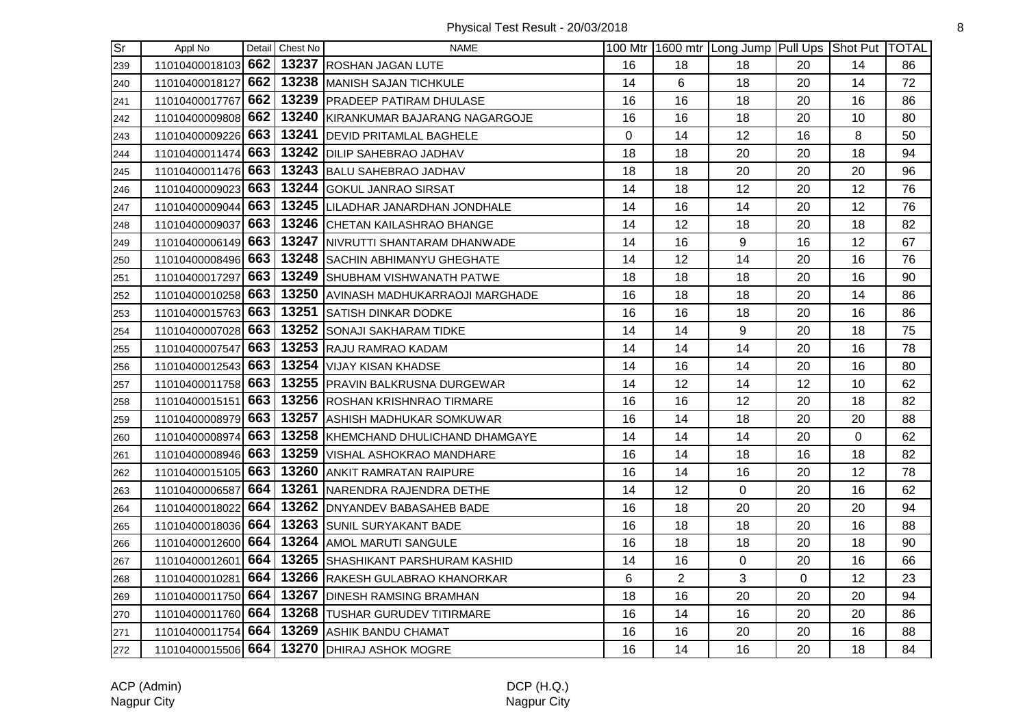| <b>Sr</b> | Appl No            |     | Detail Chest No | <b>NAME</b>                                 |    |                | 100 Mtr 1600 mtr Long Jump Pull Ups Shot Put TOTAL |             |    |    |
|-----------|--------------------|-----|-----------------|---------------------------------------------|----|----------------|----------------------------------------------------|-------------|----|----|
| 239       | 11010400018103 662 |     |                 | 13237 ROSHAN JAGAN LUTE                     | 16 | 18             | 18                                                 | 20          | 14 | 86 |
| 240       | 11010400018127     | 662 |                 | 13238 MANISH SAJAN TICHKULE                 | 14 | 6              | 18                                                 | 20          | 14 | 72 |
| 241       | 11010400017767     | 662 |                 | 13239   PRADEEP PATIRAM DHULASE             | 16 | 16             | 18                                                 | 20          | 16 | 86 |
| 242       | 11010400009808     | 662 |                 | 13240 KIRANKUMAR BAJARANG NAGARGOJE         | 16 | 16             | 18                                                 | 20          | 10 | 80 |
| 243       | 11010400009226     | 663 |                 | 13241 DEVID PRITAMLAL BAGHELE               | 0  | 14             | 12                                                 | 16          | 8  | 50 |
| 244       | 11010400011474 663 |     |                 | 13242 DILIP SAHEBRAO JADHAV                 | 18 | 18             | 20                                                 | 20          | 18 | 94 |
| 245       | 11010400011476 663 |     |                 | 13243 BALU SAHEBRAO JADHAV                  | 18 | 18             | 20                                                 | 20          | 20 | 96 |
| 246       | 11010400009023     | 663 |                 | 13244 GOKUL JANRAO SIRSAT                   | 14 | 18             | 12                                                 | 20          | 12 | 76 |
| 247       | 11010400009044     | 663 |                 | 13245 LILADHAR JANARDHAN JONDHALE           | 14 | 16             | 14                                                 | 20          | 12 | 76 |
| 248       | 11010400009037     | 663 |                 | 13246 CHETAN KAILASHRAO BHANGE              | 14 | 12             | 18                                                 | 20          | 18 | 82 |
| 249       | 11010400006149 663 |     |                 | 13247   NIVRUTTI SHANTARAM DHANWADE         | 14 | 16             | 9                                                  | 16          | 12 | 67 |
| 250       | 11010400008496     | 663 |                 | 13248 SACHIN ABHIMANYU GHEGHATE             | 14 | 12             | 14                                                 | 20          | 16 | 76 |
| 251       | 11010400017297 663 |     |                 | 13249 SHUBHAM VISHWANATH PATWE              | 18 | 18             | 18                                                 | 20          | 16 | 90 |
| 252       | 11010400010258 663 |     |                 | 13250 AVINASH MADHUKARRAOJI MARGHADE        | 16 | 18             | 18                                                 | 20          | 14 | 86 |
| 253       | 11010400015763 663 |     |                 | 13251 SATISH DINKAR DODKE                   | 16 | 16             | 18                                                 | 20          | 16 | 86 |
| 254       | 11010400007028 663 |     |                 | 13252 SONAJI SAKHARAM TIDKE                 | 14 | 14             | 9                                                  | 20          | 18 | 75 |
| 255       | 11010400007547     | 663 |                 | 13253 RAJU RAMRAO KADAM                     | 14 | 14             | 14                                                 | 20          | 16 | 78 |
| 256       | 11010400012543 663 |     |                 | 13254 VIJAY KISAN KHADSE                    | 14 | 16             | 14                                                 | 20          | 16 | 80 |
| 257       | 11010400011758     | 663 |                 | 13255 PRAVIN BALKRUSNA DURGEWAR             | 14 | 12             | 14                                                 | 12          | 10 | 62 |
| 258       | 11010400015151 663 |     |                 | 13256 ROSHAN KRISHNRAO TIRMARE              | 16 | 16             | 12                                                 | 20          | 18 | 82 |
| 259       | 11010400008979 663 |     |                 | 13257 ASHISH MADHUKAR SOMKUWAR              | 16 | 14             | 18                                                 | 20          | 20 | 88 |
| 260       | 11010400008974 663 |     |                 | 13258 KHEMCHAND DHULICHAND DHAMGAYE         | 14 | 14             | 14                                                 | 20          | 0  | 62 |
| 261       | 11010400008946 663 |     |                 | 13259 VISHAL ASHOKRAO MANDHARE              | 16 | 14             | 18                                                 | 16          | 18 | 82 |
| 262       | 11010400015105     | 663 |                 | 13260 ANKIT RAMRATAN RAIPURE                | 16 | 14             | 16                                                 | 20          | 12 | 78 |
| 263       | 11010400006587     | 664 |                 | 13261 NARENDRA RAJENDRA DETHE               | 14 | 12             | $\mathbf 0$                                        | 20          | 16 | 62 |
| 264       | 11010400018022     | 664 |                 | 13262 DNYANDEV BABASAHEB BADE               | 16 | 18             | 20                                                 | 20          | 20 | 94 |
| 265       | 11010400018036     | 664 |                 | 13263 SUNIL SURYAKANT BADE                  | 16 | 18             | 18                                                 | 20          | 16 | 88 |
| 266       | 11010400012600 664 |     |                 | 13264 AMOL MARUTI SANGULE                   | 16 | 18             | 18                                                 | 20          | 18 | 90 |
| 267       | 11010400012601 664 |     |                 | 13265 SHASHIKANT PARSHURAM KASHID           | 14 | 16             | $\mathbf 0$                                        | 20          | 16 | 66 |
| 268       | 11010400010281 664 |     |                 | 13266 RAKESH GULABRAO KHANORKAR             | 6  | $\overline{2}$ | 3                                                  | $\mathbf 0$ | 12 | 23 |
| 269       | 11010400011750 664 |     |                 | 13267 DINESH RAMSING BRAMHAN                | 18 | 16             | 20                                                 | 20          | 20 | 94 |
| 270       | 11010400011760     | 664 |                 | 13268 TUSHAR GURUDEV TITIRMARE              | 16 | 14             | 16                                                 | 20          | 20 | 86 |
| 271       | 11010400011754 664 |     |                 | 13269 ASHIK BANDU CHAMAT                    | 16 | 16             | 20                                                 | 20          | 16 | 88 |
| 272       |                    |     |                 | 11010400015506 664 13270 DHIRAJ ASHOK MOGRE | 16 | 14             | 16                                                 | 20          | 18 | 84 |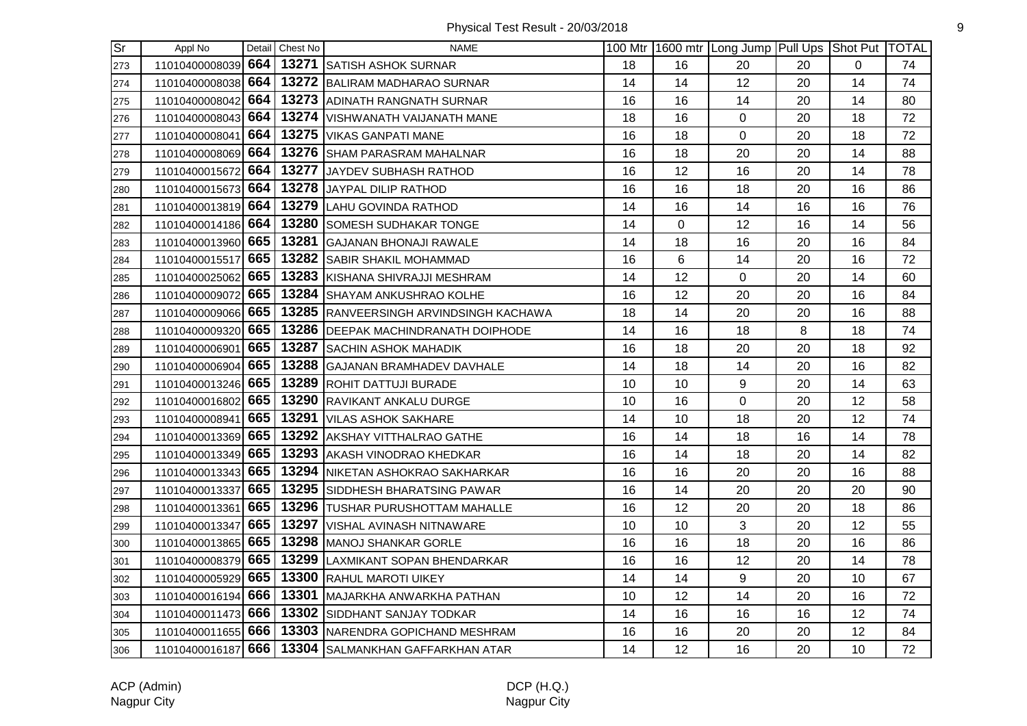| $\overline{\text{Sr}}$ | Appl No            |     | Detail Chest No | <b>NAME</b>                                           |    |    | 100 Mtr   1600 mtr   Long Jump   Pull Ups   Shot Put   TOTAL |    |    |    |
|------------------------|--------------------|-----|-----------------|-------------------------------------------------------|----|----|--------------------------------------------------------------|----|----|----|
| 273                    | 11010400008039 664 |     |                 | 13271 SATISH ASHOK SURNAR                             | 18 | 16 | 20                                                           | 20 | 0  | 74 |
| 274                    | 11010400008038 664 |     |                 | 13272 BALIRAM MADHARAO SURNAR                         | 14 | 14 | 12                                                           | 20 | 14 | 74 |
| 275                    | 11010400008042     | 664 |                 | 13273 ADINATH RANGNATH SURNAR                         | 16 | 16 | 14                                                           | 20 | 14 | 80 |
| 276                    | 11010400008043     | 664 |                 | 13274 VISHWANATH VAIJANATH MANE                       | 18 | 16 | $\mathsf 0$                                                  | 20 | 18 | 72 |
| 277                    | 11010400008041 664 |     |                 | 13275   VIKAS GANPATI MANE                            | 16 | 18 | $\mathbf 0$                                                  | 20 | 18 | 72 |
| 278                    | 11010400008069 664 |     |                 | 13276 SHAM PARASRAM MAHALNAR                          | 16 | 18 | 20                                                           | 20 | 14 | 88 |
| 279                    | 11010400015672 664 |     |                 | 13277 JAYDEV SUBHASH RATHOD                           | 16 | 12 | 16                                                           | 20 | 14 | 78 |
| 280                    | 11010400015673 664 |     |                 | 13278 JAYPAL DILIP RATHOD                             | 16 | 16 | 18                                                           | 20 | 16 | 86 |
| 281                    | 11010400013819 664 |     |                 | 13279 LAHU GOVINDA RATHOD                             | 14 | 16 | 14                                                           | 16 | 16 | 76 |
| 282                    | 11010400014186 664 |     |                 | 13280 SOMESH SUDHAKAR TONGE                           | 14 | 0  | 12                                                           | 16 | 14 | 56 |
| 283                    | 11010400013960 665 |     |                 | 13281 GAJANAN BHONAJI RAWALE                          | 14 | 18 | 16                                                           | 20 | 16 | 84 |
| 284                    | 11010400015517     | 665 |                 | 13282 SABIR SHAKIL MOHAMMAD                           | 16 | 6  | 14                                                           | 20 | 16 | 72 |
| 285                    | 11010400025062 665 |     |                 | 13283 KISHANA SHIVRAJJI MESHRAM                       | 14 | 12 | $\mathbf 0$                                                  | 20 | 14 | 60 |
| 286                    | 11010400009072 665 |     |                 | 13284 SHAYAM ANKUSHRAO KOLHE                          | 16 | 12 | 20                                                           | 20 | 16 | 84 |
| 287                    | 11010400009066 665 |     |                 | 13285 RANVEERSINGH ARVINDSINGH KACHAWA                | 18 | 14 | 20                                                           | 20 | 16 | 88 |
| 288                    | 11010400009320 665 |     |                 | 13286 DEEPAK MACHINDRANATH DOIPHODE                   | 14 | 16 | 18                                                           | 8  | 18 | 74 |
| 289                    | 11010400006901     | 665 |                 | 13287 SACHIN ASHOK MAHADIK                            | 16 | 18 | 20                                                           | 20 | 18 | 92 |
| 290                    | 11010400006904     | 665 |                 | 13288 GAJANAN BRAMHADEV DAVHALE                       | 14 | 18 | 14                                                           | 20 | 16 | 82 |
| 291                    |                    |     |                 | 11010400013246 665 13289 ROHIT DATTUJI BURADE         | 10 | 10 | 9                                                            | 20 | 14 | 63 |
| 292                    | 11010400016802 665 |     |                 | 13290 RAVIKANT ANKALU DURGE                           | 10 | 16 | $\mathbf 0$                                                  | 20 | 12 | 58 |
| 293                    | 11010400008941 665 |     |                 | 13291 VILAS ASHOK SAKHARE                             | 14 | 10 | 18                                                           | 20 | 12 | 74 |
| 294                    | 11010400013369 665 |     |                 | 13292 AKSHAY VITTHALRAO GATHE                         | 16 | 14 | 18                                                           | 16 | 14 | 78 |
| 295                    | 11010400013349 665 |     |                 | 13293 AKASH VINODRAO KHEDKAR                          | 16 | 14 | 18                                                           | 20 | 14 | 82 |
| 296                    | 11010400013343 665 |     |                 | 13294 NIKETAN ASHOKRAO SAKHARKAR                      | 16 | 16 | 20                                                           | 20 | 16 | 88 |
| 297                    | 11010400013337     | 665 |                 | 13295 SIDDHESH BHARATSING PAWAR                       | 16 | 14 | 20                                                           | 20 | 20 | 90 |
| 298                    | 11010400013361     | 665 |                 | 13296 TUSHAR PURUSHOTTAM MAHALLE                      | 16 | 12 | 20                                                           | 20 | 18 | 86 |
| 299                    | 11010400013347     | 665 |                 | 13297 VISHAL AVINASH NITNAWARE                        | 10 | 10 | $\mathbf{3}$                                                 | 20 | 12 | 55 |
| 300                    | 11010400013865 665 |     |                 | 13298 MANOJ SHANKAR GORLE                             | 16 | 16 | 18                                                           | 20 | 16 | 86 |
| 301                    | 11010400008379 665 |     |                 | 13299 LAXMIKANT SOPAN BHENDARKAR                      | 16 | 16 | 12                                                           | 20 | 14 | 78 |
| 302                    | 11010400005929 665 |     |                 | 13300 RAHUL MAROTI UIKEY                              | 14 | 14 | 9                                                            | 20 | 10 | 67 |
| 303                    | 11010400016194 666 |     |                 | 13301 MAJARKHA ANWARKHA PATHAN                        | 10 | 12 | 14                                                           | 20 | 16 | 72 |
| 304                    | 11010400011473 666 |     |                 | 13302 SIDDHANT SANJAY TODKAR                          | 14 | 16 | 16                                                           | 16 | 12 | 74 |
| 305                    |                    |     |                 | 11010400011655 666 13303 NARENDRA GOPICHAND MESHRAM   | 16 | 16 | 20                                                           | 20 | 12 | 84 |
| 306                    |                    |     |                 | 11010400016187 666   13304 SALMANKHAN GAFFARKHAN ATAR | 14 | 12 | 16                                                           | 20 | 10 | 72 |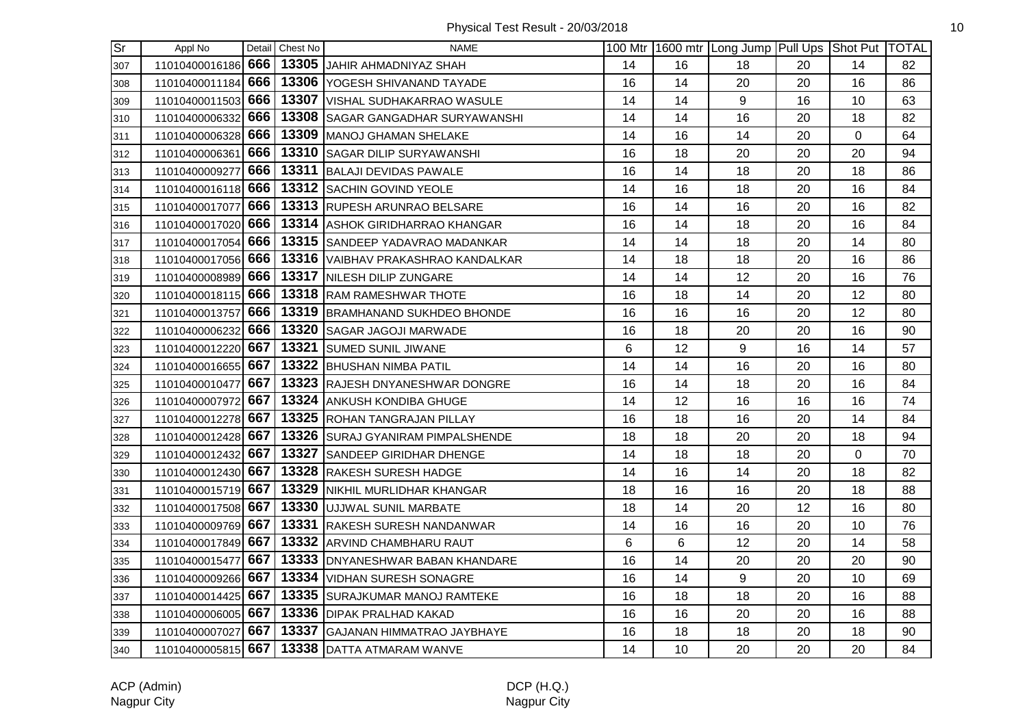| Sr] | Appl No            |     | Detail Chest No | <b>NAME</b>                                           |    |    | 100 Mtr 1600 mtr Long Jump Pull Ups Shot Put TOTAL |    |                |    |
|-----|--------------------|-----|-----------------|-------------------------------------------------------|----|----|----------------------------------------------------|----|----------------|----|
| 307 |                    |     |                 | 11010400016186 666 13305 JAHIR AHMADNIYAZ SHAH        | 14 | 16 | 18                                                 | 20 | 14             | 82 |
| 308 |                    |     |                 | 11010400011184 666 13306 YOGESH SHIVANAND TAYADE      | 16 | 14 | 20                                                 | 20 | 16             | 86 |
| 309 | 11010400011503     | 666 |                 | 13307 VISHAL SUDHAKARRAO WASULE                       | 14 | 14 | 9                                                  | 16 | 10             | 63 |
| 310 | 11010400006332 666 |     |                 | 13308 SAGAR GANGADHAR SURYAWANSHI                     | 14 | 14 | 16                                                 | 20 | 18             | 82 |
| 311 | 11010400006328 666 |     |                 | 13309 MANOJ GHAMAN SHELAKE                            | 14 | 16 | 14                                                 | 20 | $\overline{0}$ | 64 |
| 312 | 11010400006361 666 |     |                 | <b>13310 SAGAR DILIP SURYAWANSHI</b>                  | 16 | 18 | 20                                                 | 20 | 20             | 94 |
| 313 | 11010400009277     | 666 |                 | 13311 BALAJI DEVIDAS PAWALE                           | 16 | 14 | 18                                                 | 20 | 18             | 86 |
| 314 | 11010400016118 666 |     |                 | 13312 SACHIN GOVIND YEOLE                             | 14 | 16 | 18                                                 | 20 | 16             | 84 |
| 315 | 11010400017077     | 666 |                 | 13313 RUPESH ARUNRAO BELSARE                          | 16 | 14 | 16                                                 | 20 | 16             | 82 |
| 316 | 11010400017020 666 |     |                 | 13314 ASHOK GIRIDHARRAO KHANGAR                       | 16 | 14 | 18                                                 | 20 | 16             | 84 |
| 317 | 11010400017054     | 666 |                 | 13315 SANDEEP YADAVRAO MADANKAR                       | 14 | 14 | 18                                                 | 20 | 14             | 80 |
| 318 |                    |     |                 | 11010400017056 666 13316 VAIBHAV PRAKASHRAO KANDALKAR | 14 | 18 | 18                                                 | 20 | 16             | 86 |
| 319 | 11010400008989 666 |     |                 | 13317 NILESH DILIP ZUNGARE                            | 14 | 14 | 12                                                 | 20 | 16             | 76 |
| 320 | 11010400018115 666 |     |                 | 13318 RAM RAMESHWAR THOTE                             | 16 | 18 | 14                                                 | 20 | 12             | 80 |
| 321 |                    |     |                 | 11010400013757 666   13319 BRAMHANAND SUKHDEO BHONDE  | 16 | 16 | 16                                                 | 20 | 12             | 80 |
| 322 | 11010400006232 666 |     |                 | 13320 SAGAR JAGOJI MARWADE                            | 16 | 18 | 20                                                 | 20 | 16             | 90 |
| 323 | 11010400012220 667 |     |                 | 13321 SUMED SUNIL JIWANE                              | 6  | 12 | 9                                                  | 16 | 14             | 57 |
| 324 | 11010400016655 667 |     |                 | 13322 BHUSHAN NIMBA PATIL                             | 14 | 14 | 16                                                 | 20 | 16             | 80 |
| 325 | 11010400010477     | 667 |                 | 13323 RAJESH DNYANESHWAR DONGRE                       | 16 | 14 | 18                                                 | 20 | 16             | 84 |
| 326 | 11010400007972 667 |     |                 | 13324 ANKUSH KONDIBA GHUGE                            | 14 | 12 | 16                                                 | 16 | 16             | 74 |
| 327 | 11010400012278 667 |     |                 | 13325 ROHAN TANGRAJAN PILLAY                          | 16 | 18 | 16                                                 | 20 | 14             | 84 |
| 328 | 11010400012428 667 |     |                 | 13326 SURAJ GYANIRAM PIMPALSHENDE                     | 18 | 18 | 20                                                 | 20 | 18             | 94 |
| 329 | 11010400012432 667 |     |                 | 13327 SANDEEP GIRIDHAR DHENGE                         | 14 | 18 | 18                                                 | 20 | $\overline{0}$ | 70 |
| 330 | 11010400012430 667 |     |                 | 13328 RAKESH SURESH HADGE                             | 14 | 16 | 14                                                 | 20 | 18             | 82 |
| 331 | 11010400015719 667 |     |                 | 13329 NIKHIL MURLIDHAR KHANGAR                        | 18 | 16 | 16                                                 | 20 | 18             | 88 |
| 332 | 11010400017508 667 |     |                 | 13330 JUJJWAL SUNIL MARBATE                           | 18 | 14 | 20                                                 | 12 | 16             | 80 |
| 333 | 11010400009769 667 |     |                 | 13331 RAKESH SURESH NANDANWAR                         | 14 | 16 | 16                                                 | 20 | 10             | 76 |
| 334 | 11010400017849 667 |     |                 | 13332 ARVIND CHAMBHARU RAUT                           | 6  | 6  | 12                                                 | 20 | 14             | 58 |
| 335 | 11010400015477 667 |     |                 | 13333 DNYANESHWAR BABAN KHANDARE                      | 16 | 14 | 20                                                 | 20 | 20             | 90 |
| 336 | 11010400009266 667 |     |                 | 13334 VIDHAN SURESH SONAGRE                           | 16 | 14 | 9                                                  | 20 | 10             | 69 |
| 337 | 11010400014425 667 |     |                 | 13335 SURAJKUMAR MANOJ RAMTEKE                        | 16 | 18 | 18                                                 | 20 | 16             | 88 |
| 338 | 11010400006005     | 667 |                 | 13336 DIPAK PRALHAD KAKAD                             | 16 | 16 | 20                                                 | 20 | 16             | 88 |
| 339 | 11010400007027     | 667 |                 | 13337 GAJANAN HIMMATRAO JAYBHAYE                      | 16 | 18 | 18                                                 | 20 | 18             | 90 |
| 340 |                    |     |                 | 11010400005815 667   13338 DATTA ATMARAM WANVE        | 14 | 10 | 20                                                 | 20 | 20             | 84 |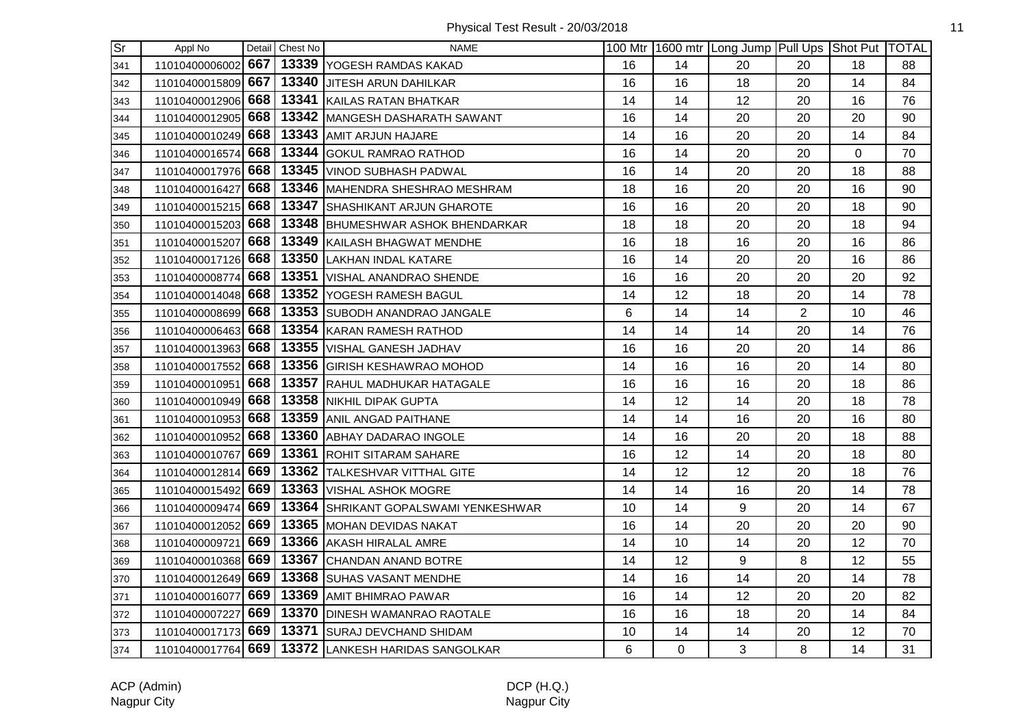| $\overline{\mathsf{Sr}}$ | Appl No            |     | Detail Chest No | <b>NAME</b>                          |    |    | 100 Mtr 1600 mtr Long Jump Pull Ups Shot Put TOTAL |                |          |    |
|--------------------------|--------------------|-----|-----------------|--------------------------------------|----|----|----------------------------------------------------|----------------|----------|----|
| 341                      | 11010400006002     | 667 |                 | 13339 YOGESH RAMDAS KAKAD            | 16 | 14 | 20                                                 | 20             | 18       | 88 |
| 342                      | 11010400015809     | 667 |                 | 13340 JJITESH ARUN DAHILKAR          | 16 | 16 | 18                                                 | 20             | 14       | 84 |
| 343                      | 11010400012906     | 668 |                 | 13341 KAILAS RATAN BHATKAR           | 14 | 14 | 12                                                 | 20             | 16       | 76 |
| 344                      | 11010400012905     | 668 |                 | 13342 MANGESH DASHARATH SAWANT       | 16 | 14 | 20                                                 | 20             | 20       | 90 |
| 345                      | 11010400010249 668 |     |                 | 13343 AMIT ARJUN HAJARE              | 14 | 16 | 20                                                 | 20             | 14       | 84 |
| 346                      | 11010400016574 668 |     |                 | 13344 GOKUL RAMRAO RATHOD            | 16 | 14 | 20                                                 | 20             | $\Omega$ | 70 |
| 347                      | 11010400017976 668 |     |                 | 13345 VINOD SUBHASH PADWAL           | 16 | 14 | 20                                                 | 20             | 18       | 88 |
| 348                      | 11010400016427 668 |     |                 | 13346 MAHENDRA SHESHRAO MESHRAM      | 18 | 16 | 20                                                 | 20             | 16       | 90 |
| 349                      | 11010400015215 668 |     |                 | 13347 SHASHIKANT ARJUN GHAROTE       | 16 | 16 | 20                                                 | 20             | 18       | 90 |
| 350                      | 11010400015203     | 668 |                 | 13348 BHUMESHWAR ASHOK BHENDARKAR    | 18 | 18 | 20                                                 | 20             | 18       | 94 |
| 351                      | 11010400015207     | 668 |                 | 13349 KAILASH BHAGWAT MENDHE         | 16 | 18 | 16                                                 | 20             | 16       | 86 |
| 352                      | 11010400017126     | 668 |                 | 13350 LAKHAN INDAL KATARE            | 16 | 14 | 20                                                 | 20             | 16       | 86 |
| 353                      | 11010400008774 668 |     |                 | 13351 VISHAL ANANDRAO SHENDE         | 16 | 16 | 20                                                 | 20             | 20       | 92 |
| 354                      | 11010400014048 668 |     |                 | 13352 YOGESH RAMESH BAGUL            | 14 | 12 | 18                                                 | 20             | 14       | 78 |
| 355                      | 11010400008699 668 |     |                 | 13353 SUBODH ANANDRAO JANGALE        | 6  | 14 | 14                                                 | $\overline{2}$ | 10       | 46 |
| 356                      | 11010400006463 668 |     |                 | 13354 KARAN RAMESH RATHOD            | 14 | 14 | 14                                                 | 20             | 14       | 76 |
| 357                      | 11010400013963     | 668 |                 | 13355 VISHAL GANESH JADHAV           | 16 | 16 | 20                                                 | 20             | 14       | 86 |
| 358                      | 11010400017552     | 668 |                 | 13356 GIRISH KESHAWRAO MOHOD         | 14 | 16 | 16                                                 | 20             | 14       | 80 |
| 359                      | 11010400010951     | 668 |                 | 13357 RAHUL MADHUKAR HATAGALE        | 16 | 16 | 16                                                 | 20             | 18       | 86 |
| 360                      | 11010400010949 668 |     |                 | 13358 NIKHIL DIPAK GUPTA             | 14 | 12 | 14                                                 | 20             | 18       | 78 |
| 361                      | 11010400010953 668 |     |                 | 13359 ANIL ANGAD PAITHANE            | 14 | 14 | 16                                                 | 20             | 16       | 80 |
| 362                      | 11010400010952 668 |     |                 | 13360 ABHAY DADARAO INGOLE           | 14 | 16 | 20                                                 | 20             | 18       | 88 |
| 363                      | 11010400010767     | 669 |                 | 13361 ROHIT SITARAM SAHARE           | 16 | 12 | 14                                                 | 20             | 18       | 80 |
| 364                      | 11010400012814     | 669 |                 | 13362 TALKESHVAR VITTHAL GITE        | 14 | 12 | 12                                                 | 20             | 18       | 76 |
| 365                      | 11010400015492     | 669 |                 | 13363 VISHAL ASHOK MOGRE             | 14 | 14 | 16                                                 | 20             | 14       | 78 |
| 366                      | 11010400009474     | 669 |                 | 13364 SHRIKANT GOPALSWAMI YENKESHWAR | 10 | 14 | 9                                                  | 20             | 14       | 67 |
| 367                      | 11010400012052     | 669 |                 | 13365 MOHAN DEVIDAS NAKAT            | 16 | 14 | 20                                                 | 20             | 20       | 90 |
| 368                      | 11010400009721 669 |     |                 | 13366 AKASH HIRALAL AMRE             | 14 | 10 | 14                                                 | 20             | 12       | 70 |
| 369                      | 11010400010368 669 |     |                 | 13367 CHANDAN ANAND BOTRE            | 14 | 12 | 9                                                  | 8              | 12       | 55 |
| 370                      | 11010400012649 669 |     |                 | 13368 SUHAS VASANT MENDHE            | 14 | 16 | 14                                                 | 20             | 14       | 78 |
| 371                      | 11010400016077     | 669 |                 | 13369 AMIT BHIMRAO PAWAR             | 16 | 14 | 12                                                 | 20             | 20       | 82 |
| 372                      | 11010400007227     | 669 |                 | 13370 DINESH WAMANRAO RAOTALE        | 16 | 16 | 18                                                 | 20             | 14       | 84 |
| 373                      | 11010400017173 669 |     |                 | 13371 SURAJ DEVCHAND SHIDAM          | 10 | 14 | 14                                                 | 20             | 12       | 70 |
| 374                      | 11010400017764 669 |     |                 | 13372 LANKESH HARIDAS SANGOLKAR      | 6  | 0  | 3                                                  | 8              | 14       | 31 |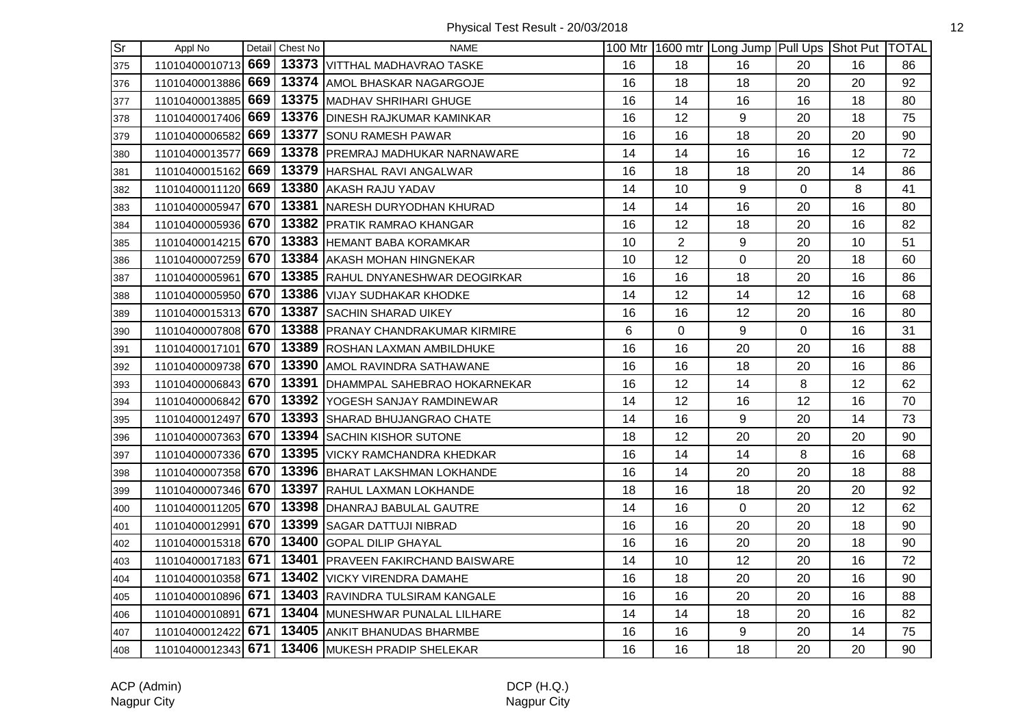| <b>Sr</b> | Appl No            |     | Detail Chest No | <b>NAME</b>                                       |    |                | 100 Mtr 1600 mtr Long Jump Pull Ups Shot Put TOTAL |                |    |    |
|-----------|--------------------|-----|-----------------|---------------------------------------------------|----|----------------|----------------------------------------------------|----------------|----|----|
| 375       | 11010400010713     | 669 |                 | 13373 VITTHAL MADHAVRAO TASKE                     | 16 | 18             | 16                                                 | 20             | 16 | 86 |
| 376       | 11010400013886     | 669 |                 | 13374 AMOL BHASKAR NAGARGOJE                      | 16 | 18             | 18                                                 | 20             | 20 | 92 |
| 377       | 11010400013885     | 669 |                 | 13375 MADHAV SHRIHARI GHUGE                       | 16 | 14             | 16                                                 | 16             | 18 | 80 |
| 378       | 11010400017406 669 |     |                 | 13376 DINESH RAJKUMAR KAMINKAR                    | 16 | 12             | 9                                                  | 20             | 18 | 75 |
| 379       | 11010400006582     | 669 |                 | 13377 SONU RAMESH PAWAR                           | 16 | 16             | 18                                                 | 20             | 20 | 90 |
| 380       | 11010400013577     | 669 |                 | 13378 PREMRAJ MADHUKAR NARNAWARE                  | 14 | 14             | 16                                                 | 16             | 12 | 72 |
| 381       | 11010400015162 669 |     |                 | 13379 HARSHAL RAVI ANGALWAR                       | 16 | 18             | 18                                                 | 20             | 14 | 86 |
| 382       | 11010400011120 669 |     |                 | 13380 AKASH RAJU YADAV                            | 14 | 10             | $\boldsymbol{9}$                                   | $\overline{0}$ | 8  | 41 |
| 383       | 11010400005947     | 670 |                 | 13381 NARESH DURYODHAN KHURAD                     | 14 | 14             | 16                                                 | 20             | 16 | 80 |
| 384       | 11010400005936     | 670 |                 | 13382 PRATIK RAMRAO KHANGAR                       | 16 | 12             | 18                                                 | 20             | 16 | 82 |
| 385       | 11010400014215     | 670 |                 | 13383 HEMANT BABA KORAMKAR                        | 10 | $\overline{2}$ | 9                                                  | 20             | 10 | 51 |
| 386       | 11010400007259 670 |     |                 | 13384 AKASH MOHAN HINGNEKAR                       | 10 | 12             | $\mathbf 0$                                        | 20             | 18 | 60 |
| 387       | 11010400005961 670 |     |                 | 13385 RAHUL DNYANESHWAR DEOGIRKAR                 | 16 | 16             | 18                                                 | 20             | 16 | 86 |
| 388       | 11010400005950 670 |     |                 | 13386 VIJAY SUDHAKAR KHODKE                       | 14 | 12             | 14                                                 | 12             | 16 | 68 |
| 389       | 11010400015313 670 |     |                 | 13387 SACHIN SHARAD UIKEY                         | 16 | 16             | 12                                                 | 20             | 16 | 80 |
| 390       | 11010400007808 670 |     |                 | 13388 PRANAY CHANDRAKUMAR KIRMIRE                 | 6  | 0              | 9                                                  | 0              | 16 | 31 |
| 391       | 11010400017101     | 670 |                 | 13389 ROSHAN LAXMAN AMBILDHUKE                    | 16 | 16             | 20                                                 | 20             | 16 | 88 |
| 392       | 11010400009738 670 |     |                 | 13390 AMOL RAVINDRA SATHAWANE                     | 16 | 16             | 18                                                 | 20             | 16 | 86 |
| 393       | 11010400006843 670 |     |                 | 13391   DHAMMPAL SAHEBRAO HOKARNEKAR              | 16 | 12             | 14                                                 | 8              | 12 | 62 |
| 394       | 11010400006842 670 |     |                 | 13392 YOGESH SANJAY RAMDINEWAR                    | 14 | 12             | 16                                                 | 12             | 16 | 70 |
| 395       | 11010400012497 670 |     |                 | 13393 SHARAD BHUJANGRAO CHATE                     | 14 | 16             | 9                                                  | 20             | 14 | 73 |
| 396       | 11010400007363 670 |     |                 | 13394 SACHIN KISHOR SUTONE                        | 18 | 12             | 20                                                 | 20             | 20 | 90 |
| 397       | 11010400007336 670 |     |                 | 13395 VICKY RAMCHANDRA KHEDKAR                    | 16 | 14             | 14                                                 | 8              | 16 | 68 |
| 398       | 11010400007358     | 670 |                 | 13396 BHARAT LAKSHMAN LOKHANDE                    | 16 | 14             | 20                                                 | 20             | 18 | 88 |
| 399       | 11010400007346 670 |     |                 | 13397 RAHUL LAXMAN LOKHANDE                       | 18 | 16             | 18                                                 | 20             | 20 | 92 |
| 400       | 11010400011205 670 |     |                 | 13398 DHANRAJ BABULAL GAUTRE                      | 14 | 16             | $\mathsf 0$                                        | 20             | 12 | 62 |
| 401       | 11010400012991     | 670 |                 | 13399 SAGAR DATTUJI NIBRAD                        | 16 | 16             | 20                                                 | 20             | 18 | 90 |
| 402       | 11010400015318 670 |     |                 | 13400 GOPAL DILIP GHAYAL                          | 16 | 16             | 20                                                 | 20             | 18 | 90 |
| 403       | 11010400017183 671 |     |                 | 13401 PRAVEEN FAKIRCHAND BAISWARE                 | 14 | 10             | 12                                                 | 20             | 16 | 72 |
| 404       | 11010400010358 671 |     |                 | 13402 VICKY VIRENDRA DAMAHE                       | 16 | 18             | 20                                                 | 20             | 16 | 90 |
| 405       | 11010400010896 671 |     |                 | 13403 RAVINDRA TULSIRAM KANGALE                   | 16 | 16             | 20                                                 | 20             | 16 | 88 |
| 406       | 11010400010891     | 671 |                 | 13404 MUNESHWAR PUNALAL LILHARE                   | 14 | 14             | 18                                                 | 20             | 16 | 82 |
| 407       | 11010400012422 671 |     |                 | 13405 ANKIT BHANUDAS BHARMBE                      | 16 | 16             | 9                                                  | 20             | 14 | 75 |
| 408       |                    |     |                 | 11010400012343 671   13406 MUKESH PRADIP SHELEKAR | 16 | 16             | 18                                                 | 20             | 20 | 90 |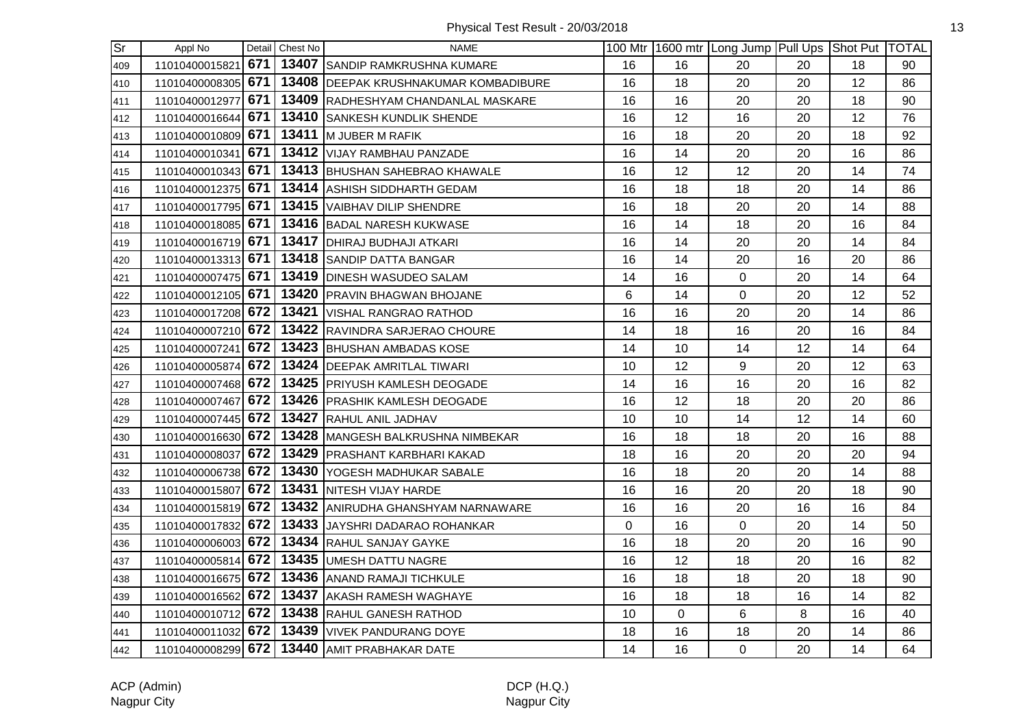| $\overline{\text{Sr}}$ | Appl No            |     | Detail Chest No | <b>NAME</b>                                           |          |    | 100 Mtr   1600 mtr   Long Jump   Pull Ups   Shot Put   TOTAL |    |    |    |
|------------------------|--------------------|-----|-----------------|-------------------------------------------------------|----------|----|--------------------------------------------------------------|----|----|----|
| 409                    | 11010400015821     | 671 |                 | 13407 SANDIP RAMKRUSHNA KUMARE                        | 16       | 16 | 20                                                           | 20 | 18 | 90 |
| 410                    | 11010400008305     | 671 |                 | 13408 DEEPAK KRUSHNAKUMAR KOMBADIBURE                 | 16       | 18 | 20                                                           | 20 | 12 | 86 |
| 411                    | 11010400012977     | 671 |                 | 13409 RADHESHYAM CHANDANLAL MASKARE                   | 16       | 16 | 20                                                           | 20 | 18 | 90 |
| 412                    | 11010400016644 671 |     |                 | 13410 SANKESH KUNDLIK SHENDE                          | 16       | 12 | 16                                                           | 20 | 12 | 76 |
| 413                    | 11010400010809 671 |     |                 | 13411 M JUBER M RAFIK                                 | 16       | 18 | 20                                                           | 20 | 18 | 92 |
| 414                    | 11010400010341 671 |     |                 | 13412 VIJAY RAMBHAU PANZADE                           | 16       | 14 | 20                                                           | 20 | 16 | 86 |
| 415                    | 11010400010343 671 |     |                 | 13413 BHUSHAN SAHEBRAO KHAWALE                        | 16       | 12 | 12                                                           | 20 | 14 | 74 |
| 416                    | 11010400012375 671 |     |                 | 13414 ASHISH SIDDHARTH GEDAM                          | 16       | 18 | 18                                                           | 20 | 14 | 86 |
| 417                    | 11010400017795 671 |     |                 | 13415   VAIBHAV DILIP SHENDRE                         | 16       | 18 | 20                                                           | 20 | 14 | 88 |
| 418                    | 11010400018085 671 |     |                 | 13416 BADAL NARESH KUKWASE                            | 16       | 14 | 18                                                           | 20 | 16 | 84 |
| 419                    | 11010400016719 671 |     |                 | 13417   DHIRAJ BUDHAJI ATKARI                         | 16       | 14 | 20                                                           | 20 | 14 | 84 |
| 420                    | 11010400013313 671 |     |                 | 13418 SANDIP DATTA BANGAR                             | 16       | 14 | 20                                                           | 16 | 20 | 86 |
| 421                    | 11010400007475 671 |     |                 | 13419 DINESH WASUDEO SALAM                            | 14       | 16 | $\mathbf 0$                                                  | 20 | 14 | 64 |
| 422                    | 11010400012105 671 |     |                 | 13420 PRAVIN BHAGWAN BHOJANE                          | 6        | 14 | $\mathbf 0$                                                  | 20 | 12 | 52 |
| 423                    |                    |     |                 | 11010400017208 672 13421 VISHAL RANGRAO RATHOD        | 16       | 16 | 20                                                           | 20 | 14 | 86 |
| 424                    | 11010400007210 672 |     |                 | 13422 RAVINDRA SARJERAO CHOURE                        | 14       | 18 | 16                                                           | 20 | 16 | 84 |
| 425                    | 11010400007241 672 |     |                 | 13423 BHUSHAN AMBADAS KOSE                            | 14       | 10 | 14                                                           | 12 | 14 | 64 |
| 426                    |                    |     |                 | 11010400005874 672 13424 DEEPAK AMRITLAL TIWARI       | 10       | 12 | 9                                                            | 20 | 12 | 63 |
| 427                    |                    |     |                 | 11010400007468 672 13425 PRIYUSH KAMLESH DEOGADE      | 14       | 16 | 16                                                           | 20 | 16 | 82 |
| 428                    | 11010400007467 672 |     |                 | 13426 PRASHIK KAMLESH DEOGADE                         | 16       | 12 | 18                                                           | 20 | 20 | 86 |
| 429                    |                    |     |                 | 11010400007445 672 13427 RAHUL ANIL JADHAV            | 10       | 10 | 14                                                           | 12 | 14 | 60 |
| 430                    | 11010400016630 672 |     |                 | 13428 MANGESH BALKRUSHNA NIMBEKAR                     | 16       | 18 | 18                                                           | 20 | 16 | 88 |
| 431                    |                    |     |                 | 11010400008037 672 13429 PRASHANT KARBHARI KAKAD      | 18       | 16 | 20                                                           | 20 | 20 | 94 |
| 432                    | 11010400006738 672 |     |                 | 13430 YOGESH MADHUKAR SABALE                          | 16       | 18 | 20                                                           | 20 | 14 | 88 |
| 433                    | 11010400015807     |     |                 | 672   13431  NITESH VIJAY HARDE                       | 16       | 16 | 20                                                           | 20 | 18 | 90 |
| 434                    |                    |     |                 | 11010400015819 672 13432 ANIRUDHA GHANSHYAM NARNAWARE | 16       | 16 | 20                                                           | 16 | 16 | 84 |
| 435                    | 11010400017832 672 |     |                 | 13433 JAYSHRI DADARAO ROHANKAR                        | $\Omega$ | 16 | $\mathbf 0$                                                  | 20 | 14 | 50 |
| 436                    | 11010400006003 672 |     |                 | 13434 RAHUL SANJAY GAYKE                              | 16       | 18 | 20                                                           | 20 | 16 | 90 |
| 437                    |                    |     |                 | 11010400005814 672 13435 UMESH DATTU NAGRE            | 16       | 12 | 18                                                           | 20 | 16 | 82 |
| 438                    | 11010400016675 672 |     |                 | 13436 ANAND RAMAJI TICHKULE                           | 16       | 18 | 18                                                           | 20 | 18 | 90 |
| 439                    | 11010400016562 672 |     |                 | 13437 AKASH RAMESH WAGHAYE                            | 16       | 18 | 18                                                           | 16 | 14 | 82 |
| 440                    |                    |     |                 | 11010400010712 672 13438 RAHUL GANESH RATHOD          | 10       | 0  | $6\phantom{1}$                                               | 8  | 16 | 40 |
| 441                    |                    |     |                 | 11010400011032 672 13439 VIVEK PANDURANG DOYE         | 18       | 16 | 18                                                           | 20 | 14 | 86 |
| 442                    |                    |     |                 | 11010400008299 672 13440 AMIT PRABHAKAR DATE          | 14       | 16 | $\mathbf 0$                                                  | 20 | 14 | 64 |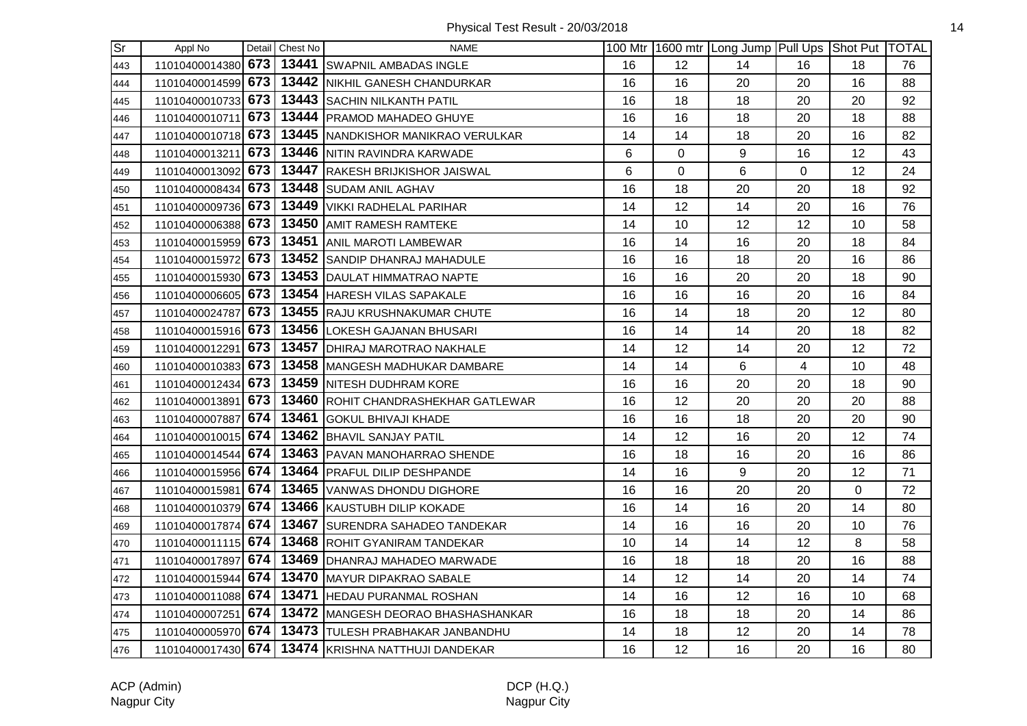| Sr] | Appl No            |     | Detail Chest No | <b>NAME</b>                                           |    |    | 100 Mtr 1600 mtr Long Jump Pull Ups Shot Put TOTAL |                |    |    |
|-----|--------------------|-----|-----------------|-------------------------------------------------------|----|----|----------------------------------------------------|----------------|----|----|
| 443 | 11010400014380 673 |     |                 | 13441 SWAPNIL AMBADAS INGLE                           | 16 | 12 | 14                                                 | 16             | 18 | 76 |
| 444 |                    |     |                 | 11010400014599 673 13442 NIKHIL GANESH CHANDURKAR     | 16 | 16 | 20                                                 | 20             | 16 | 88 |
| 445 | 11010400010733 673 |     |                 | 13443 SACHIN NILKANTH PATIL                           | 16 | 18 | 18                                                 | 20             | 20 | 92 |
| 446 | 11010400010711 673 |     |                 | 13444   PRAMOD MAHADEO GHUYE                          | 16 | 16 | 18                                                 | 20             | 18 | 88 |
| 447 | 11010400010718 673 |     |                 | 13445 NANDKISHOR MANIKRAO VERULKAR                    | 14 | 14 | 18                                                 | 20             | 16 | 82 |
| 448 | 11010400013211 673 |     |                 | 13446 NITIN RAVINDRA KARWADE                          | 6  | 0  | 9                                                  | 16             | 12 | 43 |
| 449 | 11010400013092 673 |     |                 | 13447 RAKESH BRIJKISHOR JAISWAL                       | 6  | 0  | 6                                                  | $\overline{0}$ | 12 | 24 |
| 450 | 11010400008434 673 |     |                 | 13448 SUDAM ANIL AGHAV                                | 16 | 18 | 20                                                 | 20             | 18 | 92 |
| 451 | 11010400009736 673 |     |                 | 13449 VIKKI RADHELAL PARIHAR                          | 14 | 12 | 14                                                 | 20             | 16 | 76 |
| 452 | 11010400006388 673 |     |                 | 13450 AMIT RAMESH RAMTEKE                             | 14 | 10 | 12                                                 | 12             | 10 | 58 |
| 453 | 11010400015959 673 |     |                 | 13451 ANIL MAROTI LAMBEWAR                            | 16 | 14 | 16                                                 | 20             | 18 | 84 |
| 454 |                    |     |                 | 11010400015972 673 13452 SANDIP DHANRAJ MAHADULE      | 16 | 16 | 18                                                 | 20             | 16 | 86 |
| 455 | 11010400015930 673 |     |                 | 13453 DAULAT HIMMATRAO NAPTE                          | 16 | 16 | 20                                                 | 20             | 18 | 90 |
| 456 | 11010400006605 673 |     |                 | 13454 HARESH VILAS SAPAKALE                           | 16 | 16 | 16                                                 | 20             | 16 | 84 |
| 457 | 11010400024787 673 |     |                 | 13455 RAJU KRUSHNAKUMAR CHUTE                         | 16 | 14 | 18                                                 | 20             | 12 | 80 |
| 458 | 11010400015916 673 |     |                 | 13456 LOKESH GAJANAN BHUSARI                          | 16 | 14 | 14                                                 | 20             | 18 | 82 |
| 459 | 11010400012291 673 |     |                 | 13457 DHIRAJ MAROTRAO NAKHALE                         | 14 | 12 | 14                                                 | 20             | 12 | 72 |
| 460 | 11010400010383 673 |     |                 | 13458 MANGESH MADHUKAR DAMBARE                        | 14 | 14 | 6                                                  | $\overline{4}$ | 10 | 48 |
| 461 |                    |     |                 | 11010400012434 673 13459 NITESH DUDHRAM KORE          | 16 | 16 | 20                                                 | 20             | 18 | 90 |
| 462 | 11010400013891 673 |     |                 | 13460 ROHIT CHANDRASHEKHAR GATLEWAR                   | 16 | 12 | 20                                                 | 20             | 20 | 88 |
| 463 | 11010400007887 674 |     |                 | 13461 GOKUL BHIVAJI KHADE                             | 16 | 16 | 18                                                 | 20             | 20 | 90 |
| 464 | 11010400010015 674 |     |                 | 13462 BHAVIL SANJAY PATIL                             | 14 | 12 | 16                                                 | 20             | 12 | 74 |
| 465 | 11010400014544 674 |     |                 | 13463 PAVAN MANOHARRAO SHENDE                         | 16 | 18 | 16                                                 | 20             | 16 | 86 |
| 466 | 11010400015956 674 |     |                 | 13464   PRAFUL DILIP DESHPANDE                        | 14 | 16 | 9                                                  | 20             | 12 | 71 |
| 467 | 11010400015981     | 674 |                 | 13465 VANWAS DHONDU DIGHORE                           | 16 | 16 | 20                                                 | 20             | 0  | 72 |
| 468 | 11010400010379 674 |     |                 | 13466 KAUSTUBH DILIP KOKADE                           | 16 | 14 | 16                                                 | 20             | 14 | 80 |
| 469 | 11010400017874 674 |     |                 | 13467 SURENDRA SAHADEO TANDEKAR                       | 14 | 16 | 16                                                 | 20             | 10 | 76 |
| 470 | 11010400011115 674 |     |                 | 13468 ROHIT GYANIRAM TANDEKAR                         | 10 | 14 | 14                                                 | 12             | 8  | 58 |
| 471 | 11010400017897 674 |     |                 | 13469   DHANRAJ MAHADEO MARWADE                       | 16 | 18 | 18                                                 | 20             | 16 | 88 |
| 472 | 11010400015944 674 |     |                 | 13470 MAYUR DIPAKRAO SABALE                           | 14 | 12 | 14                                                 | 20             | 14 | 74 |
| 473 | 11010400011088 674 |     |                 | 13471 HEDAU PURANMAL ROSHAN                           | 14 | 16 | 12                                                 | 16             | 10 | 68 |
| 474 | 11010400007251 674 |     |                 | 13472 MANGESH DEORAO BHASHASHANKAR                    | 16 | 18 | 18                                                 | 20             | 14 | 86 |
| 475 |                    |     |                 | 11010400005970 674   13473 TULESH PRABHAKAR JANBANDHU | 14 | 18 | 12                                                 | 20             | 14 | 78 |
| 476 |                    |     |                 | 11010400017430 674 13474 KRISHNA NATTHUJI DANDEKAR    | 16 | 12 | 16                                                 | 20             | 16 | 80 |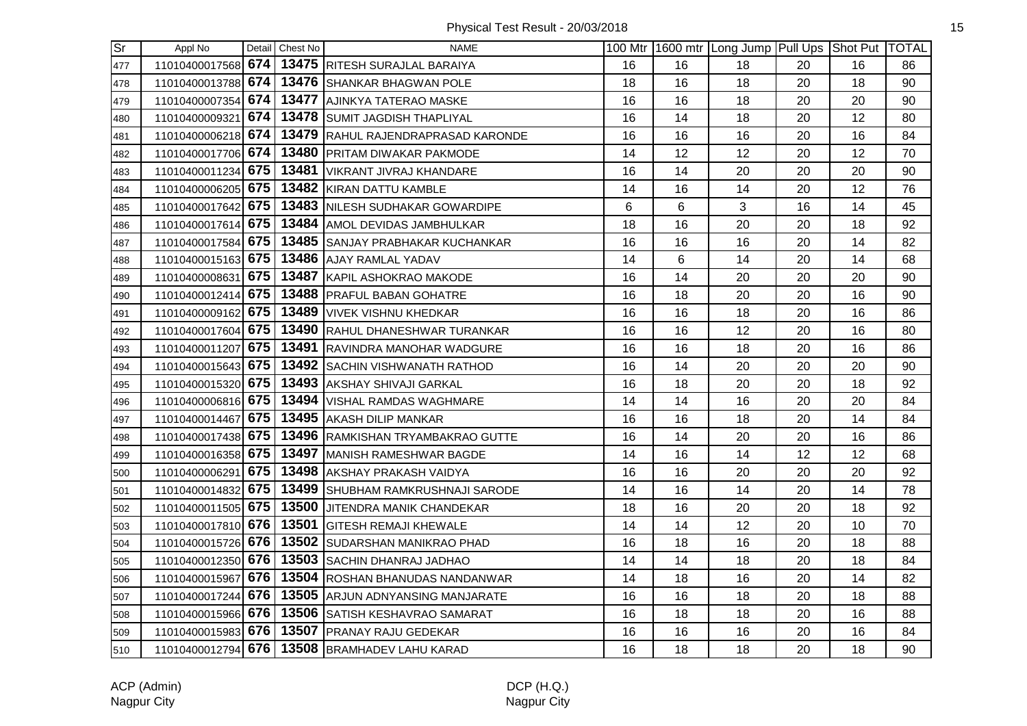| Sr  | Appl No            |     | Detail Chest No | <b>NAME</b>                                   |    |    | 100 Mtr 1600 mtr Long Jump Pull Ups Shot Put TOTAL |    |    |    |
|-----|--------------------|-----|-----------------|-----------------------------------------------|----|----|----------------------------------------------------|----|----|----|
| 477 | 11010400017568 674 |     |                 | 13475 RITESH SURAJLAL BARAIYA                 | 16 | 16 | 18                                                 | 20 | 16 | 86 |
| 478 | 11010400013788 674 |     |                 | 13476 SHANKAR BHAGWAN POLE                    | 18 | 16 | 18                                                 | 20 | 18 | 90 |
| 479 | 11010400007354     | 674 |                 | 13477 AJINKYA TATERAO MASKE                   | 16 | 16 | 18                                                 | 20 | 20 | 90 |
| 480 | 11010400009321     | 674 |                 | 13478 SUMIT JAGDISH THAPLIYAL                 | 16 | 14 | 18                                                 | 20 | 12 | 80 |
| 481 | 11010400006218 674 |     |                 | 13479 RAHUL RAJENDRAPRASAD KARONDE            | 16 | 16 | 16                                                 | 20 | 16 | 84 |
| 482 | 11010400017706 674 |     |                 | 13480 PRITAM DIWAKAR PAKMODE                  | 14 | 12 | 12                                                 | 20 | 12 | 70 |
| 483 | 11010400011234 675 |     |                 | 13481   VIKRANT JIVRAJ KHANDARE               | 16 | 14 | 20                                                 | 20 | 20 | 90 |
| 484 | 11010400006205 675 |     |                 | 13482 KIRAN DATTU KAMBLE                      | 14 | 16 | 14                                                 | 20 | 12 | 76 |
| 485 | 11010400017642 675 |     |                 | 13483 NILESH SUDHAKAR GOWARDIPE               | 6  | 6  | 3                                                  | 16 | 14 | 45 |
| 486 | 11010400017614     | 675 |                 | 13484 AMOL DEVIDAS JAMBHULKAR                 | 18 | 16 | 20                                                 | 20 | 18 | 92 |
| 487 | 11010400017584     | 675 |                 | 13485 SANJAY PRABHAKAR KUCHANKAR              | 16 | 16 | 16                                                 | 20 | 14 | 82 |
| 488 | 11010400015163 675 |     |                 | 13486 AJAY RAMLAL YADAV                       | 14 | 6  | 14                                                 | 20 | 14 | 68 |
| 489 | 11010400008631 675 |     |                 | 13487 KAPIL ASHOKRAO MAKODE                   | 16 | 14 | 20                                                 | 20 | 20 | 90 |
| 490 | 11010400012414 675 |     |                 | 13488 PRAFUL BABAN GOHATRE                    | 16 | 18 | 20                                                 | 20 | 16 | 90 |
| 491 | 11010400009162 675 |     |                 | 13489 VIVEK VISHNU KHEDKAR                    | 16 | 16 | 18                                                 | 20 | 16 | 86 |
| 492 | 11010400017604 675 |     |                 | 13490 RAHUL DHANESHWAR TURANKAR               | 16 | 16 | 12                                                 | 20 | 16 | 80 |
| 493 | 11010400011207     | 675 |                 | 13491 RAVINDRA MANOHAR WADGURE                | 16 | 16 | 18                                                 | 20 | 16 | 86 |
| 494 | 11010400015643 675 |     |                 | 13492 SACHIN VISHWANATH RATHOD                | 16 | 14 | 20                                                 | 20 | 20 | 90 |
| 495 | 11010400015320 675 |     |                 | 13493 AKSHAY SHIVAJI GARKAL                   | 16 | 18 | 20                                                 | 20 | 18 | 92 |
| 496 | 11010400006816 675 |     |                 | 13494 VISHAL RAMDAS WAGHMARE                  | 14 | 14 | 16                                                 | 20 | 20 | 84 |
| 497 | 11010400014467 675 |     |                 | 13495 AKASH DILIP MANKAR                      | 16 | 16 | 18                                                 | 20 | 14 | 84 |
| 498 | 11010400017438 675 |     |                 | 13496 RAMKISHAN TRYAMBAKRAO GUTTE             | 16 | 14 | 20                                                 | 20 | 16 | 86 |
| 499 | 11010400016358 675 |     |                 | 13497 MANISH RAMESHWAR BAGDE                  | 14 | 16 | 14                                                 | 12 | 12 | 68 |
| 500 | 11010400006291     | 675 | 13498           | AKSHAY PRAKASH VAIDYA                         | 16 | 16 | 20                                                 | 20 | 20 | 92 |
| 501 | 11010400014832 675 |     |                 | 13499 SHUBHAM RAMKRUSHNAJI SARODE             | 14 | 16 | 14                                                 | 20 | 14 | 78 |
| 502 | 11010400011505 675 |     |                 | 13500 JJITENDRA MANIK CHANDEKAR               | 18 | 16 | 20                                                 | 20 | 18 | 92 |
| 503 | 11010400017810 676 |     |                 | 13501 GITESH REMAJI KHEWALE                   | 14 | 14 | 12                                                 | 20 | 10 | 70 |
| 504 | 11010400015726 676 |     |                 | 13502 SUDARSHAN MANIKRAO PHAD                 | 16 | 18 | 16                                                 | 20 | 18 | 88 |
| 505 | 11010400012350 676 |     |                 | 13503 SACHIN DHANRAJ JADHAO                   | 14 | 14 | 18                                                 | 20 | 18 | 84 |
| 506 | 11010400015967 676 |     |                 | 13504 ROSHAN BHANUDAS NANDANWAR               | 14 | 18 | 16                                                 | 20 | 14 | 82 |
| 507 | 11010400017244 676 |     |                 | 13505 ARJUN ADNYANSING MANJARATE              | 16 | 16 | 18                                                 | 20 | 18 | 88 |
| 508 | 11010400015966 676 |     |                 | 13506 SATISH KESHAVRAO SAMARAT                | 16 | 18 | 18                                                 | 20 | 16 | 88 |
| 509 | 11010400015983 676 |     |                 | 13507 PRANAY RAJU GEDEKAR                     | 16 | 16 | 16                                                 | 20 | 16 | 84 |
| 510 |                    |     |                 | 11010400012794 676 13508 BRAMHADEV LAHU KARAD | 16 | 18 | 18                                                 | 20 | 18 | 90 |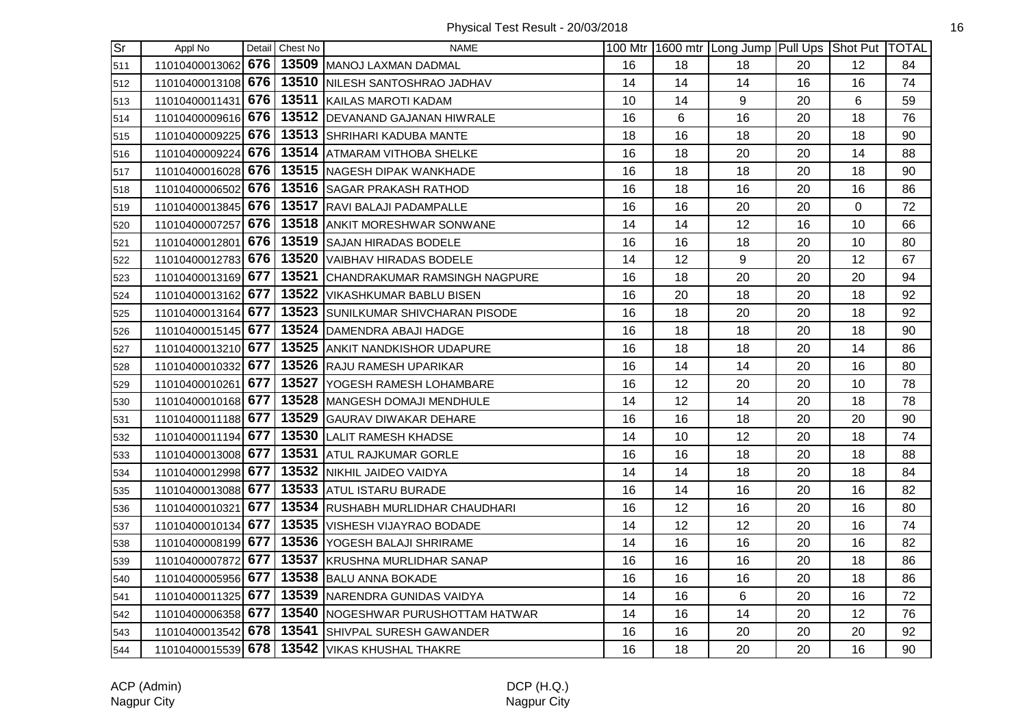| Sr  | Appl No            |     | Detail Chest No | <b>NAME</b>                         |    |    | 100 Mtr 1600 mtr Long Jump Pull Ups Shot Put TOTAL |    |    |    |
|-----|--------------------|-----|-----------------|-------------------------------------|----|----|----------------------------------------------------|----|----|----|
| 511 | 11010400013062 676 |     |                 | 13509 MANOJ LAXMAN DADMAL           | 16 | 18 | 18                                                 | 20 | 12 | 84 |
| 512 | 11010400013108 676 |     |                 | 13510 NILESH SANTOSHRAO JADHAV      | 14 | 14 | 14                                                 | 16 | 16 | 74 |
| 513 | 11010400011431     | 676 |                 | 13511 KAILAS MAROTI KADAM           | 10 | 14 | 9                                                  | 20 | 6  | 59 |
| 514 | 11010400009616 676 |     |                 | 13512 DEVANAND GAJANAN HIWRALE      | 16 | 6  | 16                                                 | 20 | 18 | 76 |
| 515 | 11010400009225 676 |     |                 | 13513 SHRIHARI KADUBA MANTE         | 18 | 16 | 18                                                 | 20 | 18 | 90 |
| 516 | 11010400009224 676 |     |                 | 13514 ATMARAM VITHOBA SHELKE        | 16 | 18 | 20                                                 | 20 | 14 | 88 |
| 517 | 11010400016028 676 |     |                 | 13515 NAGESH DIPAK WANKHADE         | 16 | 18 | 18                                                 | 20 | 18 | 90 |
| 518 | 11010400006502 676 |     |                 | 13516 SAGAR PRAKASH RATHOD          | 16 | 18 | 16                                                 | 20 | 16 | 86 |
| 519 | 11010400013845 676 |     |                 | 13517 RAVI BALAJI PADAMPALLE        | 16 | 16 | 20                                                 | 20 | 0  | 72 |
| 520 | 11010400007257     | 676 |                 | 13518 ANKIT MORESHWAR SONWANE       | 14 | 14 | 12                                                 | 16 | 10 | 66 |
| 521 | 11010400012801     | 676 |                 | 13519 SAJAN HIRADAS BODELE          | 16 | 16 | 18                                                 | 20 | 10 | 80 |
| 522 | 11010400012783 676 |     |                 | 13520 VAIBHAV HIRADAS BODELE        | 14 | 12 | 9                                                  | 20 | 12 | 67 |
| 523 | 11010400013169 677 |     |                 | 13521 CHANDRAKUMAR RAMSINGH NAGPURE | 16 | 18 | 20                                                 | 20 | 20 | 94 |
| 524 | 11010400013162 677 |     |                 | 13522 VIKASHKUMAR BABLU BISEN       | 16 | 20 | 18                                                 | 20 | 18 | 92 |
| 525 | 11010400013164 677 |     |                 | 13523 SUNILKUMAR SHIVCHARAN PISODE  | 16 | 18 | 20                                                 | 20 | 18 | 92 |
| 526 | 11010400015145 677 |     |                 | 13524 DAMENDRA ABAJI HADGE          | 16 | 18 | 18                                                 | 20 | 18 | 90 |
| 527 | 11010400013210 677 |     |                 | 13525 ANKIT NANDKISHOR UDAPURE      | 16 | 18 | 18                                                 | 20 | 14 | 86 |
| 528 | 11010400010332 677 |     |                 | 13526 RAJU RAMESH UPARIKAR          | 16 | 14 | 14                                                 | 20 | 16 | 80 |
| 529 | 11010400010261 677 |     |                 | 13527 YOGESH RAMESH LOHAMBARE       | 16 | 12 | 20                                                 | 20 | 10 | 78 |
| 530 | 11010400010168 677 |     |                 | 13528 MANGESH DOMAJI MENDHULE       | 14 | 12 | 14                                                 | 20 | 18 | 78 |
| 531 | 11010400011188 677 |     |                 | 13529 GAURAV DIWAKAR DEHARE         | 16 | 16 | 18                                                 | 20 | 20 | 90 |
| 532 | 11010400011194 677 |     |                 | 13530 LALIT RAMESH KHADSE           | 14 | 10 | 12                                                 | 20 | 18 | 74 |
| 533 | 11010400013008 677 |     |                 | 13531 ATUL RAJKUMAR GORLE           | 16 | 16 | 18                                                 | 20 | 18 | 88 |
| 534 | 11010400012998 677 |     |                 | 13532 NIKHIL JAIDEO VAIDYA          | 14 | 14 | 18                                                 | 20 | 18 | 84 |
| 535 | 11010400013088 677 |     |                 | 13533 ATUL ISTARU BURADE            | 16 | 14 | 16                                                 | 20 | 16 | 82 |
| 536 | 11010400010321     | 677 |                 | 13534 RUSHABH MURLIDHAR CHAUDHARI   | 16 | 12 | 16                                                 | 20 | 16 | 80 |
| 537 | 11010400010134 677 |     |                 | 13535 VISHESH VIJAYRAO BODADE       | 14 | 12 | 12                                                 | 20 | 16 | 74 |
| 538 | 11010400008199 677 |     |                 | 13536 YOGESH BALAJI SHRIRAME        | 14 | 16 | 16                                                 | 20 | 16 | 82 |
| 539 | 11010400007872 677 |     |                 | 13537 KRUSHNA MURLIDHAR SANAP       | 16 | 16 | 16                                                 | 20 | 18 | 86 |
| 540 | 11010400005956 677 |     |                 | 13538 BALU ANNA BOKADE              | 16 | 16 | 16                                                 | 20 | 18 | 86 |
| 541 | 11010400011325 677 |     |                 | 13539 NARENDRA GUNIDAS VAIDYA       | 14 | 16 | 6                                                  | 20 | 16 | 72 |
| 542 | 11010400006358 677 |     |                 | 13540 NOGESHWAR PURUSHOTTAM HATWAR  | 14 | 16 | 14                                                 | 20 | 12 | 76 |
| 543 | 11010400013542 678 |     | 13541           | SHIVPAL SURESH GAWANDER             | 16 | 16 | 20                                                 | 20 | 20 | 92 |
| 544 | 11010400015539 678 |     |                 | 13542 VIKAS KHUSHAL THAKRE          | 16 | 18 | 20                                                 | 20 | 16 | 90 |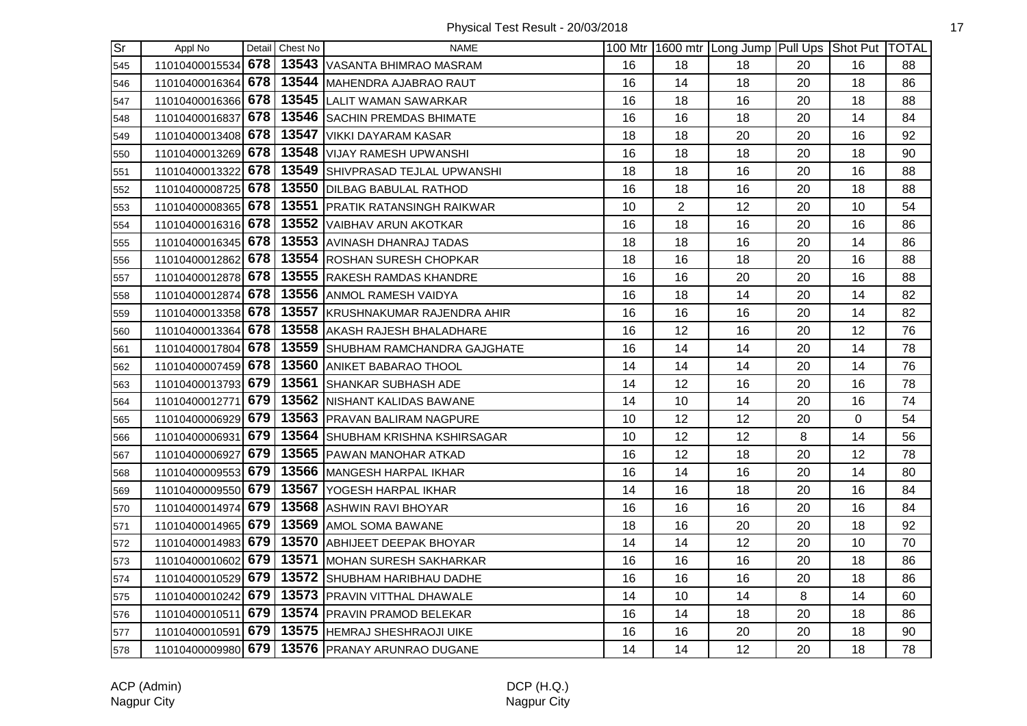Physical Test Result - 20/03/2018 17

| $\overline{\text{Sr}}$ | Appl No            |     | Detail Chest No | <b>NAME</b>                       |    |                | 100 Mtr 1600 mtr Long Jump Pull Ups Shot Put TOTAL |    |          |    |
|------------------------|--------------------|-----|-----------------|-----------------------------------|----|----------------|----------------------------------------------------|----|----------|----|
| 545                    | 11010400015534     | 678 |                 | 13543 VASANTA BHIMRAO MASRAM      | 16 | 18             | 18                                                 | 20 | 16       | 88 |
| 546                    | 11010400016364     | 678 |                 | 13544 MAHENDRA AJABRAO RAUT       | 16 | 14             | 18                                                 | 20 | 18       | 86 |
| 547                    | 11010400016366 678 |     |                 | 13545 LALIT WAMAN SAWARKAR        | 16 | 18             | 16                                                 | 20 | 18       | 88 |
| 548                    | 11010400016837     | 678 |                 | 13546 SACHIN PREMDAS BHIMATE      | 16 | 16             | 18                                                 | 20 | 14       | 84 |
| 549                    | 11010400013408 678 |     |                 | 13547 VIKKI DAYARAM KASAR         | 18 | 18             | 20                                                 | 20 | 16       | 92 |
| 550                    | 11010400013269 678 |     |                 | 13548 VIJAY RAMESH UPWANSHI       | 16 | 18             | 18                                                 | 20 | 18       | 90 |
| 551                    | 11010400013322     | 678 |                 | 13549 SHIVPRASAD TEJLAL UPWANSHI  | 18 | 18             | 16                                                 | 20 | 16       | 88 |
| 552                    | 11010400008725     | 678 |                 | 13550 DILBAG BABULAL RATHOD       | 16 | 18             | 16                                                 | 20 | 18       | 88 |
| 553                    | 11010400008365     | 678 |                 | 13551 PRATIK RATANSINGH RAIKWAR   | 10 | $\overline{2}$ | 12                                                 | 20 | 10       | 54 |
| 554                    | 11010400016316 678 |     |                 | 13552 VAIBHAV ARUN AKOTKAR        | 16 | 18             | 16                                                 | 20 | 16       | 86 |
| 555                    | 11010400016345 678 |     |                 | 13553 AVINASH DHANRAJ TADAS       | 18 | 18             | 16                                                 | 20 | 14       | 86 |
| 556                    | 11010400012862 678 |     |                 | 13554 ROSHAN SURESH CHOPKAR       | 18 | 16             | 18                                                 | 20 | 16       | 88 |
| 557                    | 11010400012878 678 |     |                 | 13555 RAKESH RAMDAS KHANDRE       | 16 | 16             | 20                                                 | 20 | 16       | 88 |
| 558                    | 11010400012874 678 |     |                 | 13556 ANMOL RAMESH VAIDYA         | 16 | 18             | 14                                                 | 20 | 14       | 82 |
| 559                    | 11010400013358 678 |     |                 | 13557 KRUSHNAKUMAR RAJENDRA AHIR  | 16 | 16             | 16                                                 | 20 | 14       | 82 |
| 560                    | 11010400013364     | 678 |                 | 13558 AKASH RAJESH BHALADHARE     | 16 | 12             | 16                                                 | 20 | 12       | 76 |
| 561                    | 11010400017804     | 678 |                 | 13559 SHUBHAM RAMCHANDRA GAJGHATE | 16 | 14             | 14                                                 | 20 | 14       | 78 |
| 562                    | 11010400007459 678 |     |                 | 13560 ANIKET BABARAO THOOL        | 14 | 14             | 14                                                 | 20 | 14       | 76 |
| 563                    | 11010400013793 679 |     |                 | 13561 SHANKAR SUBHASH ADE         | 14 | 12             | 16                                                 | 20 | 16       | 78 |
| 564                    | 11010400012771 679 |     |                 | 13562 NISHANT KALIDAS BAWANE      | 14 | 10             | 14                                                 | 20 | 16       | 74 |
| 565                    | 11010400006929 679 |     |                 | 13563 PRAVAN BALIRAM NAGPURE      | 10 | 12             | 12                                                 | 20 | $\Omega$ | 54 |
| 566                    | 11010400006931 679 |     |                 | 13564 SHUBHAM KRISHNA KSHIRSAGAR  | 10 | 12             | 12                                                 | 8  | 14       | 56 |
| 567                    | 11010400006927     | 679 |                 | 13565 PAWAN MANOHAR ATKAD         | 16 | 12             | 18                                                 | 20 | 12       | 78 |
| 568                    | 11010400009553     | 679 |                 | 13566 MANGESH HARPAL IKHAR        | 16 | 14             | 16                                                 | 20 | 14       | 80 |
| 569                    | 11010400009550     | 679 |                 | 13567 YOGESH HARPAL IKHAR         | 14 | 16             | 18                                                 | 20 | 16       | 84 |
| 570                    | 11010400014974 679 |     |                 | 13568 ASHWIN RAVI BHOYAR          | 16 | 16             | 16                                                 | 20 | 16       | 84 |
| 571                    | 11010400014965 679 |     |                 | 13569 AMOL SOMA BAWANE            | 18 | 16             | 20                                                 | 20 | 18       | 92 |
| 572                    | 11010400014983 679 |     |                 | 13570 ABHIJEET DEEPAK BHOYAR      | 14 | 14             | 12                                                 | 20 | 10       | 70 |
| 573                    | 11010400010602 679 |     |                 | 13571 MOHAN SURESH SAKHARKAR      | 16 | 16             | 16                                                 | 20 | 18       | 86 |
| 574                    | 11010400010529 679 |     |                 | 13572 SHUBHAM HARIBHAU DADHE      | 16 | 16             | 16                                                 | 20 | 18       | 86 |
| 575                    | 11010400010242 679 |     |                 | 13573 PRAVIN VITTHAL DHAWALE      | 14 | 10             | 14                                                 | 8  | 14       | 60 |
| 576                    | 11010400010511     | 679 |                 | 13574 PRAVIN PRAMOD BELEKAR       | 16 | 14             | 18                                                 | 20 | 18       | 86 |
| 577                    | 11010400010591 679 |     |                 | 13575 HEMRAJ SHESHRAOJI UIKE      | 16 | 16             | 20                                                 | 20 | 18       | 90 |
| 578                    | 11010400009980 679 |     |                 | 13576 PRANAY ARUNRAO DUGANE       | 14 | 14             | 12                                                 | 20 | 18       | 78 |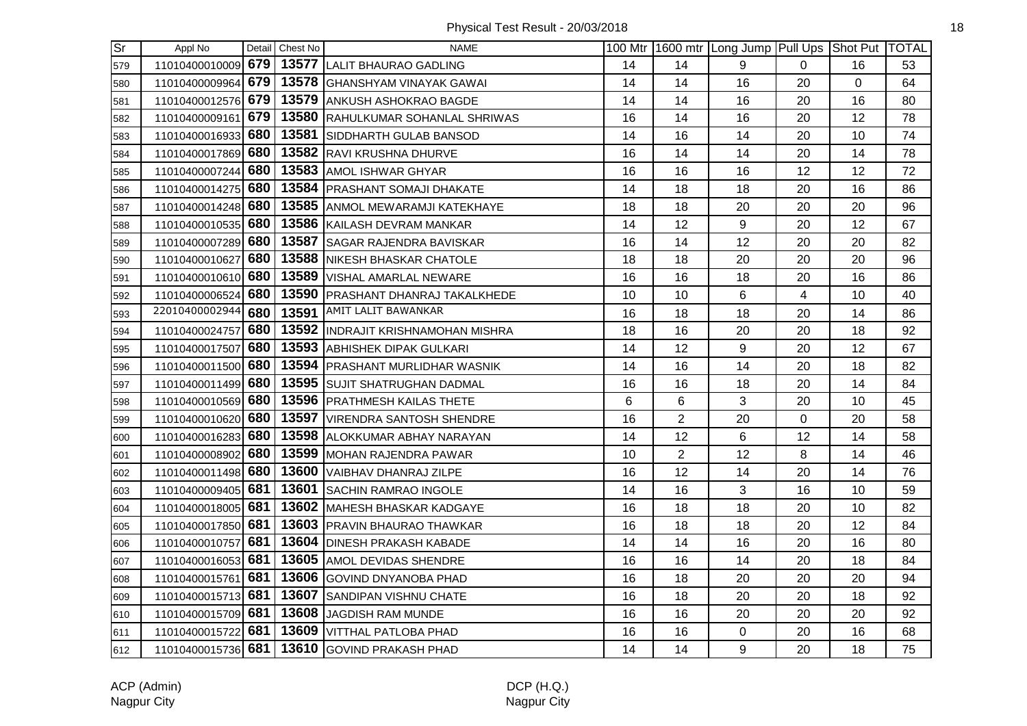| lSr | Appl No            |     | Detail Chest No | <b>NAME</b>                         |    |                | 100 Mtr 1600 mtr Long Jump Pull Ups Shot Put TOTAL |          |    |    |
|-----|--------------------|-----|-----------------|-------------------------------------|----|----------------|----------------------------------------------------|----------|----|----|
| 579 | 11010400010009     | 679 |                 | 13577 LALIT BHAURAO GADLING         | 14 | 14             | 9                                                  | $\Omega$ | 16 | 53 |
| 580 | 11010400009964     | 679 |                 | 13578 GHANSHYAM VINAYAK GAWAI       | 14 | 14             | 16                                                 | 20       | 0  | 64 |
| 581 | 11010400012576     | 679 |                 | 13579 ANKUSH ASHOKRAO BAGDE         | 14 | 14             | 16                                                 | 20       | 16 | 80 |
| 582 | 11010400009161     | 679 |                 | 13580 RAHULKUMAR SOHANLAL SHRIWAS   | 16 | 14             | 16                                                 | 20       | 12 | 78 |
| 583 | 11010400016933     | 680 |                 | 13581 SIDDHARTH GULAB BANSOD        | 14 | 16             | 14                                                 | 20       | 10 | 74 |
| 584 | 11010400017869 680 |     |                 | 13582 RAVI KRUSHNA DHURVE           | 16 | 14             | 14                                                 | 20       | 14 | 78 |
| 585 | 11010400007244     | 680 |                 | 13583 AMOL ISHWAR GHYAR             | 16 | 16             | 16                                                 | 12       | 12 | 72 |
| 586 | 11010400014275 680 |     |                 | 13584 PRASHANT SOMAJI DHAKATE       | 14 | 18             | 18                                                 | 20       | 16 | 86 |
| 587 | 11010400014248 680 |     |                 | 13585 ANMOL MEWARAMJI KATEKHAYE     | 18 | 18             | 20                                                 | 20       | 20 | 96 |
| 588 | 11010400010535     | 680 |                 | 13586 KAILASH DEVRAM MANKAR         | 14 | 12             | 9                                                  | 20       | 12 | 67 |
| 589 | 11010400007289     | 680 |                 | 13587 SAGAR RAJENDRA BAVISKAR       | 16 | 14             | 12                                                 | 20       | 20 | 82 |
| 590 | 11010400010627     | 680 |                 | 13588 NIKESH BHASKAR CHATOLE        | 18 | 18             | 20                                                 | 20       | 20 | 96 |
| 591 | 11010400010610 680 |     |                 | 13589 VISHAL AMARLAL NEWARE         | 16 | 16             | 18                                                 | 20       | 16 | 86 |
| 592 | 11010400006524 680 |     |                 | 13590 PRASHANT DHANRAJ TAKALKHEDE   | 10 | 10             | 6                                                  | 4        | 10 | 40 |
| 593 | 22010400002944     | 680 |                 | 13591   AMIT LALIT BAWANKAR         | 16 | 18             | 18                                                 | 20       | 14 | 86 |
| 594 | 11010400024757 680 |     |                 | 13592 IINDRAJIT KRISHNAMOHAN MISHRA | 18 | 16             | 20                                                 | 20       | 18 | 92 |
| 595 | 11010400017507     | 680 |                 | 13593 ABHISHEK DIPAK GULKARI        | 14 | 12             | 9                                                  | 20       | 12 | 67 |
| 596 | 11010400011500 680 |     |                 | 13594 PRASHANT MURLIDHAR WASNIK     | 14 | 16             | 14                                                 | 20       | 18 | 82 |
| 597 | 11010400011499 680 |     |                 | 13595 SUJIT SHATRUGHAN DADMAL       | 16 | 16             | 18                                                 | 20       | 14 | 84 |
| 598 | 11010400010569     | 680 |                 | 13596 PRATHMESH KAILAS THETE        | 6  | 6              | 3                                                  | 20       | 10 | 45 |
| 599 | 11010400010620 680 |     |                 | 13597 VIRENDRA SANTOSH SHENDRE      | 16 | $\overline{2}$ | 20                                                 | 0        | 20 | 58 |
| 600 | 11010400016283 680 |     |                 | 13598 ALOKKUMAR ABHAY NARAYAN       | 14 | 12             | 6                                                  | 12       | 14 | 58 |
| 601 | 11010400008902 680 |     |                 | 13599 MOHAN RAJENDRA PAWAR          | 10 | $\overline{2}$ | 12                                                 | 8        | 14 | 46 |
| 602 | 11010400011498     | 680 |                 | 13600 VAIBHAV DHANRAJ ZILPE         | 16 | 12             | 14                                                 | 20       | 14 | 76 |
| 603 | 11010400009405     | 681 | 13601           | SACHIN RAMRAO INGOLE                | 14 | 16             | 3                                                  | 16       | 10 | 59 |
| 604 | 11010400018005     | 681 |                 | 13602 MAHESH BHASKAR KADGAYE        | 16 | 18             | 18                                                 | 20       | 10 | 82 |
| 605 | 11010400017850     | 681 |                 | 13603 PRAVIN BHAURAO THAWKAR        | 16 | 18             | 18                                                 | 20       | 12 | 84 |
| 606 | 11010400010757     | 681 |                 | 13604 DINESH PRAKASH KABADE         | 14 | 14             | 16                                                 | 20       | 16 | 80 |
| 607 | 11010400016053 681 |     |                 | 13605 AMOL DEVIDAS SHENDRE          | 16 | 16             | 14                                                 | 20       | 18 | 84 |
| 608 | 11010400015761 681 |     |                 | 13606 GOVIND DNYANOBA PHAD          | 16 | 18             | 20                                                 | 20       | 20 | 94 |
| 609 | 11010400015713 681 |     |                 | 13607 SANDIPAN VISHNU CHATE         | 16 | 18             | 20                                                 | 20       | 18 | 92 |
| 610 | 11010400015709 681 |     |                 | 13608 JAGDISH RAM MUNDE             | 16 | 16             | 20                                                 | 20       | 20 | 92 |
| 611 | 11010400015722     | 681 |                 | 13609   VITTHAL PATLOBA PHAD        | 16 | 16             | 0                                                  | 20       | 16 | 68 |
| 612 | 11010400015736 681 |     |                 | 13610 GOVIND PRAKASH PHAD           | 14 | 14             | 9                                                  | 20       | 18 | 75 |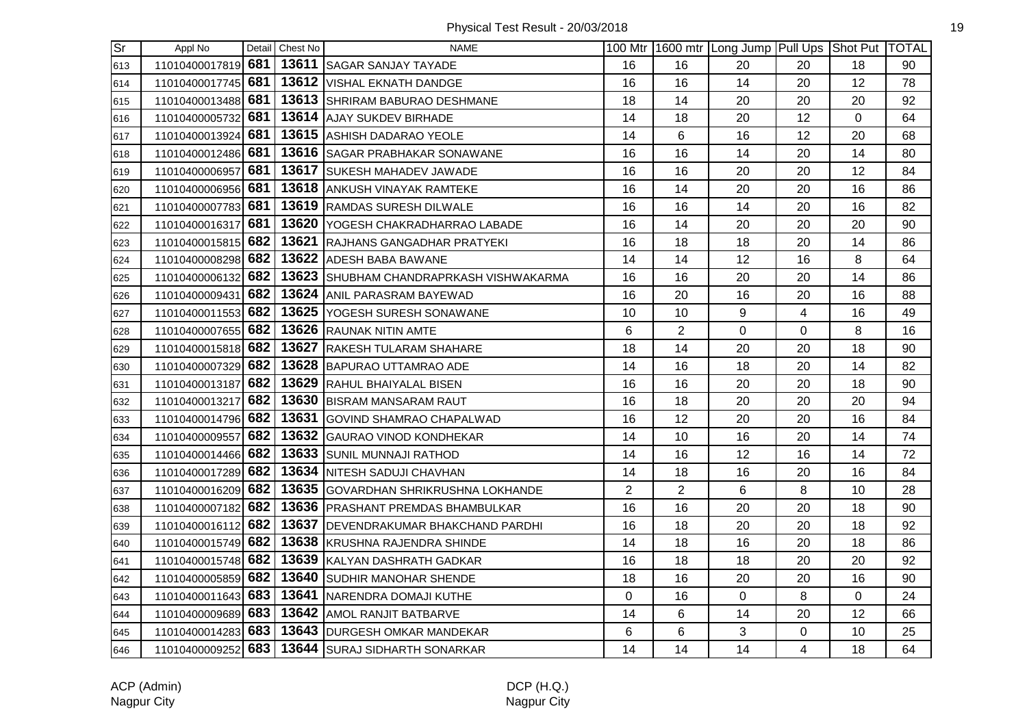| Sr  | Appl No            |     | Detail Chest No | <b>NAME</b>                             |                |                | 100 Mtr 1600 mtr Long Jump Pull Ups Shot Put TOTAL |                |    |    |
|-----|--------------------|-----|-----------------|-----------------------------------------|----------------|----------------|----------------------------------------------------|----------------|----|----|
| 613 | 11010400017819 681 |     |                 | 13611 SAGAR SANJAY TAYADE               | 16             | 16             | 20                                                 | 20             | 18 | 90 |
| 614 | 11010400017745 681 |     |                 | 13612 VISHAL EKNATH DANDGE              | 16             | 16             | 14                                                 | 20             | 12 | 78 |
| 615 | 11010400013488     | 681 |                 | 13613 SHRIRAM BABURAO DESHMANE          | 18             | 14             | 20                                                 | 20             | 20 | 92 |
| 616 | 11010400005732     | 681 |                 | 13614 AJAY SUKDEV BIRHADE               | 14             | 18             | 20                                                 | 12             | 0  | 64 |
| 617 | 11010400013924     | 681 |                 | 13615 ASHISH DADARAO YEOLE              | 14             | 6              | 16                                                 | 12             | 20 | 68 |
| 618 | 11010400012486 681 |     |                 | 13616 SAGAR PRABHAKAR SONAWANE          | 16             | 16             | 14                                                 | 20             | 14 | 80 |
| 619 | 11010400006957     | 681 |                 | 13617 SUKESH MAHADEV JAWADE             | 16             | 16             | 20                                                 | 20             | 12 | 84 |
| 620 | 11010400006956 681 |     |                 | 13618 ANKUSH VINAYAK RAMTEKE            | 16             | 14             | 20                                                 | 20             | 16 | 86 |
| 621 | 11010400007783 681 |     |                 | 13619 RAMDAS SURESH DILWALE             | 16             | 16             | 14                                                 | 20             | 16 | 82 |
| 622 | 11010400016317     | 681 |                 | 13620 YOGESH CHAKRADHARRAO LABADE       | 16             | 14             | 20                                                 | 20             | 20 | 90 |
| 623 | 11010400015815     | 682 |                 | 13621 RAJHANS GANGADHAR PRATYEKI        | 16             | 18             | 18                                                 | 20             | 14 | 86 |
| 624 | 11010400008298 682 |     |                 | 13622 ADESH BABA BAWANE                 | 14             | 14             | 12                                                 | 16             | 8  | 64 |
| 625 | 11010400006132 682 |     |                 | 13623 SHUBHAM CHANDRAPRKASH VISHWAKARMA | 16             | 16             | 20                                                 | 20             | 14 | 86 |
| 626 | 11010400009431 682 |     |                 | 13624 ANIL PARASRAM BAYEWAD             | 16             | 20             | 16                                                 | 20             | 16 | 88 |
| 627 | 11010400011553 682 |     |                 | 13625 YOGESH SURESH SONAWANE            | 10             | 10             | 9                                                  | $\overline{4}$ | 16 | 49 |
| 628 | 11010400007655 682 |     |                 | 13626 RAUNAK NITIN AMTE                 | 6              | $\overline{2}$ | $\mathbf 0$                                        | 0              | 8  | 16 |
| 629 | 11010400015818 682 |     |                 | 13627 RAKESH TULARAM SHAHARE            | 18             | 14             | 20                                                 | 20             | 18 | 90 |
| 630 | 11010400007329 682 |     |                 | 13628 BAPURAO UTTAMRAO ADE              | 14             | 16             | 18                                                 | 20             | 14 | 82 |
| 631 | 11010400013187     | 682 |                 | 13629 RAHUL BHAIYALAL BISEN             | 16             | 16             | 20                                                 | 20             | 18 | 90 |
| 632 | 11010400013217     | 682 |                 | 13630 BISRAM MANSARAM RAUT              | 16             | 18             | 20                                                 | 20             | 20 | 94 |
| 633 | 11010400014796 682 |     |                 | 13631 GOVIND SHAMRAO CHAPALWAD          | 16             | 12             | 20                                                 | 20             | 16 | 84 |
| 634 | 11010400009557     | 682 |                 | 13632 GAURAO VINOD KONDHEKAR            | 14             | 10             | 16                                                 | 20             | 14 | 74 |
| 635 | 11010400014466 682 |     |                 | 13633 SUNIL MUNNAJI RATHOD              | 14             | 16             | 12                                                 | 16             | 14 | 72 |
| 636 | 11010400017289 682 |     |                 | 13634 NITESH SADUJI CHAVHAN             | 14             | 18             | 16                                                 | 20             | 16 | 84 |
| 637 | 11010400016209     | 682 |                 | 13635 GOVARDHAN SHRIKRUSHNA LOKHANDE    | $\overline{2}$ | $\overline{2}$ | $6\phantom{1}6$                                    | 8              | 10 | 28 |
| 638 | 11010400007182 682 |     |                 | 13636 PRASHANT PREMDAS BHAMBULKAR       | 16             | 16             | 20                                                 | 20             | 18 | 90 |
| 639 | 11010400016112 682 |     |                 | 13637 DEVENDRAKUMAR BHAKCHAND PARDHI    | 16             | 18             | 20                                                 | 20             | 18 | 92 |
| 640 | 11010400015749 682 |     |                 | 13638 KRUSHNA RAJENDRA SHINDE           | 14             | 18             | 16                                                 | 20             | 18 | 86 |
| 641 | 11010400015748 682 |     |                 | 13639 KALYAN DASHRATH GADKAR            | 16             | 18             | 18                                                 | 20             | 20 | 92 |
| 642 | 11010400005859 682 |     |                 | 13640 SUDHIR MANOHAR SHENDE             | 18             | 16             | 20                                                 | 20             | 16 | 90 |
| 643 | 11010400011643 683 |     |                 | 13641 NARENDRA DOMAJI KUTHE             | 0              | 16             | $\mathbf 0$                                        | 8              | 0  | 24 |
| 644 | 11010400009689     | 683 |                 | 13642 AMOL RANJIT BATBARVE              | 14             | 6              | 14                                                 | 20             | 12 | 66 |
| 645 | 11010400014283 683 |     |                 | 13643 DURGESH OMKAR MANDEKAR            | 6              | 6              | 3                                                  | 0              | 10 | 25 |
| 646 | 11010400009252 683 |     |                 | 13644 SURAJ SIDHARTH SONARKAR           | 14             | 14             | 14                                                 | $\overline{4}$ | 18 | 64 |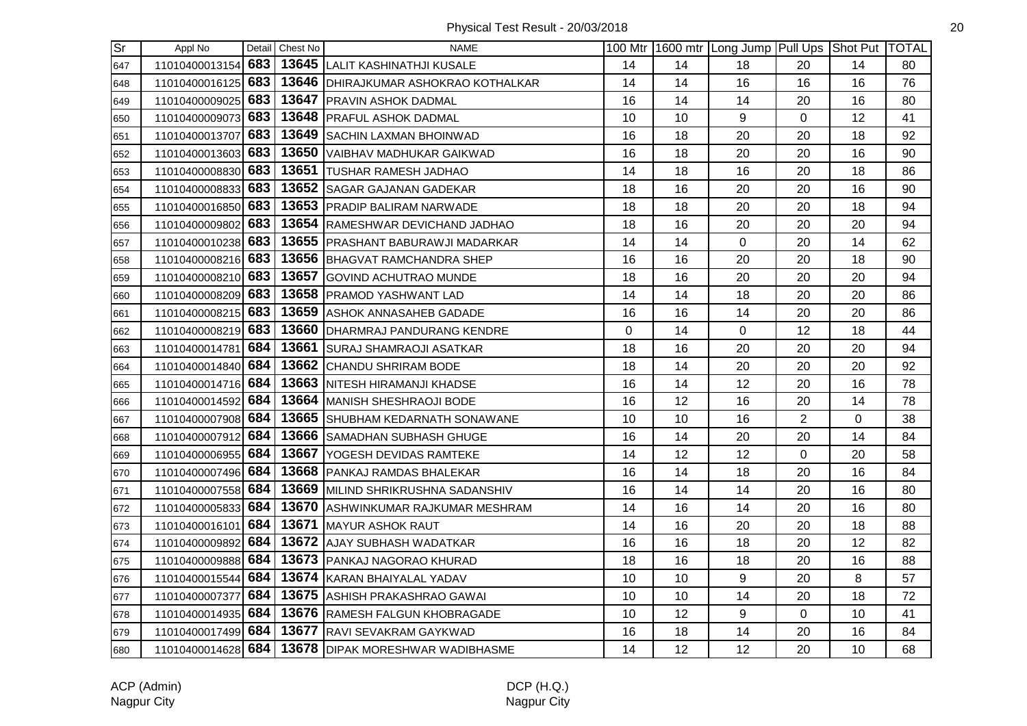| $\overline{\mathsf{Sr}}$ | Appl No            |       | Detail Chest No | <b>NAME</b>                                           |    |    | 100 Mtr   1600 mtr   Long Jump   Pull Ups   Shot Put   TOTAL |                |    |    |
|--------------------------|--------------------|-------|-----------------|-------------------------------------------------------|----|----|--------------------------------------------------------------|----------------|----|----|
| 647                      | 11010400013154 683 |       |                 | 13645 LALIT KASHINATHJI KUSALE                        | 14 | 14 | 18                                                           | 20             | 14 | 80 |
| 648                      | 11010400016125 683 |       |                 | 13646   DHIRAJKUMAR ASHOKRAO KOTHALKAR                | 14 | 14 | 16                                                           | 16             | 16 | 76 |
| 649                      | 11010400009025 683 |       |                 | 13647 PRAVIN ASHOK DADMAL                             | 16 | 14 | 14                                                           | 20             | 16 | 80 |
| 650                      | 11010400009073 683 |       |                 | 13648 PRAFUL ASHOK DADMAL                             | 10 | 10 | $\boldsymbol{9}$                                             | $\mathbf 0$    | 12 | 41 |
| 651                      | 11010400013707 683 |       |                 | 13649 SACHIN LAXMAN BHOINWAD                          | 16 | 18 | 20                                                           | 20             | 18 | 92 |
| 652                      | 11010400013603 683 |       |                 | 13650 VAIBHAV MADHUKAR GAIKWAD                        | 16 | 18 | 20                                                           | 20             | 16 | 90 |
| 653                      | 11010400008830 683 |       |                 | 13651 TUSHAR RAMESH JADHAO                            | 14 | 18 | 16                                                           | 20             | 18 | 86 |
| 654                      | 11010400008833 683 |       |                 | 13652 SAGAR GAJANAN GADEKAR                           | 18 | 16 | 20                                                           | 20             | 16 | 90 |
| 655                      | 11010400016850 683 |       |                 | 13653 PRADIP BALIRAM NARWADE                          | 18 | 18 | 20                                                           | 20             | 18 | 94 |
| 656                      | 11010400009802     | 683   |                 | 13654 RAMESHWAR DEVICHAND JADHAO                      | 18 | 16 | 20                                                           | 20             | 20 | 94 |
| 657                      | 11010400010238 683 |       |                 | 13655 PRASHANT BABURAWJI MADARKAR                     | 14 | 14 | $\mathbf 0$                                                  | 20             | 14 | 62 |
| 658                      | 11010400008216 683 |       |                 | 13656 BHAGVAT RAMCHANDRA SHEP                         | 16 | 16 | 20                                                           | 20             | 18 | 90 |
| 659                      | 11010400008210 683 |       |                 | 13657 GOVIND ACHUTRAO MUNDE                           | 18 | 16 | 20                                                           | 20             | 20 | 94 |
| 660                      | 11010400008209 683 |       |                 | 13658 PRAMOD YASHWANT LAD                             | 14 | 14 | 18                                                           | 20             | 20 | 86 |
| 661                      | 11010400008215 683 |       |                 | 13659 ASHOK ANNASAHEB GADADE                          | 16 | 16 | 14                                                           | 20             | 20 | 86 |
| 662                      | 11010400008219 683 |       |                 | 13660 DHARMRAJ PANDURANG KENDRE                       | 0  | 14 | $\mathsf 0$                                                  | 12             | 18 | 44 |
| 663                      | 11010400014781     | 684   |                 | 13661 SURAJ SHAMRAOJI ASATKAR                         | 18 | 16 | 20                                                           | 20             | 20 | 94 |
| 664                      | 11010400014840 684 |       |                 | 13662 CHANDU SHRIRAM BODE                             | 18 | 14 | 20                                                           | 20             | 20 | 92 |
| 665                      | 11010400014716 684 |       |                 | 13663 NITESH HIRAMANJI KHADSE                         | 16 | 14 | 12                                                           | 20             | 16 | 78 |
| 666                      | 11010400014592 684 |       |                 | 13664 MANISH SHESHRAOJI BODE                          | 16 | 12 | 16                                                           | 20             | 14 | 78 |
| 667                      | 11010400007908 684 |       |                 | 13665 SHUBHAM KEDARNATH SONAWANE                      | 10 | 10 | 16                                                           | $\overline{2}$ | 0  | 38 |
| 668                      | 11010400007912 684 |       |                 | 13666 SAMADHAN SUBHASH GHUGE                          | 16 | 14 | 20                                                           | 20             | 14 | 84 |
| 669                      | 11010400006955 684 |       |                 | 13667 YOGESH DEVIDAS RAMTEKE                          | 14 | 12 | 12                                                           | $\overline{0}$ | 20 | 58 |
| 670                      | 11010400007496 684 |       |                 | 13668 PANKAJ RAMDAS BHALEKAR                          | 16 | 14 | 18                                                           | 20             | 16 | 84 |
| 671                      | 11010400007558 684 |       |                 | 13669 MILIND SHRIKRUSHNA SADANSHIV                    | 16 | 14 | 14                                                           | 20             | 16 | 80 |
| 672                      | 11010400005833 684 |       |                 | 13670 ASHWINKUMAR RAJKUMAR MESHRAM                    | 14 | 16 | 14                                                           | 20             | 16 | 80 |
| 673                      | 11010400016101 684 |       |                 | 13671 MAYUR ASHOK RAUT                                | 14 | 16 | 20                                                           | 20             | 18 | 88 |
| 674                      | 11010400009892 684 |       |                 | 13672 AJAY SUBHASH WADATKAR                           | 16 | 16 | 18                                                           | 20             | 12 | 82 |
| 675                      | 11010400009888 684 |       |                 | 13673   PANKAJ NAGORAO KHURAD                         | 18 | 16 | 18                                                           | 20             | 16 | 88 |
| 676                      | 11010400015544 684 |       |                 | 13674 KARAN BHAIYALAL YADAV                           | 10 | 10 | $\boldsymbol{9}$                                             | 20             | 8  | 57 |
| 677                      | 11010400007377     | l 684 |                 | 13675 ASHISH PRAKASHRAO GAWAI                         | 10 | 10 | 14                                                           | 20             | 18 | 72 |
| 678                      | 11010400014935     | 684   |                 | 13676 RAMESH FALGUN KHOBRAGADE                        | 10 | 12 | 9                                                            | 0              | 10 | 41 |
| 679                      | 11010400017499 684 |       |                 | 13677 RAVI SEVAKRAM GAYKWAD                           | 16 | 18 | 14                                                           | 20             | 16 | 84 |
| 680                      |                    |       |                 | 11010400014628 684   13678 DIPAK MORESHWAR WADIBHASME | 14 | 12 | 12                                                           | 20             | 10 | 68 |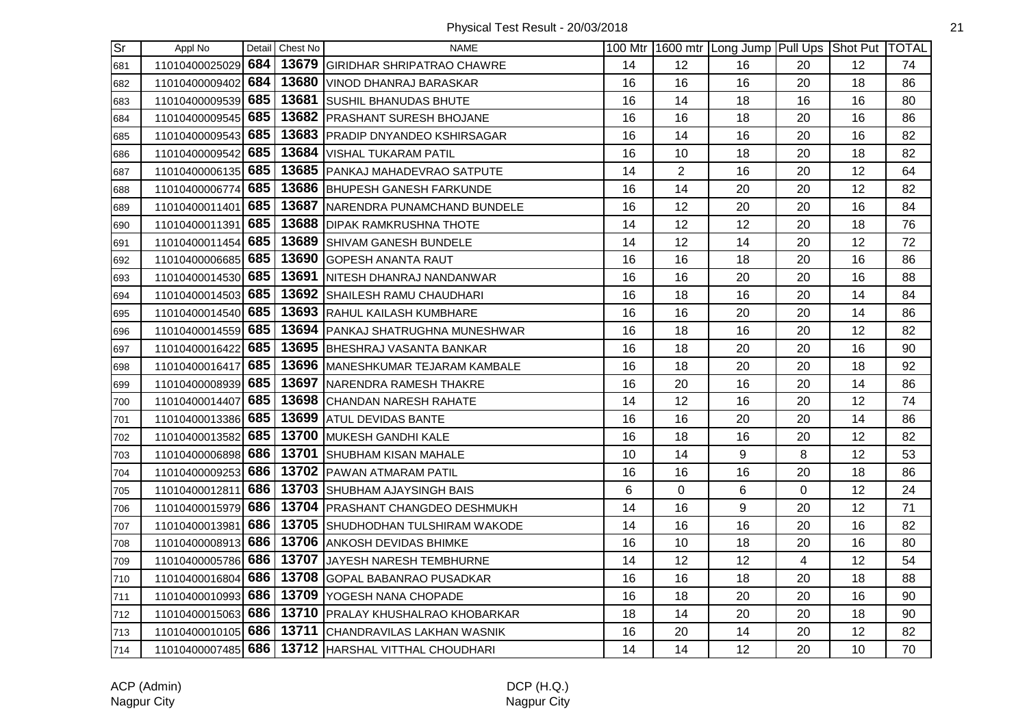| $\overline{\text{Sr}}$ | Appl No            |     | Detail Chest No | <b>NAME</b>                                        |    |                | 100 Mtr   1600 mtr   Long Jump   Pull Ups   Shot Put   TOTAL |                |    |    |
|------------------------|--------------------|-----|-----------------|----------------------------------------------------|----|----------------|--------------------------------------------------------------|----------------|----|----|
| 681                    | 11010400025029     | 684 |                 | 13679 GIRIDHAR SHRIPATRAO CHAWRE                   | 14 | 12             | 16                                                           | 20             | 12 | 74 |
| 682                    | 11010400009402     | 684 |                 | 13680 VINOD DHANRAJ BARASKAR                       | 16 | 16             | 16                                                           | 20             | 18 | 86 |
| 683                    | 11010400009539     | 685 |                 | 13681 SUSHIL BHANUDAS BHUTE                        | 16 | 14             | 18                                                           | 16             | 16 | 80 |
| 684                    | 11010400009545     | 685 |                 | 13682 PRASHANT SURESH BHOJANE                      | 16 | 16             | 18                                                           | 20             | 16 | 86 |
| 685                    | 11010400009543     | 685 |                 | 13683 PRADIP DNYANDEO KSHIRSAGAR                   | 16 | 14             | 16                                                           | 20             | 16 | 82 |
| 686                    | 11010400009542 685 |     |                 | 13684 VISHAL TUKARAM PATIL                         | 16 | 10             | 18                                                           | 20             | 18 | 82 |
| 687                    | 11010400006135 685 |     |                 | 13685 PANKAJ MAHADEVRAO SATPUTE                    | 14 | $\overline{2}$ | 16                                                           | 20             | 12 | 64 |
| 688                    | 11010400006774 685 |     |                 | 13686 BHUPESH GANESH FARKUNDE                      | 16 | 14             | 20                                                           | 20             | 12 | 82 |
| 689                    | 11010400011401     | 685 |                 | 13687 NARENDRA PUNAMCHAND BUNDELE                  | 16 | 12             | 20                                                           | 20             | 16 | 84 |
| 690                    | 11010400011391     | 685 |                 | 13688 DIPAK RAMKRUSHNA THOTE                       | 14 | 12             | 12                                                           | 20             | 18 | 76 |
| 691                    | 11010400011454     | 685 |                 | 13689 SHIVAM GANESH BUNDELE                        | 14 | 12             | 14                                                           | 20             | 12 | 72 |
| 692                    | 11010400006685     | 685 |                 | 13690 GOPESH ANANTA RAUT                           | 16 | 16             | 18                                                           | 20             | 16 | 86 |
| 693                    | 11010400014530 685 |     |                 | 13691 NITESH DHANRAJ NANDANWAR                     | 16 | 16             | 20                                                           | 20             | 16 | 88 |
| 694                    | 11010400014503 685 |     |                 | 13692 SHAILESH RAMU CHAUDHARI                      | 16 | 18             | 16                                                           | 20             | 14 | 84 |
| 695                    | 11010400014540 685 |     |                 | 13693 RAHUL KAILASH KUMBHARE                       | 16 | 16             | 20                                                           | 20             | 14 | 86 |
| 696                    | 11010400014559 685 |     |                 | 13694 PANKAJ SHATRUGHNA MUNESHWAR                  | 16 | 18             | 16                                                           | 20             | 12 | 82 |
| 697                    | 11010400016422     | 685 |                 | 13695 BHESHRAJ VASANTA BANKAR                      | 16 | 18             | 20                                                           | 20             | 16 | 90 |
| 698                    | 11010400016417     | 685 |                 | 13696   MANESHKUMAR TEJARAM KAMBALE                | 16 | 18             | 20                                                           | 20             | 18 | 92 |
| 699                    | 11010400008939     | 685 |                 | 13697 NARENDRA RAMESH THAKRE                       | 16 | 20             | 16                                                           | 20             | 14 | 86 |
| 700                    | 11010400014407     | 685 |                 | 13698 CHANDAN NARESH RAHATE                        | 14 | 12             | 16                                                           | 20             | 12 | 74 |
| 701                    | 11010400013386 685 |     |                 | 13699 ATUL DEVIDAS BANTE                           | 16 | 16             | 20                                                           | 20             | 14 | 86 |
| 702                    | 11010400013582 685 |     |                 | 13700 MUKESH GANDHI KALE                           | 16 | 18             | 16                                                           | 20             | 12 | 82 |
| 703                    | 11010400006898     | 686 |                 | 13701 SHUBHAM KISAN MAHALE                         | 10 | 14             | $\boldsymbol{9}$                                             | 8              | 12 | 53 |
| 704                    | 11010400009253     | 686 |                 | 13702 PAWAN ATMARAM PATIL                          | 16 | 16             | 16                                                           | 20             | 18 | 86 |
| 705                    | 11010400012811     | 686 |                 | 13703 SHUBHAM AJAYSINGH BAIS                       | 6  | 0              | 6                                                            | 0              | 12 | 24 |
| 706                    | 11010400015979     | 686 |                 | 13704 PRASHANT CHANGDEO DESHMUKH                   | 14 | 16             | 9                                                            | 20             | 12 | 71 |
| 707                    | 11010400013981     | 686 |                 | 13705 SHUDHODHAN TULSHIRAM WAKODE                  | 14 | 16             | 16                                                           | 20             | 16 | 82 |
| 708                    | 11010400008913 686 |     |                 | 13706 ANKOSH DEVIDAS BHIMKE                        | 16 | 10             | 18                                                           | 20             | 16 | 80 |
| 709                    | 11010400005786 686 |     |                 | 13707 JAYESH NARESH TEMBHURNE                      | 14 | 12             | 12                                                           | $\overline{4}$ | 12 | 54 |
| 710                    | 11010400016804 686 |     |                 | 13708 GOPAL BABANRAO PUSADKAR                      | 16 | 16             | 18                                                           | 20             | 18 | 88 |
| 711                    | 11010400010993     | 686 |                 | 13709 YOGESH NANA CHOPADE                          | 16 | 18             | 20                                                           | 20             | 16 | 90 |
| 712                    | 11010400015063     | 686 |                 | 13710 PRALAY KHUSHALRAO KHOBARKAR                  | 18 | 14             | 20                                                           | 20             | 18 | 90 |
| 713                    | 11010400010105 686 |     |                 | 13711 CHANDRAVILAS LAKHAN WASNIK                   | 16 | 20             | 14                                                           | 20             | 12 | 82 |
| 714                    |                    |     |                 | 11010400007485 686 13712 HARSHAL VITTHAL CHOUDHARI | 14 | 14             | 12                                                           | 20             | 10 | 70 |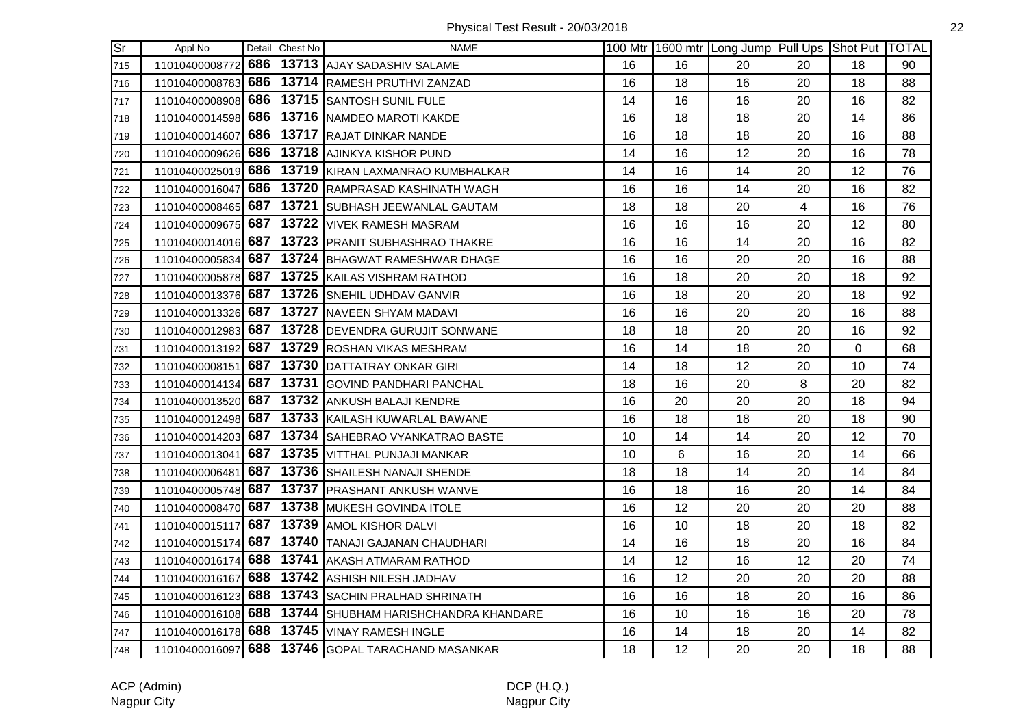| $\overline{\text{Sr}}$ | Appl No            |     | Detail Chest No | <b>NAME</b>                                       |    |    | 100 Mtr 1600 mtr Long Jump Pull Ups Shot Put TOTAL |    |              |    |
|------------------------|--------------------|-----|-----------------|---------------------------------------------------|----|----|----------------------------------------------------|----|--------------|----|
| 715                    | 11010400008772     | 686 |                 | 13713 AJAY SADASHIV SALAME                        | 16 | 16 | 20                                                 | 20 | 18           | 90 |
| 716                    | 11010400008783     | 686 |                 | 13714 RAMESH PRUTHVI ZANZAD                       | 16 | 18 | 16                                                 | 20 | 18           | 88 |
| 717                    | 11010400008908     | 686 |                 | 13715 SANTOSH SUNIL FULE                          | 14 | 16 | 16                                                 | 20 | 16           | 82 |
| 718                    | 11010400014598     | 686 |                 | 13716 NAMDEO MAROTI KAKDE                         | 16 | 18 | 18                                                 | 20 | 14           | 86 |
| 719                    | 11010400014607     | 686 |                 | 13717 RAJAT DINKAR NANDE                          | 16 | 18 | 18                                                 | 20 | 16           | 88 |
| 720                    | 11010400009626 686 |     |                 | 13718 AJINKYA KISHOR PUND                         | 14 | 16 | 12                                                 | 20 | 16           | 78 |
| 721                    | 11010400025019 686 |     |                 | 13719 KIRAN LAXMANRAO KUMBHALKAR                  | 14 | 16 | 14                                                 | 20 | 12           | 76 |
| 722                    | 11010400016047     | 686 |                 | 13720 RAMPRASAD KASHINATH WAGH                    | 16 | 16 | 14                                                 | 20 | 16           | 82 |
| 723                    | 11010400008465     | 687 |                 | 13721 SUBHASH JEEWANLAL GAUTAM                    | 18 | 18 | 20                                                 | 4  | 16           | 76 |
| 724                    | 11010400009675     | 687 |                 | 13722 VIVEK RAMESH MASRAM                         | 16 | 16 | 16                                                 | 20 | 12           | 80 |
| 725                    | 11010400014016     | 687 |                 | 13723 PRANIT SUBHASHRAO THAKRE                    | 16 | 16 | 14                                                 | 20 | 16           | 82 |
| 726                    | 11010400005834     | 687 |                 | 13724 BHAGWAT RAMESHWAR DHAGE                     | 16 | 16 | 20                                                 | 20 | 16           | 88 |
| 727                    | 11010400005878 687 |     |                 | 13725 KAILAS VISHRAM RATHOD                       | 16 | 18 | 20                                                 | 20 | 18           | 92 |
| 728                    | 11010400013376 687 |     |                 | 13726 SNEHIL UDHDAV GANVIR                        | 16 | 18 | 20                                                 | 20 | 18           | 92 |
| 729                    | 11010400013326 687 |     |                 | 13727 NAVEEN SHYAM MADAVI                         | 16 | 16 | 20                                                 | 20 | 16           | 88 |
| 730                    | 11010400012983 687 |     |                 | 13728 DEVENDRA GURUJIT SONWANE                    | 18 | 18 | 20                                                 | 20 | 16           | 92 |
| 731                    | 11010400013192     | 687 |                 | 13729 ROSHAN VIKAS MESHRAM                        | 16 | 14 | 18                                                 | 20 | $\mathbf{0}$ | 68 |
| 732                    | 11010400008151     | 687 |                 | 13730 DATTATRAY ONKAR GIRI                        | 14 | 18 | 12                                                 | 20 | 10           | 74 |
| 733                    | 11010400014134     | 687 |                 | 13731 GOVIND PANDHARI PANCHAL                     | 18 | 16 | 20                                                 | 8  | 20           | 82 |
| 734                    | 11010400013520 687 |     |                 | 13732 ANKUSH BALAJI KENDRE                        | 16 | 20 | 20                                                 | 20 | 18           | 94 |
| 735                    | 11010400012498 687 |     |                 | 13733 KAILASH KUWARLAL BAWANE                     | 16 | 18 | 18                                                 | 20 | 18           | 90 |
| 736                    | 11010400014203 687 |     |                 | 13734 SAHEBRAO VYANKATRAO BASTE                   | 10 | 14 | 14                                                 | 20 | 12           | 70 |
| 737                    | 11010400013041 687 |     |                 | 13735 VITTHAL PUNJAJI MANKAR                      | 10 | 6  | 16                                                 | 20 | 14           | 66 |
| 738                    | 11010400006481     | 687 |                 | 13736 SHAILESH NANAJI SHENDE                      | 18 | 18 | 14                                                 | 20 | 14           | 84 |
| 739                    | 11010400005748     | 687 |                 | 13737 PRASHANT ANKUSH WANVE                       | 16 | 18 | 16                                                 | 20 | 14           | 84 |
| 740                    | 11010400008470     | 687 |                 | 13738 MUKESH GOVINDA ITOLE                        | 16 | 12 | 20                                                 | 20 | 20           | 88 |
| 741                    | 11010400015117     | 687 |                 | 13739 AMOL KISHOR DALVI                           | 16 | 10 | 18                                                 | 20 | 18           | 82 |
| 742                    | 11010400015174 687 |     |                 | 13740 TANAJI GAJANAN CHAUDHARI                    | 14 | 16 | 18                                                 | 20 | 16           | 84 |
| 743                    | 11010400016174 688 |     |                 | 13741 AKASH ATMARAM RATHOD                        | 14 | 12 | 16                                                 | 12 | 20           | 74 |
| 744                    | 11010400016167 688 |     |                 | 13742 ASHISH NILESH JADHAV                        | 16 | 12 | 20                                                 | 20 | 20           | 88 |
| 745                    | 11010400016123     | 688 |                 | 13743 SACHIN PRALHAD SHRINATH                     | 16 | 16 | 18                                                 | 20 | 16           | 86 |
| 746                    | 11010400016108     | 688 |                 | 13744 SHUBHAM HARISHCHANDRA KHANDARE              | 16 | 10 | 16                                                 | 16 | 20           | 78 |
| 747                    | 11010400016178 688 |     |                 | 13745 VINAY RAMESH INGLE                          | 16 | 14 | 18                                                 | 20 | 14           | 82 |
| 748                    |                    |     |                 | 11010400016097 688 13746 GOPAL TARACHAND MASANKAR | 18 | 12 | 20                                                 | 20 | 18           | 88 |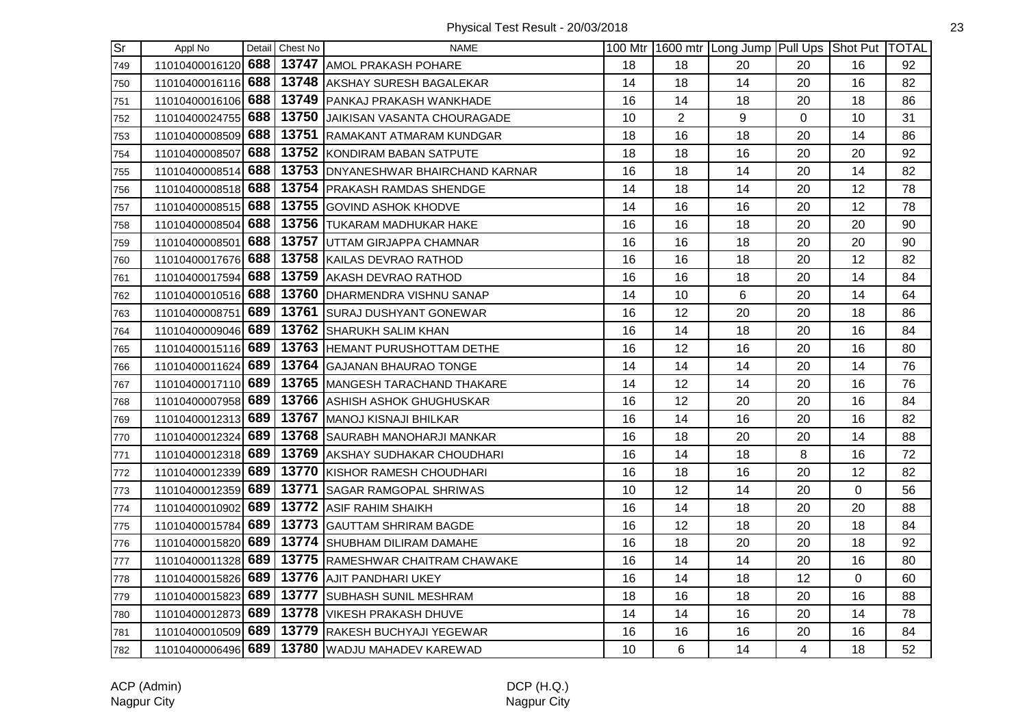| <b>Sr</b> | Appl No            |     | Detail Chest No | <b>NAME</b>                                    |    |                 | 100 Mtr 1600 mtr Long Jump Pull Ups Shot Put TOTAL |                |                |    |
|-----------|--------------------|-----|-----------------|------------------------------------------------|----|-----------------|----------------------------------------------------|----------------|----------------|----|
| 749       | 11010400016120 688 |     |                 | 13747 AMOL PRAKASH POHARE                      | 18 | 18              | 20                                                 | 20             | 16             | 92 |
| 750       | 11010400016116     | 688 |                 | 13748 AKSHAY SURESH BAGALEKAR                  | 14 | 18              | 14                                                 | 20             | 16             | 82 |
| 751       | 11010400016106     | 688 |                 | 13749 PANKAJ PRAKASH WANKHADE                  | 16 | 14              | 18                                                 | 20             | 18             | 86 |
| 752       | 11010400024755     | 688 |                 | 13750 JAIKISAN VASANTA CHOURAGADE              | 10 | $\overline{2}$  | 9                                                  | 0              | 10             | 31 |
| 753       | 11010400008509     | 688 |                 | 13751 RAMAKANT ATMARAM KUNDGAR                 | 18 | 16              | 18                                                 | 20             | 14             | 86 |
| 754       | 11010400008507     | 688 |                 | 13752 KONDIRAM BABAN SATPUTE                   | 18 | 18              | 16                                                 | 20             | 20             | 92 |
| 755       | 11010400008514     | 688 |                 | 13753   DNYANESHWAR BHAIRCHAND KARNAR          | 16 | 18              | 14                                                 | 20             | 14             | 82 |
| 756       | 11010400008518 688 |     |                 | 13754 PRAKASH RAMDAS SHENDGE                   | 14 | 18              | 14                                                 | 20             | 12             | 78 |
| 757       | 11010400008515     | 688 |                 | 13755 GOVIND ASHOK KHODVE                      | 14 | 16              | 16                                                 | 20             | 12             | 78 |
| 758       | 11010400008504     | 688 |                 | 13756 TUKARAM MADHUKAR HAKE                    | 16 | 16              | 18                                                 | 20             | 20             | 90 |
| 759       | 11010400008501     | 688 |                 | 13757 UTTAM GIRJAPPA CHAMNAR                   | 16 | 16              | 18                                                 | 20             | 20             | 90 |
| 760       | 11010400017676     | 688 |                 | 13758 KAILAS DEVRAO RATHOD                     | 16 | 16              | 18                                                 | 20             | 12             | 82 |
| 761       | 11010400017594     | 688 |                 | 13759 AKASH DEVRAO RATHOD                      | 16 | 16              | 18                                                 | 20             | 14             | 84 |
| 762       | 11010400010516 688 |     |                 | 13760   DHARMENDRA VISHNU SANAP                | 14 | 10 <sup>1</sup> | 6                                                  | 20             | 14             | 64 |
| 763       | 11010400008751 689 |     |                 | 13761 SURAJ DUSHYANT GONEWAR                   | 16 | 12              | 20                                                 | 20             | 18             | 86 |
| 764       | 11010400009046 689 |     |                 | 13762 SHARUKH SALIM KHAN                       | 16 | 14              | 18                                                 | 20             | 16             | 84 |
| 765       | 11010400015116     | 689 |                 | 13763 HEMANT PURUSHOTTAM DETHE                 | 16 | 12 <sup>°</sup> | 16                                                 | 20             | 16             | 80 |
| 766       | 11010400011624     | 689 |                 | 13764 GAJANAN BHAURAO TONGE                    | 14 | 14              | 14                                                 | 20             | 14             | 76 |
| 767       | 11010400017110 689 |     |                 | 13765 MANGESH TARACHAND THAKARE                | 14 | 12              | 14                                                 | 20             | 16             | 76 |
| 768       | 11010400007958     | 689 |                 | 13766 ASHISH ASHOK GHUGHUSKAR                  | 16 | 12              | 20                                                 | 20             | 16             | 84 |
| 769       | 11010400012313 689 |     |                 | 13767 MANOJ KISNAJI BHILKAR                    | 16 | 14              | 16                                                 | 20             | 16             | 82 |
| 770       | 11010400012324 689 |     |                 | 13768 SAURABH MANOHARJI MANKAR                 | 16 | 18              | 20                                                 | 20             | 14             | 88 |
| 771       | 11010400012318 689 |     |                 | 13769 AKSHAY SUDHAKAR CHOUDHARI                | 16 | 14              | 18                                                 | 8              | 16             | 72 |
| 772       | 11010400012339     | 689 |                 | 13770 KISHOR RAMESH CHOUDHARI                  | 16 | 18              | 16                                                 | 20             | 12             | 82 |
| 773       | 11010400012359     | 689 |                 | 13771 SAGAR RAMGOPAL SHRIWAS                   | 10 | 12              | 14                                                 | 20             | $\Omega$       | 56 |
| 774       | 11010400010902     | 689 |                 | 13772 ASIF RAHIM SHAIKH                        | 16 | 14              | 18                                                 | 20             | 20             | 88 |
| 775       | 11010400015784     | 689 |                 | 13773 GAUTTAM SHRIRAM BAGDE                    | 16 | 12              | 18                                                 | 20             | 18             | 84 |
| 776       | 11010400015820 689 |     |                 | 13774 SHUBHAM DILIRAM DAMAHE                   | 16 | 18              | 20                                                 | 20             | 18             | 92 |
| 777       | 11010400011328 689 |     |                 | 13775 RAMESHWAR CHAITRAM CHAWAKE               | 16 | 14              | 14                                                 | 20             | 16             | 80 |
| 778       | 11010400015826 689 |     |                 | 13776 AJIT PANDHARI UKEY                       | 16 | 14              | 18                                                 | 12             | $\overline{0}$ | 60 |
| 779       | 11010400015823 689 |     |                 | 13777 SUBHASH SUNIL MESHRAM                    | 18 | 16              | 18                                                 | 20             | 16             | 88 |
| 780       | 11010400012873     | 689 |                 | 13778   VIKESH PRAKASH DHUVE                   | 14 | 14              | 16                                                 | 20             | 14             | 78 |
| 781       | 11010400010509 689 |     | 13779           | <b>RAKESH BUCHYAJI YEGEWAR</b>                 | 16 | 16              | 16                                                 | 20             | 16             | 84 |
| 782       |                    |     |                 | 11010400006496 689 13780 WADJU MAHADEV KAREWAD | 10 | 6               | 14                                                 | $\overline{4}$ | 18             | 52 |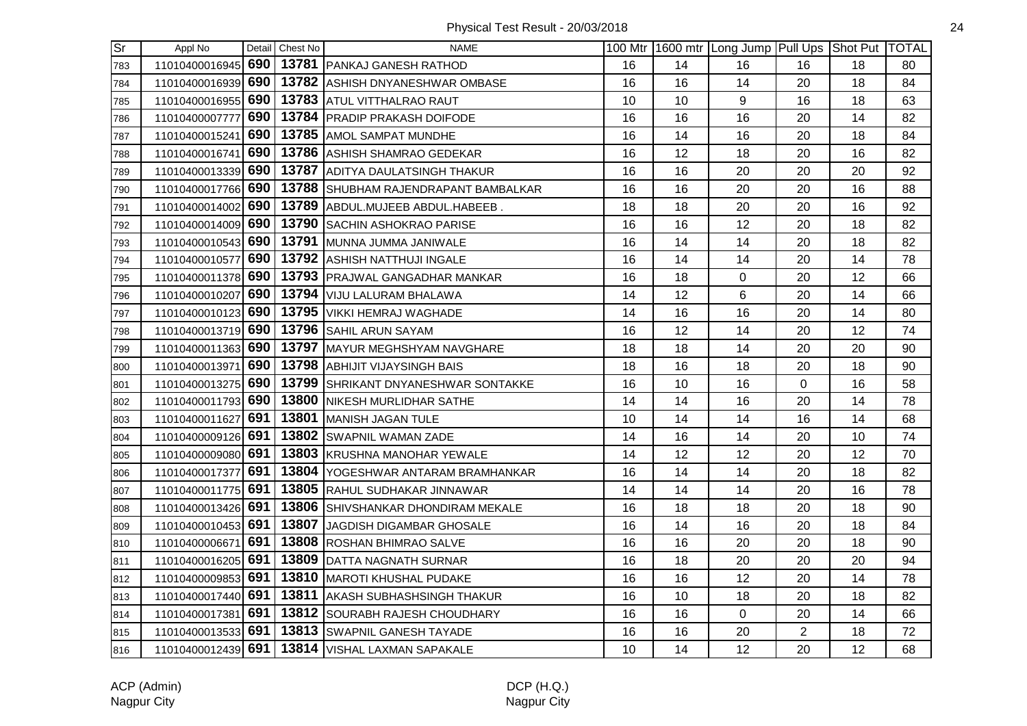| Sr  | Appl No            |     | Detail Chest No | <b>NAME</b>                          |    |    | 100 Mtr 1600 mtr Long Jump Pull Ups Shot Put TOTAL |                |    |    |
|-----|--------------------|-----|-----------------|--------------------------------------|----|----|----------------------------------------------------|----------------|----|----|
| 783 | 11010400016945     | 690 |                 | 13781 PANKAJ GANESH RATHOD           | 16 | 14 | 16                                                 | 16             | 18 | 80 |
| 784 | 11010400016939 690 |     |                 | 13782 ASHISH DNYANESHWAR OMBASE      | 16 | 16 | 14                                                 | 20             | 18 | 84 |
| 785 | 11010400016955     | 690 |                 | 13783 ATUL VITTHALRAO RAUT           | 10 | 10 | 9                                                  | 16             | 18 | 63 |
| 786 | 11010400007777     | 690 |                 | 13784 PRADIP PRAKASH DOIFODE         | 16 | 16 | 16                                                 | 20             | 14 | 82 |
| 787 | 11010400015241     | 690 |                 | 13785 AMOL SAMPAT MUNDHE             | 16 | 14 | 16                                                 | 20             | 18 | 84 |
| 788 | 11010400016741 690 |     |                 | 13786 ASHISH SHAMRAO GEDEKAR         | 16 | 12 | 18                                                 | 20             | 16 | 82 |
| 789 | 11010400013339 690 |     |                 | 13787 ADITYA DAULATSINGH THAKUR      | 16 | 16 | 20                                                 | 20             | 20 | 92 |
| 790 | 11010400017766 690 |     |                 | 13788 SHUBHAM RAJENDRAPANT BAMBALKAR | 16 | 16 | 20                                                 | 20             | 16 | 88 |
| 791 | 11010400014002     | 690 |                 | 13789 ABDUL.MUJEEB ABDUL.HABEEB.     | 18 | 18 | 20                                                 | 20             | 16 | 92 |
| 792 | 11010400014009 690 |     |                 | 13790 SACHIN ASHOKRAO PARISE         | 16 | 16 | 12                                                 | 20             | 18 | 82 |
| 793 | 11010400010543     | 690 |                 | 13791 MUNNA JUMMA JANIWALE           | 16 | 14 | 14                                                 | 20             | 18 | 82 |
| 794 | 11010400010577     | 690 |                 | 13792 ASHISH NATTHUJI INGALE         | 16 | 14 | 14                                                 | 20             | 14 | 78 |
| 795 | 11010400011378 690 |     |                 | 13793 PRAJWAL GANGADHAR MANKAR       | 16 | 18 | 0                                                  | 20             | 12 | 66 |
| 796 | 11010400010207 690 |     |                 | 13794 VIJU LALURAM BHALAWA           | 14 | 12 | 6                                                  | 20             | 14 | 66 |
| 797 | 11010400010123 690 |     |                 | 13795 VIKKI HEMRAJ WAGHADE           | 14 | 16 | 16                                                 | 20             | 14 | 80 |
| 798 | 11010400013719 690 |     |                 | 13796 SAHIL ARUN SAYAM               | 16 | 12 | 14                                                 | 20             | 12 | 74 |
| 799 | 11010400011363 690 |     |                 | 13797 MAYUR MEGHSHYAM NAVGHARE       | 18 | 18 | 14                                                 | 20             | 20 | 90 |
| 800 | 11010400013971     | 690 |                 | 13798 ABHIJIT VIJAYSINGH BAIS        | 18 | 16 | 18                                                 | 20             | 18 | 90 |
| 801 | 11010400013275     | 690 |                 | 13799 SHRIKANT DNYANESHWAR SONTAKKE  | 16 | 10 | 16                                                 | $\overline{0}$ | 16 | 58 |
| 802 | 11010400011793 690 |     |                 | 13800 NIKESH MURLIDHAR SATHE         | 14 | 14 | 16                                                 | 20             | 14 | 78 |
| 803 | 11010400011627 691 |     |                 | 13801 MANISH JAGAN TULE              | 10 | 14 | 14                                                 | 16             | 14 | 68 |
| 804 | 11010400009126 691 |     |                 | 13802 SWAPNIL WAMAN ZADE             | 14 | 16 | 14                                                 | 20             | 10 | 74 |
| 805 | 11010400009080 691 |     |                 | 13803 KRUSHNA MANOHAR YEWALE         | 14 | 12 | 12                                                 | 20             | 12 | 70 |
| 806 | 11010400017377     | 691 |                 | 13804 YOGESHWAR ANTARAM BRAMHANKAR   | 16 | 14 | 14                                                 | 20             | 18 | 82 |
| 807 | 11010400011775     | 691 |                 | 13805 RAHUL SUDHAKAR JINNAWAR        | 14 | 14 | 14                                                 | 20             | 16 | 78 |
| 808 | 11010400013426 691 |     |                 | 13806 SHIVSHANKAR DHONDIRAM MEKALE   | 16 | 18 | 18                                                 | 20             | 18 | 90 |
| 809 | 11010400010453     | 691 |                 | 13807 JAGDISH DIGAMBAR GHOSALE       | 16 | 14 | 16                                                 | 20             | 18 | 84 |
| 810 | 11010400006671     | 691 |                 | 13808 ROSHAN BHIMRAO SALVE           | 16 | 16 | 20                                                 | 20             | 18 | 90 |
| 811 | 11010400016205 691 |     |                 | 13809 DATTA NAGNATH SURNAR           | 16 | 18 | 20                                                 | 20             | 20 | 94 |
| 812 | 11010400009853 691 |     |                 | 13810 MAROTI KHUSHAL PUDAKE          | 16 | 16 | 12                                                 | 20             | 14 | 78 |
| 813 | 11010400017440 691 |     |                 | 13811 AKASH SUBHASHSINGH THAKUR      | 16 | 10 | 18                                                 | 20             | 18 | 82 |
| 814 | 11010400017381     | 691 |                 | 13812 SOURABH RAJESH CHOUDHARY       | 16 | 16 | $\mathbf 0$                                        | 20             | 14 | 66 |
| 815 | 11010400013533 691 |     |                 | 13813 SWAPNIL GANESH TAYADE          | 16 | 16 | 20                                                 | $\overline{2}$ | 18 | 72 |
| 816 | 11010400012439 691 |     |                 | 13814   VISHAL LAXMAN SAPAKALE       | 10 | 14 | 12                                                 | 20             | 12 | 68 |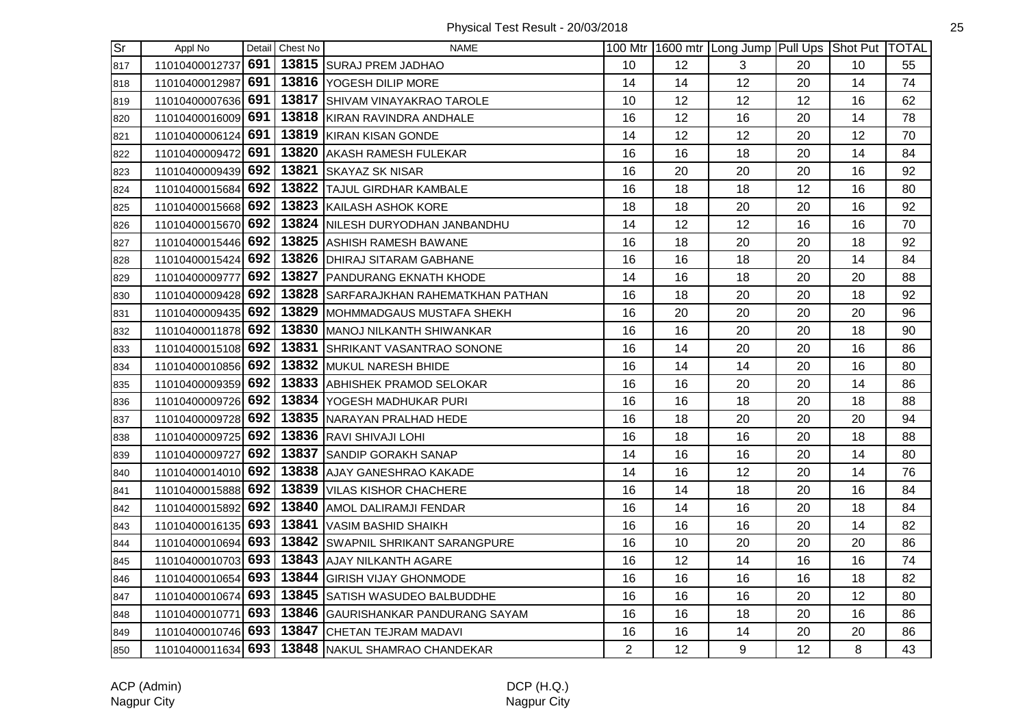| $\overline{\text{Sr}}$ | Appl No            |     | Detail Chest No | <b>NAME</b>                                      |                |    | 100 Mtr   1600 mtr   Long Jump   Pull Ups   Shot Put   TOTAL |    |    |    |
|------------------------|--------------------|-----|-----------------|--------------------------------------------------|----------------|----|--------------------------------------------------------------|----|----|----|
| 817                    | 11010400012737     | 691 |                 | 13815 SURAJ PREM JADHAO                          | 10             | 12 | 3                                                            | 20 | 10 | 55 |
| 818                    | 11010400012987     | 691 |                 | 13816 YOGESH DILIP MORE                          | 14             | 14 | 12                                                           | 20 | 14 | 74 |
| 819                    | 11010400007636 691 |     |                 | 13817 SHIVAM VINAYAKRAO TAROLE                   | 10             | 12 | 12                                                           | 12 | 16 | 62 |
| 820                    | 11010400016009 691 |     |                 | 13818 KIRAN RAVINDRA ANDHALE                     | 16             | 12 | 16                                                           | 20 | 14 | 78 |
| 821                    | 11010400006124 691 |     |                 | 13819 KIRAN KISAN GONDE                          | 14             | 12 | 12                                                           | 20 | 12 | 70 |
| 822                    | 11010400009472 691 |     |                 | 13820 AKASH RAMESH FULEKAR                       | 16             | 16 | 18                                                           | 20 | 14 | 84 |
| 823                    | 11010400009439 692 |     |                 | 13821 SKAYAZ SK NISAR                            | 16             | 20 | 20                                                           | 20 | 16 | 92 |
| 824                    | 11010400015684 692 |     |                 | 13822 TAJUL GIRDHAR KAMBALE                      | 16             | 18 | 18                                                           | 12 | 16 | 80 |
| 825                    | 11010400015668 692 |     |                 | 13823 KAILASH ASHOK KORE                         | 18             | 18 | 20                                                           | 20 | 16 | 92 |
| 826                    | 11010400015670 692 |     |                 | 13824 NILESH DURYODHAN JANBANDHU                 | 14             | 12 | 12                                                           | 16 | 16 | 70 |
| 827                    | 11010400015446 692 |     |                 | 13825 ASHISH RAMESH BAWANE                       | 16             | 18 | 20                                                           | 20 | 18 | 92 |
| 828                    | 11010400015424 692 |     |                 | 13826 DHIRAJ SITARAM GABHANE                     | 16             | 16 | 18                                                           | 20 | 14 | 84 |
| 829                    | 11010400009777 692 |     |                 | 13827 PANDURANG EKNATH KHODE                     | 14             | 16 | 18                                                           | 20 | 20 | 88 |
| 830                    | 11010400009428 692 |     |                 | 13828 SARFARAJKHAN RAHEMATKHAN PATHAN            | 16             | 18 | 20                                                           | 20 | 18 | 92 |
| 831                    | 11010400009435 692 |     |                 | 13829 MOHMMADGAUS MUSTAFA SHEKH                  | 16             | 20 | 20                                                           | 20 | 20 | 96 |
| 832                    | 11010400011878 692 |     |                 | 13830 MANOJ NILKANTH SHIWANKAR                   | 16             | 16 | 20                                                           | 20 | 18 | 90 |
| 833                    | 11010400015108 692 |     |                 | 13831 SHRIKANT VASANTRAO SONONE                  | 16             | 14 | 20                                                           | 20 | 16 | 86 |
| 834                    | 11010400010856 692 |     |                 | 13832 MUKUL NARESH BHIDE                         | 16             | 14 | 14                                                           | 20 | 16 | 80 |
| 835                    | 11010400009359 692 |     |                 | 13833 ABHISHEK PRAMOD SELOKAR                    | 16             | 16 | 20                                                           | 20 | 14 | 86 |
| 836                    | 11010400009726 692 |     |                 | 13834 YOGESH MADHUKAR PURI                       | 16             | 16 | 18                                                           | 20 | 18 | 88 |
| 837                    | 11010400009728 692 |     |                 | 13835 NARAYAN PRALHAD HEDE                       | 16             | 18 | 20                                                           | 20 | 20 | 94 |
| 838                    | 11010400009725 692 |     |                 | 13836 RAVI SHIVAJI LOHI                          | 16             | 18 | 16                                                           | 20 | 18 | 88 |
| 839                    | 11010400009727     | 692 |                 | 13837 SANDIP GORAKH SANAP                        | 14             | 16 | 16                                                           | 20 | 14 | 80 |
| 840                    | 11010400014010 692 |     |                 | 13838 AJAY GANESHRAO KAKADE                      | 14             | 16 | 12                                                           | 20 | 14 | 76 |
| 841                    | 11010400015888 692 |     |                 | 13839 VILAS KISHOR CHACHERE                      | 16             | 14 | 18                                                           | 20 | 16 | 84 |
| 842                    | 11010400015892     | 692 |                 | 13840 AMOL DALIRAMJI FENDAR                      | 16             | 14 | 16                                                           | 20 | 18 | 84 |
| 843                    | 11010400016135 693 |     |                 | 13841 VASIM BASHID SHAIKH                        | 16             | 16 | 16                                                           | 20 | 14 | 82 |
| 844                    | 11010400010694 693 |     |                 | 13842 SWAPNIL SHRIKANT SARANGPURE                | 16             | 10 | 20                                                           | 20 | 20 | 86 |
| 845                    | 11010400010703 693 |     |                 | 13843 AJAY NILKANTH AGARE                        | 16             | 12 | 14                                                           | 16 | 16 | 74 |
| 846                    | 11010400010654 693 |     |                 | 13844 GIRISH VIJAY GHONMODE                      | 16             | 16 | 16                                                           | 16 | 18 | 82 |
| 847                    | 11010400010674 693 |     |                 | 13845 SATISH WASUDEO BALBUDDHE                   | 16             | 16 | 16                                                           | 20 | 12 | 80 |
| 848                    | 11010400010771     | 693 |                 | 13846 GAURISHANKAR PANDURANG SAYAM               | 16             | 16 | 18                                                           | 20 | 16 | 86 |
| 849                    | 11010400010746 693 |     |                 | 13847 CHETAN TEJRAM MADAVI                       | 16             | 16 | 14                                                           | 20 | 20 | 86 |
| 850                    |                    |     |                 | 11010400011634 693 13848 NAKUL SHAMRAO CHANDEKAR | $\overline{2}$ | 12 | 9                                                            | 12 | 8  | 43 |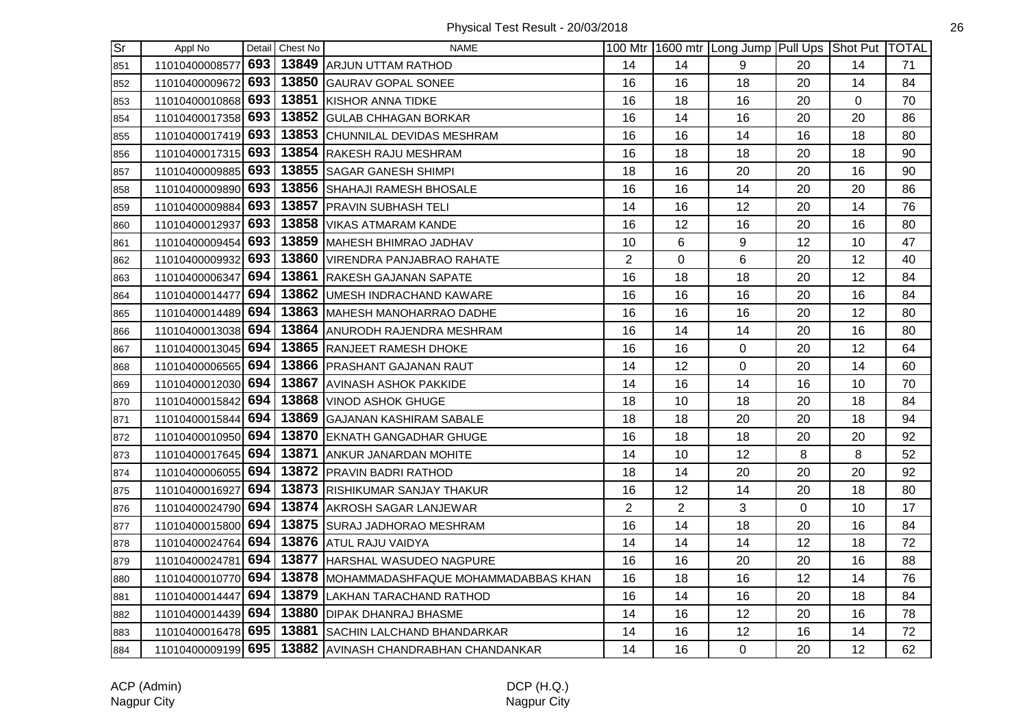| Sr. | Appl No            |     | Detail Chest No | <b>NAME</b>                                               |                |                | 100 Mtr 1600 mtr Long Jump Pull Ups Shot Put TOTAL |                |    |    |
|-----|--------------------|-----|-----------------|-----------------------------------------------------------|----------------|----------------|----------------------------------------------------|----------------|----|----|
| 851 | 11010400008577     | 693 |                 | 13849 ARJUN UTTAM RATHOD                                  | 14             | 14             | 9                                                  | 20             | 14 | 71 |
| 852 | 11010400009672     | 693 |                 | 13850 GAURAV GOPAL SONEE                                  | 16             | 16             | 18                                                 | 20             | 14 | 84 |
| 853 | 11010400010868 693 |     |                 | 13851 KISHOR ANNA TIDKE                                   | 16             | 18             | 16                                                 | 20             | 0  | 70 |
| 854 | 11010400017358 693 |     |                 | 13852 GULAB CHHAGAN BORKAR                                | 16             | 14             | 16                                                 | 20             | 20 | 86 |
| 855 | 11010400017419 693 |     |                 | 13853 CHUNNILAL DEVIDAS MESHRAM                           | 16             | 16             | 14                                                 | 16             | 18 | 80 |
| 856 | 11010400017315 693 |     |                 | 13854 RAKESH RAJU MESHRAM                                 | 16             | 18             | 18                                                 | 20             | 18 | 90 |
| 857 | 11010400009885 693 |     |                 | 13855 SAGAR GANESH SHIMPI                                 | 18             | 16             | 20                                                 | 20             | 16 | 90 |
| 858 | 11010400009890 693 |     |                 | 13856 SHAHAJI RAMESH BHOSALE                              | 16             | 16             | 14                                                 | 20             | 20 | 86 |
| 859 | 11010400009884     | 693 |                 | 13857 PRAVIN SUBHASH TELI                                 | 14             | 16             | 12                                                 | 20             | 14 | 76 |
| 860 | 11010400012937     | 693 |                 | 13858 VIKAS ATMARAM KANDE                                 | 16             | 12             | 16                                                 | 20             | 16 | 80 |
| 861 | 11010400009454     | 693 |                 | 13859 MAHESH BHIMRAO JADHAV                               | 10             | 6              | 9                                                  | 12             | 10 | 47 |
| 862 | 11010400009932     | 693 |                 | 13860 VIRENDRA PANJABRAO RAHATE                           | $\overline{2}$ | 0              | 6                                                  | 20             | 12 | 40 |
| 863 | 11010400006347 694 |     |                 | 13861 RAKESH GAJANAN SAPATE                               | 16             | 18             | 18                                                 | 20             | 12 | 84 |
| 864 | 11010400014477 694 |     |                 | 13862 UMESH INDRACHAND KAWARE                             | 16             | 16             | 16                                                 | 20             | 16 | 84 |
| 865 | 11010400014489 694 |     |                 | 13863 MAHESH MANOHARRAO DADHE                             | 16             | 16             | 16                                                 | 20             | 12 | 80 |
| 866 | 11010400013038 694 |     |                 | 13864 ANURODH RAJENDRA MESHRAM                            | 16             | 14             | 14                                                 | 20             | 16 | 80 |
| 867 | 11010400013045 694 |     |                 | 13865 RANJEET RAMESH DHOKE                                | 16             | 16             | $\mathbf 0$                                        | 20             | 12 | 64 |
| 868 | 11010400006565 694 |     |                 | 13866 PRASHANT GAJANAN RAUT                               | 14             | 12             | $\mathbf 0$                                        | 20             | 14 | 60 |
| 869 | 11010400012030 694 |     |                 | 13867 AVINASH ASHOK PAKKIDE                               | 14             | 16             | 14                                                 | 16             | 10 | 70 |
| 870 | 11010400015842 694 |     |                 | 13868 VINOD ASHOK GHUGE                                   | 18             | 10             | 18                                                 | 20             | 18 | 84 |
| 871 | 11010400015844 694 |     |                 | 13869 GAJANAN KASHIRAM SABALE                             | 18             | 18             | 20                                                 | 20             | 18 | 94 |
| 872 | 11010400010950 694 |     |                 | 13870 EKNATH GANGADHAR GHUGE                              | 16             | 18             | 18                                                 | 20             | 20 | 92 |
| 873 | 11010400017645 694 |     |                 | 13871 ANKUR JANARDAN MOHITE                               | 14             | 10             | 12                                                 | 8              | 8  | 52 |
| 874 | 11010400006055 694 |     |                 | 13872 PRAVIN BADRI RATHOD                                 | 18             | 14             | 20                                                 | 20             | 20 | 92 |
| 875 | 11010400016927     | 694 |                 | 13873 RISHIKUMAR SANJAY THAKUR                            | 16             | 12             | 14                                                 | 20             | 18 | 80 |
| 876 | 11010400024790 694 |     |                 | 13874 AKROSH SAGAR LANJEWAR                               | $\overline{2}$ | $\overline{2}$ | 3                                                  | $\overline{0}$ | 10 | 17 |
| 877 | 11010400015800 694 |     |                 | 13875 SURAJ JADHORAO MESHRAM                              | 16             | 14             | 18                                                 | 20             | 16 | 84 |
| 878 | 11010400024764 694 |     |                 | 13876 ATUL RAJU VAIDYA                                    | 14             | 14             | 14                                                 | 12             | 18 | 72 |
| 879 | 11010400024781 694 |     |                 | 13877 HARSHAL WASUDEO NAGPURE                             | 16             | 16             | 20                                                 | 20             | 16 | 88 |
| 880 | 11010400010770 694 |     |                 | 13878   MOHAMMADASHFAQUE MOHAMMADABBAS KHAN               | 16             | 18             | 16                                                 | 12             | 14 | 76 |
| 881 | 11010400014447     | 694 |                 | 13879 LAKHAN TARACHAND RATHOD                             | 16             | 14             | 16                                                 | 20             | 18 | 84 |
| 882 | 11010400014439 694 |     |                 | 13880 DIPAK DHANRAJ BHASME                                | 14             | 16             | 12                                                 | 20             | 16 | 78 |
| 883 |                    |     |                 | 11010400016478 695 13881 SACHIN LALCHAND BHANDARKAR       | 14             | 16             | 12                                                 | 16             | 14 | 72 |
| 884 |                    |     |                 | 11010400009199 695   13882 AVINASH CHANDRABHAN CHANDANKAR | 14             | 16             | $\mathbf 0$                                        | 20             | 12 | 62 |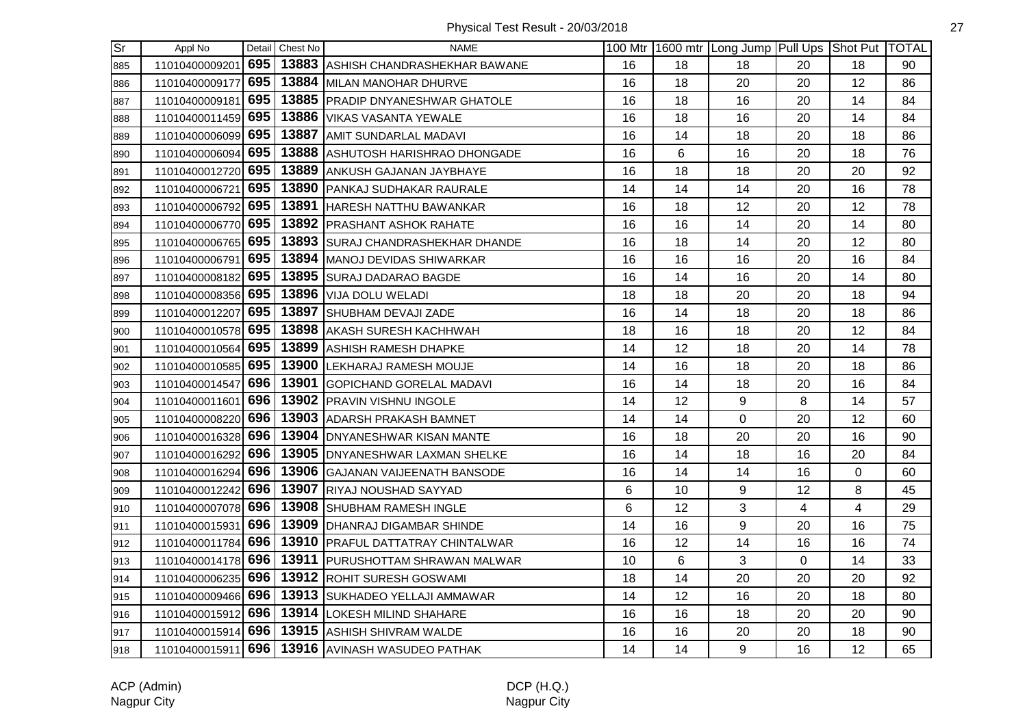| $\overline{\text{Sr}}$ | Appl No            |     | Detail Chest No | <b>NAME</b>                                     |    |    | 100 Mtr   1600 mtr   Long Jump   Pull Ups   Shot Put   TOTAL |                |    |    |
|------------------------|--------------------|-----|-----------------|-------------------------------------------------|----|----|--------------------------------------------------------------|----------------|----|----|
| 885                    | 11010400009201     | 695 |                 | 13883 ASHISH CHANDRASHEKHAR BAWANE              | 16 | 18 | 18                                                           | 20             | 18 | 90 |
| 886                    | 11010400009177     | 695 |                 | 13884 MILAN MANOHAR DHURVE                      | 16 | 18 | 20                                                           | 20             | 12 | 86 |
| 887                    | 11010400009181     | 695 |                 | 13885 PRADIP DNYANESHWAR GHATOLE                | 16 | 18 | 16                                                           | 20             | 14 | 84 |
| 888                    | 11010400011459 695 |     |                 | 13886 VIKAS VASANTA YEWALE                      | 16 | 18 | 16                                                           | 20             | 14 | 84 |
| 889                    | 11010400006099 695 |     |                 | 13887 AMIT SUNDARLAL MADAVI                     | 16 | 14 | 18                                                           | 20             | 18 | 86 |
| 890                    | 11010400006094 695 |     |                 | 13888 ASHUTOSH HARISHRAO DHONGADE               | 16 | 6  | 16                                                           | 20             | 18 | 76 |
| 891                    | 11010400012720 695 |     |                 | 13889 ANKUSH GAJANAN JAYBHAYE                   | 16 | 18 | 18                                                           | 20             | 20 | 92 |
| 892                    | 11010400006721     | 695 |                 | 13890 PANKAJ SUDHAKAR RAURALE                   | 14 | 14 | 14                                                           | 20             | 16 | 78 |
| 893                    | 11010400006792 695 |     |                 | 13891 HARESH NATTHU BAWANKAR                    | 16 | 18 | 12                                                           | 20             | 12 | 78 |
| 894                    | 11010400006770 695 |     |                 | 13892 PRASHANT ASHOK RAHATE                     | 16 | 16 | 14                                                           | 20             | 14 | 80 |
| 895                    | 11010400006765 695 |     |                 | 13893 SURAJ CHANDRASHEKHAR DHANDE               | 16 | 18 | 14                                                           | 20             | 12 | 80 |
| 896                    | 11010400006791 695 |     |                 | 13894 MANOJ DEVIDAS SHIWARKAR                   | 16 | 16 | 16                                                           | 20             | 16 | 84 |
| 897                    | 11010400008182 695 |     |                 | 13895 SURAJ DADARAO BAGDE                       | 16 | 14 | 16                                                           | 20             | 14 | 80 |
| 898                    | 11010400008356 695 |     |                 | 13896   VIJA DOLU WELADI                        | 18 | 18 | 20                                                           | 20             | 18 | 94 |
| 899                    | 11010400012207 695 |     |                 | 13897 SHUBHAM DEVAJI ZADE                       | 16 | 14 | 18                                                           | 20             | 18 | 86 |
| 900                    | 11010400010578 695 |     |                 | 13898 AKASH SURESH KACHHWAH                     | 18 | 16 | 18                                                           | 20             | 12 | 84 |
| 901                    | 11010400010564     | 695 |                 | 13899 ASHISH RAMESH DHAPKE                      | 14 | 12 | 18                                                           | 20             | 14 | 78 |
| 902                    | 11010400010585 695 |     |                 | 13900 LEKHARAJ RAMESH MOUJE                     | 14 | 16 | 18                                                           | 20             | 18 | 86 |
| 903                    | 11010400014547     |     |                 | 696   13901 GOPICHAND GORELAL MADAVI            | 16 | 14 | 18                                                           | 20             | 16 | 84 |
| 904                    | 11010400011601 696 |     |                 | 13902 PRAVIN VISHNU INGOLE                      | 14 | 12 | 9                                                            | 8              | 14 | 57 |
| 905                    | 11010400008220 696 |     |                 | 13903 ADARSH PRAKASH BAMNET                     | 14 | 14 | $\mathbf 0$                                                  | 20             | 12 | 60 |
| 906                    | 11010400016328 696 |     |                 | 13904 DNYANESHWAR KISAN MANTE                   | 16 | 18 | 20                                                           | 20             | 16 | 90 |
| 907                    | 11010400016292 696 |     |                 | 13905 DNYANESHWAR LAXMAN SHELKE                 | 16 | 14 | 18                                                           | 16             | 20 | 84 |
| 908                    | 11010400016294     | 696 |                 | 13906 GAJANAN VAIJEENATH BANSODE                | 16 | 14 | 14                                                           | 16             | 0  | 60 |
| 909                    | 11010400012242 696 |     |                 | 13907 RIYAJ NOUSHAD SAYYAD                      | 6  | 10 | 9                                                            | 12             | 8  | 45 |
| 910                    | 11010400007078 696 |     |                 | 13908 SHUBHAM RAMESH INGLE                      | 6  | 12 | 3                                                            | $\overline{4}$ | 4  | 29 |
| 911                    | 11010400015931 696 |     |                 | 13909 DHANRAJ DIGAMBAR SHINDE                   | 14 | 16 | 9                                                            | 20             | 16 | 75 |
| 912                    | 11010400011784 696 |     |                 | 13910 PRAFUL DATTATRAY CHINTALWAR               | 16 | 12 | 14                                                           | 16             | 16 | 74 |
| 913                    | 11010400014178 696 |     |                 | 13911 PURUSHOTTAM SHRAWAN MALWAR                | 10 | 6  | 3                                                            | $\Omega$       | 14 | 33 |
| 914                    | 11010400006235 696 |     |                 | 13912 ROHIT SURESH GOSWAMI                      | 18 | 14 | 20                                                           | 20             | 20 | 92 |
| 915                    | 11010400009466 696 |     |                 | 13913 SUKHADEO YELLAJI AMMAWAR                  | 14 | 12 | 16                                                           | 20             | 18 | 80 |
| 916                    | 11010400015912 696 |     |                 | 13914 LOKESH MILIND SHAHARE                     | 16 | 16 | 18                                                           | 20             | 20 | 90 |
| 917                    |                    |     |                 | 11010400015914 696 13915 ASHISH SHIVRAM WALDE   | 16 | 16 | 20                                                           | 20             | 18 | 90 |
| 918                    |                    |     |                 | 11010400015911 696 13916 AVINASH WASUDEO PATHAK | 14 | 14 | 9                                                            | 16             | 12 | 65 |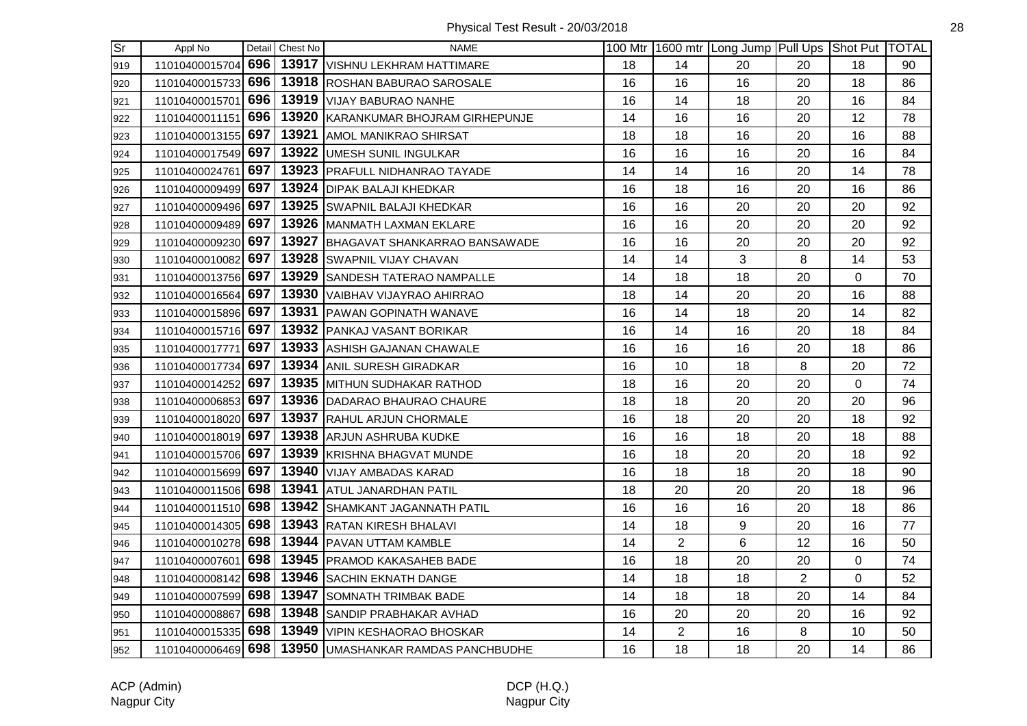| Sr  | Appl No            |     | Detail Chest No | <b>NAME</b>                         |    |                | 100 Mtr 1600 mtr Long Jump Pull Ups Shot Put TOTAL |                |             |    |
|-----|--------------------|-----|-----------------|-------------------------------------|----|----------------|----------------------------------------------------|----------------|-------------|----|
| 919 | 11010400015704 696 |     |                 | 13917 VISHNU LEKHRAM HATTIMARE      | 18 | 14             | 20                                                 | 20             | 18          | 90 |
| 920 | 11010400015733 696 |     |                 | 13918 ROSHAN BABURAO SAROSALE       | 16 | 16             | 16                                                 | 20             | 18          | 86 |
| 921 | 11010400015701     | 696 |                 | 13919 VIJAY BABURAO NANHE           | 16 | 14             | 18                                                 | 20             | 16          | 84 |
| 922 | 11010400011151     | 696 |                 | 13920 KARANKUMAR BHOJRAM GIRHEPUNJE | 14 | 16             | 16                                                 | 20             | 12          | 78 |
| 923 | 11010400013155 697 |     | 13921           | AMOL MANIKRAO SHIRSAT               | 18 | 18             | 16                                                 | 20             | 16          | 88 |
| 924 | 11010400017549 697 |     |                 | 13922 UMESH SUNIL INGULKAR          | 16 | 16             | 16                                                 | 20             | 16          | 84 |
| 925 | 11010400024761     | 697 |                 | 13923 PRAFULL NIDHANRAO TAYADE      | 14 | 14             | 16                                                 | 20             | 14          | 78 |
| 926 | 11010400009499 697 |     |                 | 13924 DIPAK BALAJI KHEDKAR          | 16 | 18             | 16                                                 | 20             | 16          | 86 |
| 927 | 11010400009496     | 697 |                 | 13925 SWAPNIL BALAJI KHEDKAR        | 16 | 16             | 20                                                 | 20             | 20          | 92 |
| 928 | 11010400009489 697 |     |                 | 13926 MANMATH LAXMAN EKLARE         | 16 | 16             | 20                                                 | 20             | 20          | 92 |
| 929 | 11010400009230     | 697 |                 | 13927 BHAGAVAT SHANKARRAO BANSAWADE | 16 | 16             | 20                                                 | 20             | 20          | 92 |
| 930 | 11010400010082     | 697 |                 | 13928 SWAPNIL VIJAY CHAVAN          | 14 | 14             | 3                                                  | 8              | 14          | 53 |
| 931 | 11010400013756 697 |     |                 | 13929 SANDESH TATERAO NAMPALLE      | 14 | 18             | 18                                                 | 20             | $\Omega$    | 70 |
| 932 | 11010400016564 697 |     |                 | 13930 VAIBHAV VIJAYRAO AHIRRAO      | 18 | 14             | 20                                                 | 20             | 16          | 88 |
| 933 | 11010400015896 697 |     |                 | 13931 PAWAN GOPINATH WANAVE         | 16 | 14             | 18                                                 | 20             | 14          | 82 |
| 934 | 11010400015716 697 |     |                 | 13932 PANKAJ VASANT BORIKAR         | 16 | 14             | 16                                                 | 20             | 18          | 84 |
| 935 | 11010400017771     | 697 |                 | 13933 ASHISH GAJANAN CHAWALE        | 16 | 16             | 16                                                 | 20             | 18          | 86 |
| 936 | 11010400017734     | 697 |                 | 13934 ANIL SURESH GIRADKAR          | 16 | 10             | 18                                                 | 8              | 20          | 72 |
| 937 | 11010400014252     | 697 |                 | 13935 MITHUN SUDHAKAR RATHOD        | 18 | 16             | 20                                                 | 20             | $\mathbf 0$ | 74 |
| 938 | 11010400006853 697 |     |                 | 13936 DADARAO BHAURAO CHAURE        | 18 | 18             | 20                                                 | 20             | 20          | 96 |
| 939 | 11010400018020 697 |     |                 | 13937 RAHUL ARJUN CHORMALE          | 16 | 18             | 20                                                 | 20             | 18          | 92 |
| 940 | 11010400018019 697 |     |                 | 13938 ARJUN ASHRUBA KUDKE           | 16 | 16             | 18                                                 | 20             | 18          | 88 |
| 941 | 11010400015706 697 |     |                 | 13939 KRISHNA BHAGVAT MUNDE         | 16 | 18             | 20                                                 | 20             | 18          | 92 |
| 942 | 11010400015699 697 |     |                 | 13940 VIJAY AMBADAS KARAD           | 16 | 18             | 18                                                 | 20             | 18          | 90 |
| 943 | 11010400011506 698 |     | 13941           | <b>ATUL JANARDHAN PATIL</b>         | 18 | 20             | 20                                                 | 20             | 18          | 96 |
| 944 | 11010400011510 698 |     |                 | 13942 SHAMKANT JAGANNATH PATIL      | 16 | 16             | 16                                                 | 20             | 18          | 86 |
| 945 | 11010400014305 698 |     |                 | 13943 RATAN KIRESH BHALAVI          | 14 | 18             | 9                                                  | 20             | 16          | 77 |
| 946 | 11010400010278 698 |     |                 | 13944 PAVAN UTTAM KAMBLE            | 14 | $\overline{2}$ | $6\phantom{1}$                                     | 12             | 16          | 50 |
| 947 | 11010400007601 698 |     |                 | 13945   PRAMOD KAKASAHEB BADE       | 16 | 18             | 20                                                 | 20             | 0           | 74 |
| 948 | 11010400008142 698 |     |                 | 13946 SACHIN EKNATH DANGE           | 14 | 18             | 18                                                 | $\overline{2}$ | 0           | 52 |
| 949 | 11010400007599 698 |     |                 | 13947 SOMNATH TRIMBAK BADE          | 14 | 18             | 18                                                 | 20             | 14          | 84 |
| 950 | 11010400008867     | 698 |                 | 13948 SANDIP PRABHAKAR AVHAD        | 16 | 20             | 20                                                 | 20             | 16          | 92 |
| 951 | 11010400015335 698 |     |                 | 13949 VIPIN KESHAORAO BHOSKAR       | 14 | $\overline{c}$ | 16                                                 | 8              | 10          | 50 |
| 952 | 11010400006469 698 |     |                 | 13950 UMASHANKAR RAMDAS PANCHBUDHE  | 16 | 18             | 18                                                 | 20             | 14          | 86 |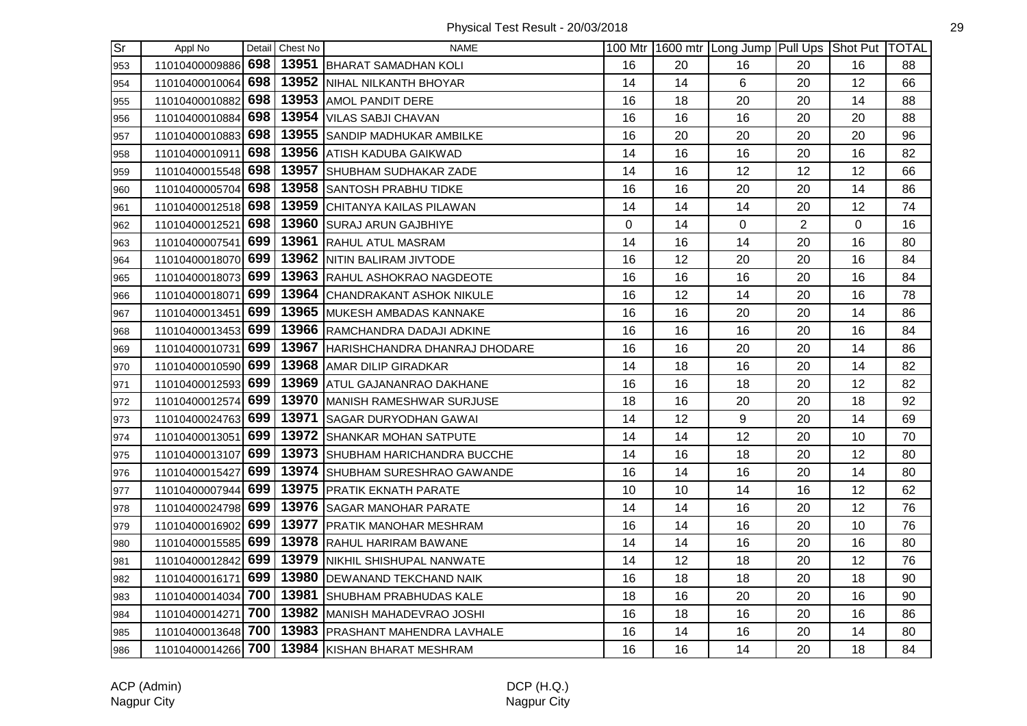Physical Test Result - 20/03/2018 29

| $\overline{\text{Sr}}$ | Appl No            |     | Detail Chest No | NAME                                |    |    | 100 Mtr 1600 mtr Long Jump Pull Ups Shot Put TOTAL |                |    |    |
|------------------------|--------------------|-----|-----------------|-------------------------------------|----|----|----------------------------------------------------|----------------|----|----|
| 953                    | 11010400009886     | 698 |                 | 13951 BHARAT SAMADHAN KOLI          | 16 | 20 | 16                                                 | 20             | 16 | 88 |
| 954                    | 11010400010064     | 698 |                 | 13952 NIHAL NILKANTH BHOYAR         | 14 | 14 | 6                                                  | 20             | 12 | 66 |
| 955                    | 11010400010882     | 698 |                 | 13953 AMOL PANDIT DERE              | 16 | 18 | 20                                                 | 20             | 14 | 88 |
| 956                    | 11010400010884     | 698 |                 | 13954 VILAS SABJI CHAVAN            | 16 | 16 | 16                                                 | 20             | 20 | 88 |
| 957                    | 11010400010883 698 |     |                 | 13955 SANDIP MADHUKAR AMBILKE       | 16 | 20 | 20                                                 | 20             | 20 | 96 |
| 958                    | 11010400010911     | 698 |                 | 13956 ATISH KADUBA GAIKWAD          | 14 | 16 | 16                                                 | 20             | 16 | 82 |
| 959                    | 11010400015548 698 |     |                 | 13957 SHUBHAM SUDHAKAR ZADE         | 14 | 16 | 12                                                 | 12             | 12 | 66 |
| 960                    | 11010400005704     | 698 |                 | 13958 SANTOSH PRABHU TIDKE          | 16 | 16 | 20                                                 | 20             | 14 | 86 |
| 961                    | 11010400012518     | 698 |                 | 13959 CHITANYA KAILAS PILAWAN       | 14 | 14 | 14                                                 | 20             | 12 | 74 |
| 962                    | 11010400012521     | 698 |                 | 13960 SURAJ ARUN GAJBHIYE           | 0  | 14 | 0                                                  | $\overline{2}$ | 0  | 16 |
| 963                    | 11010400007541     | 699 |                 | 13961 RAHUL ATUL MASRAM             | 14 | 16 | 14                                                 | 20             | 16 | 80 |
| 964                    | 11010400018070 699 |     |                 | 13962 NITIN BALIRAM JIVTODE         | 16 | 12 | 20                                                 | 20             | 16 | 84 |
| 965                    | 11010400018073 699 |     |                 | 13963 RAHUL ASHOKRAO NAGDEOTE       | 16 | 16 | 16                                                 | 20             | 16 | 84 |
| 966                    | 11010400018071 699 |     |                 | 13964 CHANDRAKANT ASHOK NIKULE      | 16 | 12 | 14                                                 | 20             | 16 | 78 |
| 967                    | 11010400013451     | 699 |                 | 13965 MUKESH AMBADAS KANNAKE        | 16 | 16 | 20                                                 | 20             | 14 | 86 |
| 968                    | 11010400013453 699 |     |                 | 13966 RAMCHANDRA DADAJI ADKINE      | 16 | 16 | 16                                                 | 20             | 16 | 84 |
| 969                    | 11010400010731     | 699 |                 | 13967 HARISHCHANDRA DHANRAJ DHODARE | 16 | 16 | 20                                                 | 20             | 14 | 86 |
| 970                    | 11010400010590 699 |     |                 | 13968 AMAR DILIP GIRADKAR           | 14 | 18 | 16                                                 | 20             | 14 | 82 |
| 971                    | 11010400012593     | 699 |                 | 13969 ATUL GAJANANRAO DAKHANE       | 16 | 16 | 18                                                 | 20             | 12 | 82 |
| 972                    | 11010400012574 699 |     |                 | 13970 MANISH RAMESHWAR SURJUSE      | 18 | 16 | 20                                                 | 20             | 18 | 92 |
| 973                    | 11010400024763 699 |     |                 | 13971 SAGAR DURYODHAN GAWAI         | 14 | 12 | 9                                                  | 20             | 14 | 69 |
| 974                    | 11010400013051     | 699 |                 | 13972 SHANKAR MOHAN SATPUTE         | 14 | 14 | 12                                                 | 20             | 10 | 70 |
| 975                    | 11010400013107     | 699 |                 | 13973 SHUBHAM HARICHANDRA BUCCHE    | 14 | 16 | 18                                                 | 20             | 12 | 80 |
| 976                    | 11010400015427     | 699 |                 | 13974 SHUBHAM SURESHRAO GAWANDE     | 16 | 14 | 16                                                 | 20             | 14 | 80 |
| 977                    | 11010400007944     | 699 |                 | 13975   PRATIK EKNATH PARATE        | 10 | 10 | 14                                                 | 16             | 12 | 62 |
| 978                    | 11010400024798     | 699 |                 | 13976 SAGAR MANOHAR PARATE          | 14 | 14 | 16                                                 | 20             | 12 | 76 |
| 979                    | 11010400016902     | 699 |                 | 13977 PRATIK MANOHAR MESHRAM        | 16 | 14 | 16                                                 | 20             | 10 | 76 |
| 980                    | 11010400015585 699 |     |                 | 13978 RAHUL HARIRAM BAWANE          | 14 | 14 | 16                                                 | 20             | 16 | 80 |
| 981                    | 11010400012842 699 |     |                 | 13979   NIKHIL SHISHUPAL NANWATE    | 14 | 12 | 18                                                 | 20             | 12 | 76 |
| 982                    | 11010400016171     | 699 |                 | 13980 DEWANAND TEKCHAND NAIK        | 16 | 18 | 18                                                 | 20             | 18 | 90 |
| 983                    | 11010400014034 700 |     |                 | 13981 SHUBHAM PRABHUDAS KALE        | 18 | 16 | 20                                                 | 20             | 16 | 90 |
| 984                    | 11010400014271     | 700 |                 | 13982 MANISH MAHADEVRAO JOSHI       | 16 | 18 | 16                                                 | 20             | 16 | 86 |
| 985                    | 11010400013648 700 |     |                 | 13983 PRASHANT MAHENDRA LAVHALE     | 16 | 14 | 16                                                 | 20             | 14 | 80 |
| 986                    | 11010400014266 700 |     |                 | 13984 KISHAN BHARAT MESHRAM         | 16 | 16 | 14                                                 | 20             | 18 | 84 |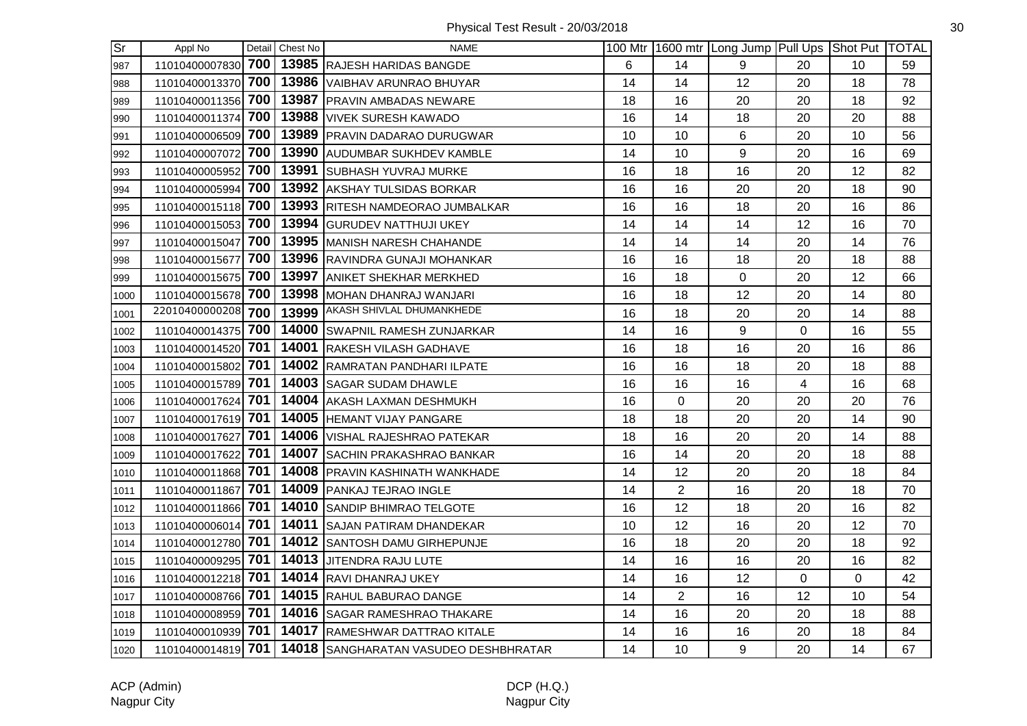| lSr  | Appl No            |     | Detail Chest No | <b>NAME</b>                           |    |                | 100 Mtr 1600 mtr Long Jump Pull Ups Shot Put TOTAL |                |    |    |
|------|--------------------|-----|-----------------|---------------------------------------|----|----------------|----------------------------------------------------|----------------|----|----|
| 987  | 11010400007830 700 |     |                 | 13985 RAJESH HARIDAS BANGDE           | 6  | 14             | 9                                                  | 20             | 10 | 59 |
| 988  | 11010400013370     | 700 |                 | 13986 VAIBHAV ARUNRAO BHUYAR          | 14 | 14             | 12                                                 | 20             | 18 | 78 |
| 989  | 11010400011356     | 700 |                 | 13987 PRAVIN AMBADAS NEWARE           | 18 | 16             | 20                                                 | 20             | 18 | 92 |
| 990  | 11010400011374     | 700 |                 | 13988 VIVEK SURESH KAWADO             | 16 | 14             | 18                                                 | 20             | 20 | 88 |
| 991  | 11010400006509     | 700 |                 | 13989 PRAVIN DADARAO DURUGWAR         | 10 | 10             | 6                                                  | 20             | 10 | 56 |
| 992  | 11010400007072 700 |     |                 | 13990 AUDUMBAR SUKHDEV KAMBLE         | 14 | 10             | 9                                                  | 20             | 16 | 69 |
| 993  | 11010400005952     | 700 |                 | 13991 SUBHASH YUVRAJ MURKE            | 16 | 18             | 16                                                 | 20             | 12 | 82 |
| 994  | 11010400005994 700 |     |                 | 13992 AKSHAY TULSIDAS BORKAR          | 16 | 16             | 20                                                 | 20             | 18 | 90 |
| 995  | 11010400015118     | 700 |                 | 13993 RITESH NAMDEORAO JUMBALKAR      | 16 | 16             | 18                                                 | 20             | 16 | 86 |
| 996  | 11010400015053     | 700 |                 | 13994 GURUDEV NATTHUJI UKEY           | 14 | 14             | 14                                                 | 12             | 16 | 70 |
| 997  | 11010400015047     | 700 |                 | 13995 MANISH NARESH CHAHANDE          | 14 | 14             | 14                                                 | 20             | 14 | 76 |
| 998  | 11010400015677     | 700 |                 | 13996 RAVINDRA GUNAJI MOHANKAR        | 16 | 16             | 18                                                 | 20             | 18 | 88 |
| 999  | 11010400015675 700 |     |                 | 13997 ANIKET SHEKHAR MERKHED          | 16 | 18             | $\mathbf 0$                                        | 20             | 12 | 66 |
| 1000 | 11010400015678 700 |     |                 | 13998 MOHAN DHANRAJ WANJARI           | 16 | 18             | 12                                                 | 20             | 14 | 80 |
| 1001 | 22010400000208     | 700 |                 | 13999 AKASH SHIVLAL DHUMANKHEDE       | 16 | 18             | 20                                                 | 20             | 14 | 88 |
| 1002 | 11010400014375 700 |     |                 | 14000 SWAPNIL RAMESH ZUNJARKAR        | 14 | 16             | 9                                                  | $\overline{0}$ | 16 | 55 |
| 1003 | 11010400014520     | 701 |                 | 14001 RAKESH VILASH GADHAVE           | 16 | 18             | 16                                                 | 20             | 16 | 86 |
| 1004 | 11010400015802     | 701 |                 | 14002 RAMRATAN PANDHARI ILPATE        | 16 | 16             | 18                                                 | 20             | 18 | 88 |
| 1005 | 11010400015789 701 |     |                 | 14003 SAGAR SUDAM DHAWLE              | 16 | 16             | 16                                                 | $\overline{4}$ | 16 | 68 |
| 1006 | 11010400017624 701 |     |                 | 14004 AKASH LAXMAN DESHMUKH           | 16 | 0              | 20                                                 | 20             | 20 | 76 |
| 1007 | 11010400017619 701 |     |                 | 14005 HEMANT VIJAY PANGARE            | 18 | 18             | 20                                                 | 20             | 14 | 90 |
| 1008 | 11010400017627     | 701 |                 | 14006 VISHAL RAJESHRAO PATEKAR        | 18 | 16             | 20                                                 | 20             | 14 | 88 |
| 1009 | 11010400017622     | 701 |                 | 14007 SACHIN PRAKASHRAO BANKAR        | 16 | 14             | 20                                                 | 20             | 18 | 88 |
| 1010 | 11010400011868     | 701 |                 | 14008 PRAVIN KASHINATH WANKHADE       | 14 | 12             | 20                                                 | 20             | 18 | 84 |
| 1011 | 11010400011867     | 701 |                 | 14009 PANKAJ TEJRAO INGLE             | 14 | $\overline{2}$ | 16                                                 | 20             | 18 | 70 |
| 1012 | 11010400011866 701 |     |                 | <b>14010 SANDIP BHIMRAO TELGOTE</b>   | 16 | 12             | 18                                                 | 20             | 16 | 82 |
| 1013 | 11010400006014 701 |     |                 | 14011 SAJAN PATIRAM DHANDEKAR         | 10 | 12             | 16                                                 | 20             | 12 | 70 |
| 1014 | 11010400012780 701 |     |                 | 14012 SANTOSH DAMU GIRHEPUNJE         | 16 | 18             | 20                                                 | 20             | 18 | 92 |
| 1015 | 11010400009295 701 |     |                 | 14013 JJITENDRA RAJU LUTE             | 14 | 16             | 16                                                 | 20             | 16 | 82 |
| 1016 | 11010400012218 701 |     |                 | 14014 RAVI DHANRAJ UKEY               | 14 | 16             | 12                                                 | 0              | 0  | 42 |
| 1017 | 11010400008766     | 701 |                 | 14015 RAHUL BABURAO DANGE             | 14 | $\overline{2}$ | 16                                                 | 12             | 10 | 54 |
| 1018 | 11010400008959     | 701 |                 | 14016 SAGAR RAMESHRAO THAKARE         | 14 | 16             | 20                                                 | 20             | 18 | 88 |
| 1019 | 11010400010939 701 |     |                 | <b>14017 RAMESHWAR DATTRAO KITALE</b> | 14 | 16             | 16                                                 | 20             | 18 | 84 |
| 1020 | 11010400014819 701 |     |                 | 14018 SANGHARATAN VASUDEO DESHBHRATAR | 14 | 10             | 9                                                  | 20             | 14 | 67 |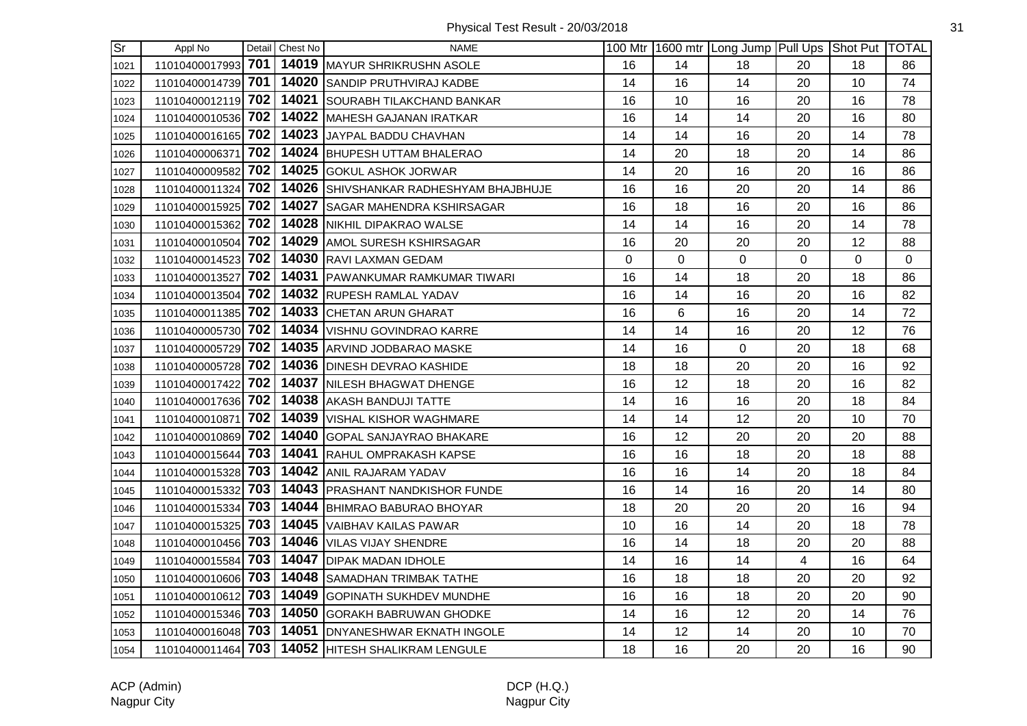| $\overline{\text{Sr}}$ | Appl No            |     | Detail Chest No | <b>NAME</b>                                       |    |    | 100 Mtr   1600 mtr   Long Jump   Pull Ups   Shot Put   TOTAL |    |    |    |
|------------------------|--------------------|-----|-----------------|---------------------------------------------------|----|----|--------------------------------------------------------------|----|----|----|
| 1021                   | 11010400017993 701 |     |                 | 14019 MAYUR SHRIKRUSHN ASOLE                      | 16 | 14 | 18                                                           | 20 | 18 | 86 |
| 1022                   | 11010400014739 701 |     |                 | 14020 SANDIP PRUTHVIRAJ KADBE                     | 14 | 16 | 14                                                           | 20 | 10 | 74 |
| 1023                   | 11010400012119 702 |     |                 | 14021 SOURABH TILAKCHAND BANKAR                   | 16 | 10 | 16                                                           | 20 | 16 | 78 |
| 1024                   | 11010400010536 702 |     |                 | 14022 MAHESH GAJANAN IRATKAR                      | 16 | 14 | 14                                                           | 20 | 16 | 80 |
| 1025                   | 11010400016165 702 |     |                 | 14023 JAYPAL BADDU CHAVHAN                        | 14 | 14 | 16                                                           | 20 | 14 | 78 |
| 1026                   | 11010400006371 702 |     |                 | 14024 BHUPESH UTTAM BHALERAO                      | 14 | 20 | 18                                                           | 20 | 14 | 86 |
| 1027                   | 11010400009582 702 |     |                 | 14025 GOKUL ASHOK JORWAR                          | 14 | 20 | 16                                                           | 20 | 16 | 86 |
| 1028                   | 11010400011324 702 |     |                 | 14026 SHIVSHANKAR RADHESHYAM BHAJBHUJE            | 16 | 16 | 20                                                           | 20 | 14 | 86 |
| 1029                   | 11010400015925     | 702 |                 | 14027 SAGAR MAHENDRA KSHIRSAGAR                   | 16 | 18 | 16                                                           | 20 | 16 | 86 |
| 1030                   | 11010400015362     | 702 |                 | 14028 NIKHIL DIPAKRAO WALSE                       | 14 | 14 | 16                                                           | 20 | 14 | 78 |
| 1031                   | 11010400010504     | 702 |                 | 14029 AMOL SURESH KSHIRSAGAR                      | 16 | 20 | 20                                                           | 20 | 12 | 88 |
| 1032                   | 11010400014523 702 |     |                 | 14030 RAVI LAXMAN GEDAM                           | 0  | 0  | $\mathbf 0$                                                  | 0  | 0  | 0  |
| 1033                   | 11010400013527 702 |     |                 | 14031 PAWANKUMAR RAMKUMAR TIWARI                  | 16 | 14 | 18                                                           | 20 | 18 | 86 |
| 1034                   | 11010400013504 702 |     |                 | 14032 RUPESH RAMLAL YADAV                         | 16 | 14 | 16                                                           | 20 | 16 | 82 |
| 1035                   | 11010400011385 702 |     |                 | 14033 CHETAN ARUN GHARAT                          | 16 | 6  | 16                                                           | 20 | 14 | 72 |
| 1036                   | 11010400005730 702 |     |                 | 14034 VISHNU GOVINDRAO KARRE                      | 14 | 14 | 16                                                           | 20 | 12 | 76 |
| 1037                   | 11010400005729 702 |     |                 | 14035 ARVIND JODBARAO MASKE                       | 14 | 16 | 0                                                            | 20 | 18 | 68 |
| 1038                   | 11010400005728 702 |     |                 | 14036 DINESH DEVRAO KASHIDE                       | 18 | 18 | 20                                                           | 20 | 16 | 92 |
| 1039                   | 11010400017422     | 702 |                 | 14037 NILESH BHAGWAT DHENGE                       | 16 | 12 | 18                                                           | 20 | 16 | 82 |
| 1040                   | 11010400017636 702 |     |                 | 14038 AKASH BANDUJI TATTE                         | 14 | 16 | 16                                                           | 20 | 18 | 84 |
| 1041                   | 11010400010871     | 702 |                 | 14039 VISHAL KISHOR WAGHMARE                      | 14 | 14 | 12                                                           | 20 | 10 | 70 |
| 1042                   | 11010400010869 702 |     |                 | 14040 GOPAL SANJAYRAO BHAKARE                     | 16 | 12 | 20                                                           | 20 | 20 | 88 |
| 1043                   | 11010400015644 703 |     |                 | 14041 RAHUL OMPRAKASH KAPSE                       | 16 | 16 | 18                                                           | 20 | 18 | 88 |
| 1044                   | 11010400015328     | 703 |                 | 14042 ANIL RAJARAM YADAV                          | 16 | 16 | 14                                                           | 20 | 18 | 84 |
| 1045                   | 11010400015332     | 703 |                 | 14043 PRASHANT NANDKISHOR FUNDE                   | 16 | 14 | 16                                                           | 20 | 14 | 80 |
| 1046                   | 11010400015334     | 703 |                 | 14044 BHIMRAO BABURAO BHOYAR                      | 18 | 20 | 20                                                           | 20 | 16 | 94 |
| 1047                   | 11010400015325 703 |     |                 | 14045 VAIBHAV KAILAS PAWAR                        | 10 | 16 | 14                                                           | 20 | 18 | 78 |
| 1048                   | 11010400010456 703 |     |                 | 14046 VILAS VIJAY SHENDRE                         | 16 | 14 | 18                                                           | 20 | 20 | 88 |
| 1049                   | 11010400015584 703 |     |                 | 14047 DIPAK MADAN IDHOLE                          | 14 | 16 | 14                                                           | 4  | 16 | 64 |
| 1050                   | 11010400010606 703 |     |                 | 14048 SAMADHAN TRIMBAK TATHE                      | 16 | 18 | 18                                                           | 20 | 20 | 92 |
| 1051                   | 11010400010612 703 |     |                 | 14049 GOPINATH SUKHDEV MUNDHE                     | 16 | 16 | 18                                                           | 20 | 20 | 90 |
| 1052                   | 11010400015346     | 703 |                 | 14050 GORAKH BABRUWAN GHODKE                      | 14 | 16 | 12                                                           | 20 | 14 | 76 |
| 1053                   | 11010400016048 703 |     |                 | 14051 DNYANESHWAR EKNATH INGOLE                   | 14 | 12 | 14                                                           | 20 | 10 | 70 |
| 1054                   |                    |     |                 | 11010400011464 703 14052 HITESH SHALIKRAM LENGULE | 18 | 16 | 20                                                           | 20 | 16 | 90 |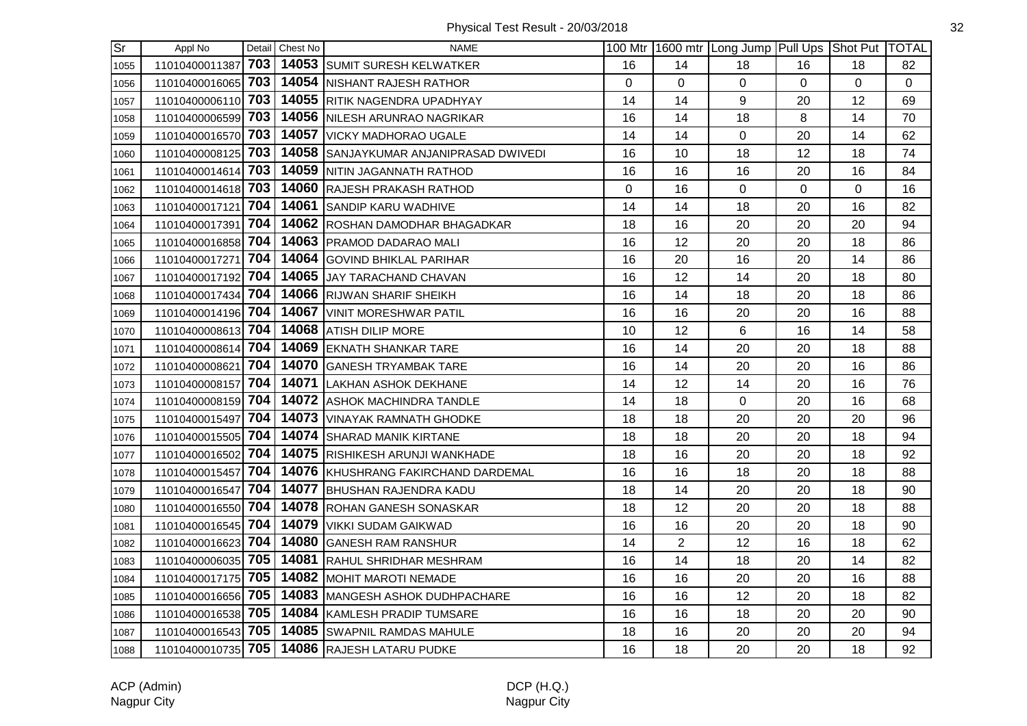| $\overline{\text{Sr}}$ | Appl No            |     | Detail Chest No | <b>NAME</b>                            |             |                | 100 Mtr 1600 mtr Long Jump Pull Ups Shot Put TOTAL |                |    |              |
|------------------------|--------------------|-----|-----------------|----------------------------------------|-------------|----------------|----------------------------------------------------|----------------|----|--------------|
| 1055                   | 11010400011387     | 703 |                 | 14053 SUMIT SURESH KELWATKER           | 16          | 14             | 18                                                 | 16             | 18 | 82           |
| 1056                   | 11010400016065     | 703 |                 | 14054 NISHANT RAJESH RATHOR            | 0           | 0              | 0                                                  | $\overline{0}$ | 0  | $\mathbf{0}$ |
| 1057                   | 11010400006110     | 703 |                 | 14055 RITIK NAGENDRA UPADHYAY          | 14          | 14             | 9                                                  | 20             | 12 | 69           |
| 1058                   | 11010400006599 703 |     |                 | 14056 NILESH ARUNRAO NAGRIKAR          | 16          | 14             | 18                                                 | 8              | 14 | 70           |
| 1059                   | 11010400016570 703 |     |                 | 14057 VICKY MADHORAO UGALE             | 14          | 14             | 0                                                  | 20             | 14 | 62           |
| 1060                   | 11010400008125 703 |     |                 | 14058 SANJAYKUMAR ANJANIPRASAD DWIVEDI | 16          | 10             | 18                                                 | 12             | 18 | 74           |
| 1061                   | 11010400014614 703 |     |                 | 14059 NITIN JAGANNATH RATHOD           | 16          | 16             | 16                                                 | 20             | 16 | 84           |
| 1062                   | 11010400014618 703 |     |                 | 14060 RAJESH PRAKASH RATHOD            | $\mathbf 0$ | 16             | $\mathbf 0$                                        | $\mathbf 0$    | 0  | 16           |
| 1063                   | 11010400017121     | 704 |                 | 14061 SANDIP KARU WADHIVE              | 14          | 14             | 18                                                 | 20             | 16 | 82           |
| 1064                   | 11010400017391     | 704 |                 | 14062 ROSHAN DAMODHAR BHAGADKAR        | 18          | 16             | 20                                                 | 20             | 20 | 94           |
| 1065                   | 11010400016858     | 704 |                 | 14063   PRAMOD DADARAO MALI            | 16          | 12             | 20                                                 | 20             | 18 | 86           |
| 1066                   | 11010400017271     | 704 |                 | 14064 GOVIND BHIKLAL PARIHAR           | 16          | 20             | 16                                                 | 20             | 14 | 86           |
| 1067                   | 11010400017192 704 |     |                 | 14065 JJAY TARACHAND CHAVAN            | 16          | 12             | 14                                                 | 20             | 18 | 80           |
| 1068                   | 11010400017434 704 |     |                 | 14066 RIJWAN SHARIF SHEIKH             | 16          | 14             | 18                                                 | 20             | 18 | 86           |
| 1069                   | 11010400014196 704 |     |                 | 14067 VINIT MORESHWAR PATIL            | 16          | 16             | 20                                                 | 20             | 16 | 88           |
| 1070                   | 11010400008613 704 |     |                 | 14068 ATISH DILIP MORE                 | 10          | 12             | 6                                                  | 16             | 14 | 58           |
| 1071                   | 11010400008614     | 704 |                 | 14069 EKNATH SHANKAR TARE              | 16          | 14             | 20                                                 | 20             | 18 | 88           |
| 1072                   | 11010400008621     | 704 |                 | 14070 GANESH TRYAMBAK TARE             | 16          | 14             | 20                                                 | 20             | 16 | 86           |
| 1073                   | 11010400008157     | 704 |                 | 14071 LAKHAN ASHOK DEKHANE             | 14          | 12             | 14                                                 | 20             | 16 | 76           |
| 1074                   | 11010400008159 704 |     |                 | 14072 ASHOK MACHINDRA TANDLE           | 14          | 18             | $\mathbf 0$                                        | 20             | 16 | 68           |
| 1075                   | 11010400015497 704 |     |                 | 14073 VINAYAK RAMNATH GHODKE           | 18          | 18             | 20                                                 | 20             | 20 | 96           |
| 1076                   | 11010400015505 704 |     |                 | 14074 SHARAD MANIK KIRTANE             | 18          | 18             | 20                                                 | 20             | 18 | 94           |
| 1077                   | 11010400016502 704 |     |                 | 14075 RISHIKESH ARUNJI WANKHADE        | 18          | 16             | 20                                                 | 20             | 18 | 92           |
| 1078                   | 11010400015457     | 704 |                 | 14076 KHUSHRANG FAKIRCHAND DARDEMAL    | 16          | 16             | 18                                                 | 20             | 18 | 88           |
| 1079                   | 11010400016547     | 704 |                 | 14077 BHUSHAN RAJENDRA KADU            | 18          | 14             | 20                                                 | 20             | 18 | 90           |
| 1080                   | 11010400016550     | 704 |                 | 14078 ROHAN GANESH SONASKAR            | 18          | 12             | 20                                                 | 20             | 18 | 88           |
| 1081                   | 11010400016545 704 |     |                 | 14079   VIKKI SUDAM GAIKWAD            | 16          | 16             | 20                                                 | 20             | 18 | 90           |
| 1082                   | 11010400016623 704 |     |                 | 14080 GANESH RAM RANSHUR               | 14          | $\overline{2}$ | 12                                                 | 16             | 18 | 62           |
| 1083                   | 11010400006035 705 |     |                 | 14081 RAHUL SHRIDHAR MESHRAM           | 16          | 14             | 18                                                 | 20             | 14 | 82           |
| 1084                   | 11010400017175 705 |     |                 | 14082 MOHIT MAROTI NEMADE              | 16          | 16             | 20                                                 | 20             | 16 | 88           |
| 1085                   | 11010400016656 705 |     |                 | 14083 MANGESH ASHOK DUDHPACHARE        | 16          | 16             | 12                                                 | 20             | 18 | 82           |
| 1086                   | 11010400016538     | 705 |                 | 14084 KAMLESH PRADIP TUMSARE           | 16          | 16             | 18                                                 | 20             | 20 | 90           |
| 1087                   | 11010400016543 705 |     |                 | 14085 SWAPNIL RAMDAS MAHULE            | 18          | 16             | 20                                                 | 20             | 20 | 94           |
| 1088                   | 11010400010735 705 |     |                 | 14086 RAJESH LATARU PUDKE              | 16          | 18             | 20                                                 | 20             | 18 | 92           |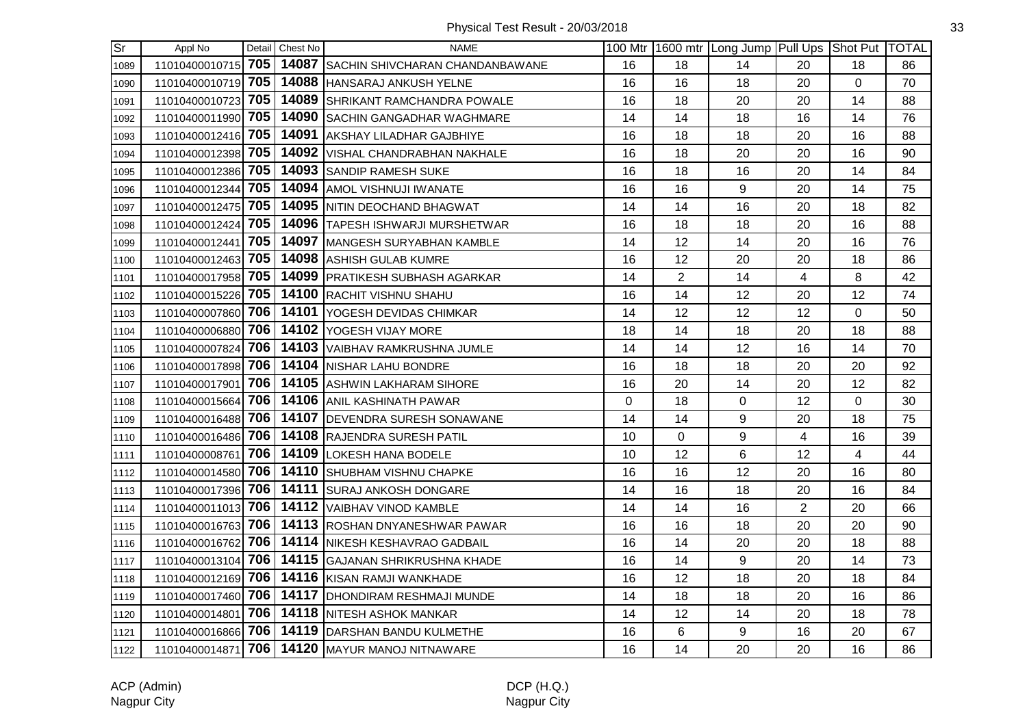| $\overline{\text{Sr}}$ | Appl No            |     | Detail Chest No | <b>NAME</b>                                    |          |                | 100 Mtr 1600 mtr Long Jump Pull Ups Shot Put TOTAL |                |             |    |
|------------------------|--------------------|-----|-----------------|------------------------------------------------|----------|----------------|----------------------------------------------------|----------------|-------------|----|
| 1089                   | 11010400010715 705 |     |                 | 14087 SACHIN SHIVCHARAN CHANDANBAWANE          | 16       | 18             | 14                                                 | 20             | 18          | 86 |
| 1090                   | 11010400010719 705 |     |                 | 14088 HANSARAJ ANKUSH YELNE                    | 16       | 16             | 18                                                 | 20             | 0           | 70 |
| 1091                   | 11010400010723 705 |     |                 | 14089 SHRIKANT RAMCHANDRA POWALE               | 16       | 18             | 20                                                 | 20             | 14          | 88 |
| 1092                   | 11010400011990 705 |     |                 | 14090 SACHIN GANGADHAR WAGHMARE                | 14       | 14             | 18                                                 | 16             | 14          | 76 |
| 1093                   | 11010400012416 705 |     |                 | 14091 AKSHAY LILADHAR GAJBHIYE                 | 16       | 18             | 18                                                 | 20             | 16          | 88 |
| 1094                   | 11010400012398 705 |     |                 | 14092 VISHAL CHANDRABHAN NAKHALE               | 16       | 18             | 20                                                 | 20             | 16          | 90 |
| 1095                   | 11010400012386 705 |     |                 | 14093 SANDIP RAMESH SUKE                       | 16       | 18             | 16                                                 | 20             | 14          | 84 |
| 1096                   | 11010400012344 705 |     |                 | 14094 AMOL VISHNUJI IWANATE                    | 16       | 16             | 9                                                  | 20             | 14          | 75 |
| 1097                   | 11010400012475     | 705 |                 | 14095 NITIN DEOCHAND BHAGWAT                   | 14       | 14             | 16                                                 | 20             | 18          | 82 |
| 1098                   | 11010400012424     | 705 |                 | 14096 TAPESH ISHWARJI MURSHETWAR               | 16       | 18             | 18                                                 | 20             | 16          | 88 |
| 1099                   | 11010400012441 705 |     |                 | 14097 MANGESH SURYABHAN KAMBLE                 | 14       | 12             | 14                                                 | 20             | 16          | 76 |
| 1100                   | 11010400012463 705 |     |                 | 14098 ASHISH GULAB KUMRE                       | 16       | 12             | 20                                                 | 20             | 18          | 86 |
| 1101                   | 11010400017958 705 |     |                 | 14099 PRATIKESH SUBHASH AGARKAR                | 14       | $\overline{2}$ | 14                                                 | $\overline{4}$ | 8           | 42 |
| 1102                   | 11010400015226 705 |     |                 | 14100 RACHIT VISHNU SHAHU                      | 16       | 14             | 12                                                 | 20             | 12          | 74 |
| 1103                   | 11010400007860 706 |     |                 | 14101 YOGESH DEVIDAS CHIMKAR                   | 14       | 12             | 12                                                 | 12             | $\mathbf 0$ | 50 |
| 1104                   | 11010400006880     | 706 |                 | 14102 YOGESH VIJAY MORE                        | 18       | 14             | 18                                                 | 20             | 18          | 88 |
| 1105                   | 11010400007824     | 706 |                 | 14103 VAIBHAV RAMKRUSHNA JUMLE                 | 14       | 14             | 12                                                 | 16             | 14          | 70 |
| 1106                   | 11010400017898 706 |     |                 | 14104 NISHAR LAHU BONDRE                       | 16       | 18             | 18                                                 | 20             | 20          | 92 |
| 1107                   | 11010400017901     | 706 |                 | 14105 ASHWIN LAKHARAM SIHORE                   | 16       | 20             | 14                                                 | 20             | 12          | 82 |
| 1108                   | 11010400015664 706 |     |                 | 14106 ANIL KASHINATH PAWAR                     | $\Omega$ | 18             | 0                                                  | 12             | $\Omega$    | 30 |
| 1109                   | 11010400016488 706 |     |                 | 14107 DEVENDRA SURESH SONAWANE                 | 14       | 14             | 9                                                  | 20             | 18          | 75 |
| 1110                   | 11010400016486 706 |     |                 | 14108 RAJENDRA SURESH PATIL                    | 10       | $\Omega$       | 9                                                  | $\overline{4}$ | 16          | 39 |
| 1111                   | 11010400008761     | 706 |                 | 14109 LOKESH HANA BODELE                       | 10       | 12             | 6                                                  | 12             | 4           | 44 |
| 1112                   | 11010400014580     | 706 |                 | 14110 SHUBHAM VISHNU CHAPKE                    | 16       | 16             | 12                                                 | 20             | 16          | 80 |
| 1113                   | 11010400017396     | 706 |                 | 14111 SURAJ ANKOSH DONGARE                     | 14       | 16             | 18                                                 | 20             | 16          | 84 |
| 1114                   | 11010400011013 706 |     |                 | 14112 VAIBHAV VINOD KAMBLE                     | 14       | 14             | 16                                                 | $\overline{2}$ | 20          | 66 |
| 1115                   | 11010400016763 706 |     |                 | 14113 ROSHAN DNYANESHWAR PAWAR                 | 16       | 16             | 18                                                 | 20             | 20          | 90 |
| 1116                   | 11010400016762 706 |     |                 | 14114 NIKESH KESHAVRAO GADBAIL                 | 16       | 14             | 20                                                 | 20             | 18          | 88 |
| 1117                   | 11010400013104 706 |     |                 | 14115 GAJANAN SHRIKRUSHNA KHADE                | 16       | 14             | 9                                                  | 20             | 14          | 73 |
| 1118                   | 11010400012169 706 |     |                 | 14116 KISAN RAMJI WANKHADE                     | 16       | 12             | 18                                                 | 20             | 18          | 84 |
| 1119                   | 11010400017460 706 |     |                 | 14117 DHONDIRAM RESHMAJI MUNDE                 | 14       | 18             | 18                                                 | 20             | 16          | 86 |
| 1120                   | 11010400014801     | 706 |                 | 14118 NITESH ASHOK MANKAR                      | 14       | 12             | 14                                                 | 20             | 18          | 78 |
| 1121                   | 11010400016866 706 |     |                 | 14119 DARSHAN BANDU KULMETHE                   | 16       | 6              | 9                                                  | 16             | 20          | 67 |
| 1122                   |                    |     |                 | 11010400014871 706 14120 MAYUR MANOJ NITNAWARE | 16       | 14             | 20                                                 | 20             | 16          | 86 |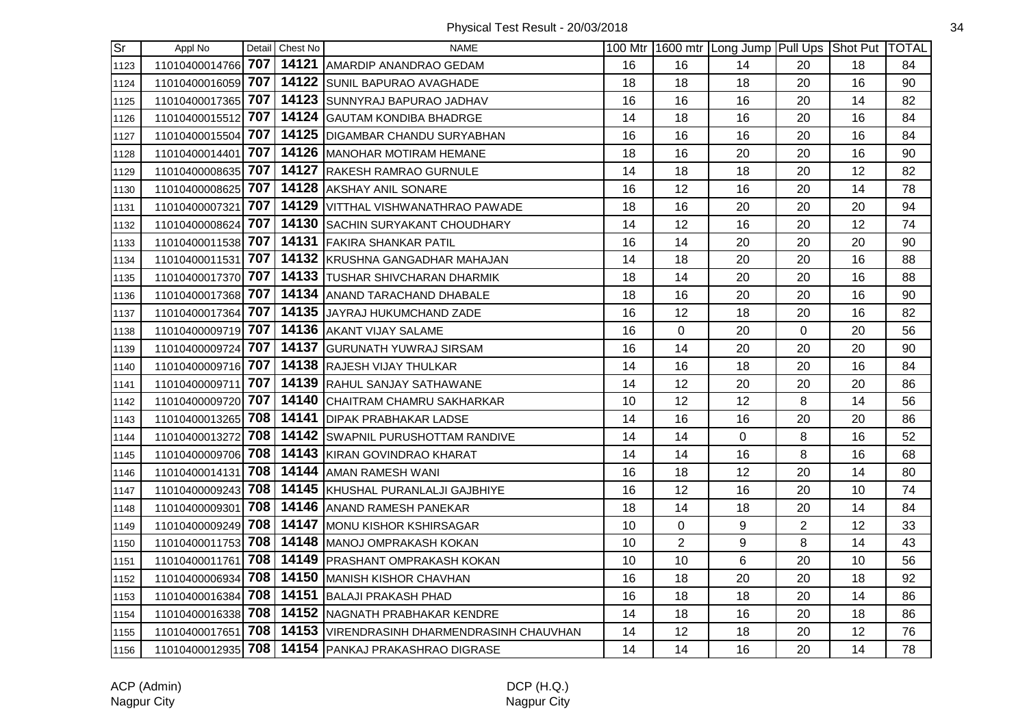| $\overline{\text{Sr}}$ | Appl No            |     | Detail Chest No | <b>NAME</b>                                        |    |                | 100 Mtr   1600 mtr   Long Jump   Pull Ups   Shot Put   TOTAL |                |    |    |
|------------------------|--------------------|-----|-----------------|----------------------------------------------------|----|----------------|--------------------------------------------------------------|----------------|----|----|
| 1123                   |                    |     |                 | 11010400014766 707 14121 AMARDIP ANANDRAO GEDAM    | 16 | 16             | 14                                                           | 20             | 18 | 84 |
| 1124                   | 11010400016059     | 707 |                 | 14122 SUNIL BAPURAO AVAGHADE                       | 18 | 18             | 18                                                           | 20             | 16 | 90 |
| 1125                   | 11010400017365 707 |     |                 | 14123 SUNNYRAJ BAPURAO JADHAV                      | 16 | 16             | 16                                                           | 20             | 14 | 82 |
| 1126                   | 11010400015512     |     |                 | 707   14124 GAUTAM KONDIBA BHADRGE                 | 14 | 18             | 16                                                           | 20             | 16 | 84 |
| 1127                   | 11010400015504 707 |     |                 | 14125 DIGAMBAR CHANDU SURYABHAN                    | 16 | 16             | 16                                                           | 20             | 16 | 84 |
| 1128                   | 11010400014401 707 |     |                 | 14126 MANOHAR MOTIRAM HEMANE                       | 18 | 16             | 20                                                           | 20             | 16 | 90 |
| 1129                   | 11010400008635 707 |     |                 | 14127 RAKESH RAMRAO GURNULE                        | 14 | 18             | 18                                                           | 20             | 12 | 82 |
| 1130                   | 11010400008625 707 |     |                 | 14128 AKSHAY ANIL SONARE                           | 16 | 12             | 16                                                           | 20             | 14 | 78 |
| 1131                   | 11010400007321     | 707 |                 | 14129 VITTHAL VISHWANATHRAO PAWADE                 | 18 | 16             | 20                                                           | 20             | 20 | 94 |
| 1132                   | 11010400008624     | 707 |                 | 14130 SACHIN SURYAKANT CHOUDHARY                   | 14 | 12             | 16                                                           | 20             | 12 | 74 |
| 1133                   | 11010400011538     | 707 |                 | 14131 FAKIRA SHANKAR PATIL                         | 16 | 14             | 20                                                           | 20             | 20 | 90 |
| 1134                   | 11010400011531 707 |     |                 | 14132 KRUSHNA GANGADHAR MAHAJAN                    | 14 | 18             | 20                                                           | 20             | 16 | 88 |
| 1135                   | 11010400017370 707 |     |                 | 14133 TUSHAR SHIVCHARAN DHARMIK                    | 18 | 14             | 20                                                           | 20             | 16 | 88 |
| 1136                   | 11010400017368 707 |     |                 | 14134 ANAND TARACHAND DHABALE                      | 18 | 16             | 20                                                           | 20             | 16 | 90 |
| 1137                   | 11010400017364 707 |     |                 | 14135 JAYRAJ HUKUMCHAND ZADE                       | 16 | 12             | 18                                                           | 20             | 16 | 82 |
| 1138                   | 11010400009719 707 |     |                 | 14136 AKANT VIJAY SALAME                           | 16 | 0              | 20                                                           | $\overline{0}$ | 20 | 56 |
| 1139                   | 11010400009724     | 707 |                 | 14137 GURUNATH YUWRAJ SIRSAM                       | 16 | 14             | 20                                                           | 20             | 20 | 90 |
| 1140                   | 11010400009716 707 |     |                 | 14138 RAJESH VIJAY THULKAR                         | 14 | 16             | 18                                                           | 20             | 16 | 84 |
| 1141                   | 11010400009711 707 |     |                 | 14139 RAHUL SANJAY SATHAWANE                       | 14 | 12             | 20                                                           | 20             | 20 | 86 |
| 1142                   | 11010400009720 707 |     |                 | 14140 CHAITRAM CHAMRU SAKHARKAR                    | 10 | 12             | 12                                                           | 8              | 14 | 56 |
| 1143                   | 11010400013265 708 |     |                 | 14141 DIPAK PRABHAKAR LADSE                        | 14 | 16             | 16                                                           | 20             | 20 | 86 |
| 1144                   | 11010400013272 708 |     |                 | 14142 SWAPNIL PURUSHOTTAM RANDIVE                  | 14 | 14             | $\mathbf 0$                                                  | 8              | 16 | 52 |
| 1145                   | 11010400009706 708 |     |                 | 14143 KIRAN GOVINDRAO KHARAT                       | 14 | 14             | 16                                                           | 8              | 16 | 68 |
| 1146                   | 11010400014131     | 708 |                 | 14144 AMAN RAMESH WANI                             | 16 | 18             | 12                                                           | 20             | 14 | 80 |
| 1147                   | 11010400009243     | 708 |                 | 14145 KHUSHAL PURANLALJI GAJBHIYE                  | 16 | 12             | 16                                                           | 20             | 10 | 74 |
| 1148                   | 11010400009301     | 708 |                 | 14146 ANAND RAMESH PANEKAR                         | 18 | 14             | 18                                                           | 20             | 14 | 84 |
| 1149                   | 11010400009249 708 |     |                 | 14147 MONU KISHOR KSHIRSAGAR                       | 10 | 0              | 9                                                            | $\overline{2}$ | 12 | 33 |
| 1150                   | 11010400011753 708 |     |                 | 14148 MANOJ OMPRAKASH KOKAN                        | 10 | $\overline{2}$ | $\boldsymbol{9}$                                             | 8              | 14 | 43 |
| 1151                   | 11010400011761 708 |     |                 | 14149 PRASHANT OMPRAKASH KOKAN                     | 10 | 10             | 6                                                            | 20             | 10 | 56 |
| 1152                   | 11010400006934 708 |     |                 | 14150 MANISH KISHOR CHAVHAN                        | 16 | 18             | 20                                                           | 20             | 18 | 92 |
| 1153                   | 11010400016384 708 |     |                 | 14151 BALAJI PRAKASH PHAD                          | 16 | 18             | 18                                                           | 20             | 14 | 86 |
| 1154                   | 11010400016338     | 708 |                 | 14152 NAGNATH PRABHAKAR KENDRE                     | 14 | 18             | 16                                                           | 20             | 18 | 86 |
| 1155                   | 11010400017651 708 |     |                 | 14153 VIRENDRASINH DHARMENDRASINH CHAUVHAN         | 14 | 12             | 18                                                           | 20             | 12 | 76 |
| 1156                   |                    |     |                 | 11010400012935 708 14154 PANKAJ PRAKASHRAO DIGRASE | 14 | 14             | 16                                                           | 20             | 14 | 78 |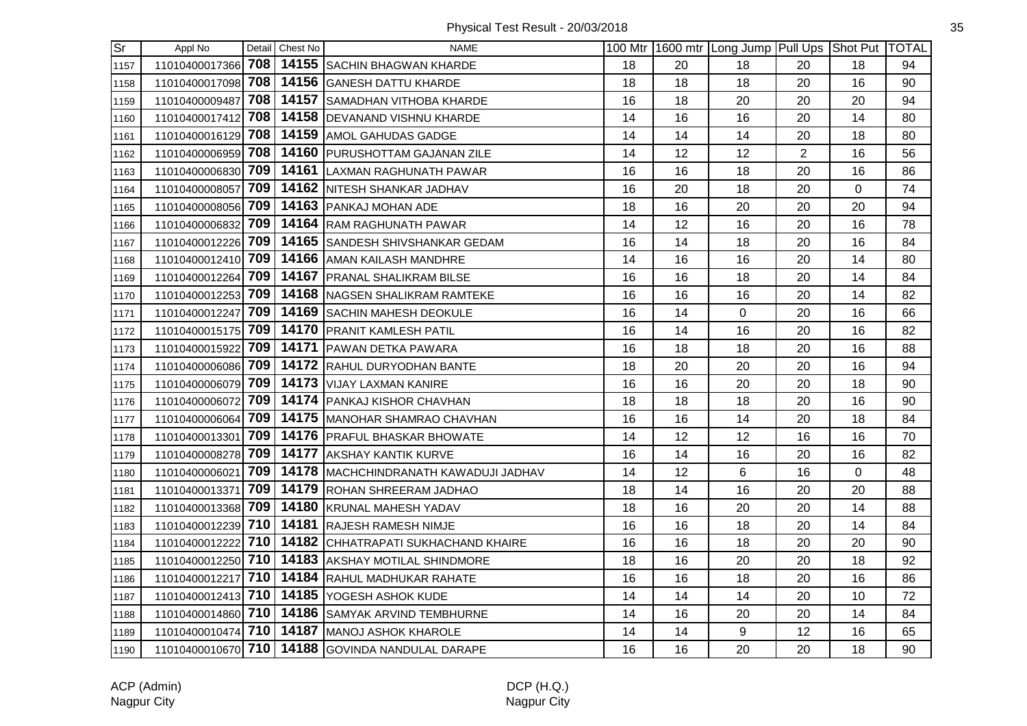| $\overline{\text{Sr}}$ | Appl No            |     | Detail Chest No | <b>NAME</b>                                          |    |                 | 100 Mtr   1600 mtr   Long Jump   Pull Ups   Shot Put   TOTAL |                |              |    |
|------------------------|--------------------|-----|-----------------|------------------------------------------------------|----|-----------------|--------------------------------------------------------------|----------------|--------------|----|
| 1157                   |                    |     |                 | 11010400017366 708 14155 SACHIN BHAGWAN KHARDE       | 18 | 20              | 18                                                           | 20             | 18           | 94 |
| 1158                   | 11010400017098     | 708 |                 | 14156 GANESH DATTU KHARDE                            | 18 | 18              | 18                                                           | 20             | 16           | 90 |
| 1159                   | 11010400009487     | 708 |                 | 14157 SAMADHAN VITHOBA KHARDE                        | 16 | 18              | 20                                                           | 20             | 20           | 94 |
| 1160                   |                    |     |                 | 11010400017412 708 14158 DEVANAND VISHNU KHARDE      | 14 | 16              | 16                                                           | 20             | 14           | 80 |
| 1161                   | 11010400016129 708 |     |                 | 14159 AMOL GAHUDAS GADGE                             | 14 | 14              | 14                                                           | 20             | 18           | 80 |
| 1162                   | 11010400006959 708 |     |                 | 14160 PURUSHOTTAM GAJANAN ZILE                       | 14 | 12              | 12                                                           | $\overline{2}$ | 16           | 56 |
| 1163                   | 11010400006830 709 |     |                 | 14161 LAXMAN RAGHUNATH PAWAR                         | 16 | 16              | 18                                                           | 20             | 16           | 86 |
| 1164                   | 11010400008057 709 |     |                 | 14162 NITESH SHANKAR JADHAV                          | 16 | 20              | 18                                                           | 20             | 0            | 74 |
| 1165                   | 11010400008056 709 |     |                 | 14163 PANKAJ MOHAN ADE                               | 18 | 16              | 20                                                           | 20             | 20           | 94 |
| 1166                   | 11010400006832     | 709 |                 | 14164 RAM RAGHUNATH PAWAR                            | 14 | 12              | 16                                                           | 20             | 16           | 78 |
| 1167                   |                    |     |                 | 11010400012226 709   14165 SANDESH SHIVSHANKAR GEDAM | 16 | 14              | 18                                                           | 20             | 16           | 84 |
| 1168                   |                    |     |                 | 11010400012410 709 14166 AMAN KAILASH MANDHRE        | 14 | 16              | 16                                                           | 20             | 14           | 80 |
| 1169                   | 11010400012264 709 |     |                 | 14167 PRANAL SHALIKRAM BILSE                         | 16 | 16              | 18                                                           | 20             | 14           | 84 |
| 1170                   |                    |     |                 | 11010400012253 709 14168 NAGSEN SHALIKRAM RAMTEKE    | 16 | 16              | 16                                                           | 20             | 14           | 82 |
| 1171                   | 11010400012247 709 |     |                 | 14169 SACHIN MAHESH DEOKULE                          | 16 | 14              | $\mathbf 0$                                                  | 20             | 16           | 66 |
| 1172                   | 11010400015175 709 |     |                 | 14170 PRANIT KAMLESH PATIL                           | 16 | 14              | 16                                                           | 20             | 16           | 82 |
| 1173                   | 11010400015922     | 709 |                 | 14171 PAWAN DETKA PAWARA                             | 16 | 18              | 18                                                           | 20             | 16           | 88 |
| 1174                   | 11010400006086 709 |     |                 | 14172 RAHUL DURYODHAN BANTE                          | 18 | 20              | 20                                                           | 20             | 16           | 94 |
| 1175                   |                    |     |                 | 11010400006079 709 14173 VIJAY LAXMAN KANIRE         | 16 | 16              | 20                                                           | 20             | 18           | 90 |
| 1176                   | 11010400006072 709 |     |                 | 14174 PANKAJ KISHOR CHAVHAN                          | 18 | 18              | 18                                                           | 20             | 16           | 90 |
| 1177                   | 11010400006064 709 |     |                 | 14175 MANOHAR SHAMRAO CHAVHAN                        | 16 | 16              | 14                                                           | 20             | 18           | 84 |
| 1178                   | 11010400013301 709 |     |                 | 14176   PRAFUL BHASKAR BHOWATE                       | 14 | 12              | 12                                                           | 16             | 16           | 70 |
| 1179                   | 11010400008278 709 |     |                 | 14177 AKSHAY KANTIK KURVE                            | 16 | 14              | 16                                                           | 20             | 16           | 82 |
| 1180                   | 11010400006021     | 709 |                 | 14178   MACHCHINDRANATH KAWADUJI JADHAV              | 14 | 12 <sup>°</sup> | 6                                                            | 16             | $\mathbf{0}$ | 48 |
| 1181                   | 11010400013371     | 709 |                 | 14179 ROHAN SHREERAM JADHAO                          | 18 | 14              | 16                                                           | 20             | 20           | 88 |
| 1182                   | 11010400013368 709 |     |                 | 14180 KRUNAL MAHESH YADAV                            | 18 | 16              | 20                                                           | 20             | 14           | 88 |
| 1183                   |                    |     |                 | 11010400012239 710 14181 RAJESH RAMESH NIMJE         | 16 | 16              | 18                                                           | 20             | 14           | 84 |
| 1184                   | 11010400012222 710 |     |                 | 14182 CHHATRAPATI SUKHACHAND KHAIRE                  | 16 | 16              | 18                                                           | 20             | 20           | 90 |
| 1185                   |                    |     |                 | 11010400012250 710 14183 AKSHAY MOTILAL SHINDMORE    | 18 | 16              | 20                                                           | 20             | 18           | 92 |
| 1186                   |                    |     |                 | 11010400012217 710 14184 RAHUL MADHUKAR RAHATE       | 16 | 16              | 18                                                           | 20             | 16           | 86 |
| 1187                   |                    |     |                 | 11010400012413 710 14185 YOGESH ASHOK KUDE           | 14 | 14              | 14                                                           | 20             | 10           | 72 |
| 1188                   | 11010400014860 710 |     |                 | 14186 SAMYAK ARVIND TEMBHURNE                        | 14 | 16              | 20                                                           | 20             | 14           | 84 |
| 1189                   |                    |     |                 | 11010400010474 710 14187 MANOJ ASHOK KHAROLE         | 14 | 14              | 9                                                            | 12             | 16           | 65 |
| 1190                   |                    |     |                 | 11010400010670 710 14188 GOVINDA NANDULAL DARAPE     | 16 | 16              | 20                                                           | 20             | 18           | 90 |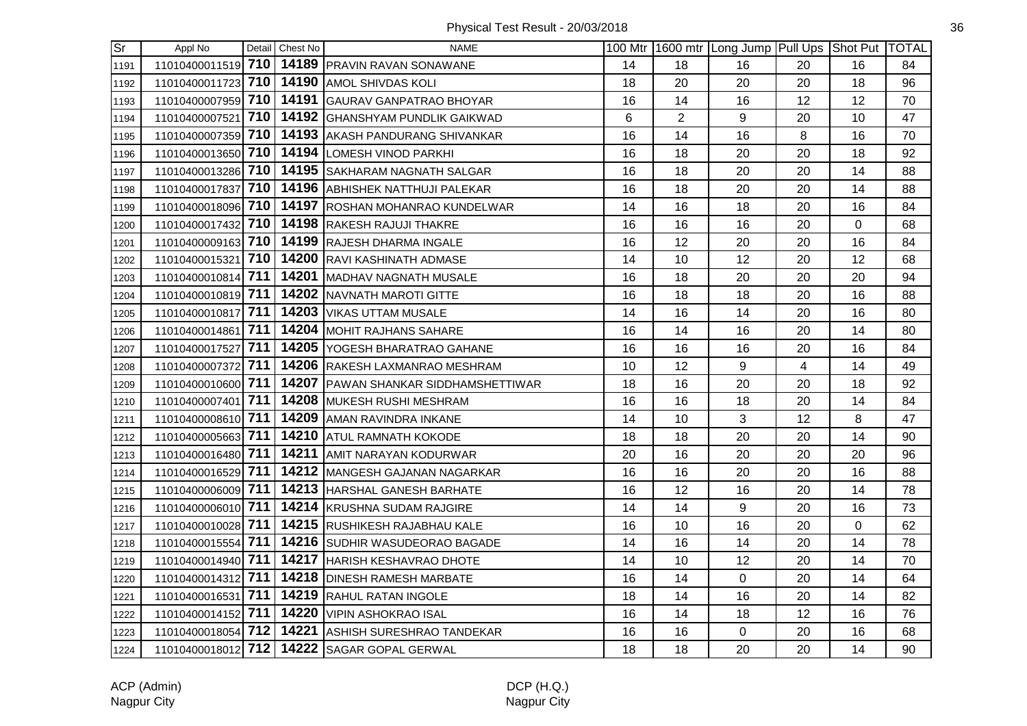| $\overline{\text{Sr}}$ | Appl No            |     | Detail Chest No | <b>NAME</b>                                 |    |                | 100 Mtr   1600 mtr   Long Jump   Pull Ups   Shot Put   TOTAL |    |          |    |
|------------------------|--------------------|-----|-----------------|---------------------------------------------|----|----------------|--------------------------------------------------------------|----|----------|----|
| 1191                   | 11010400011519 710 |     |                 | 14189 PRAVIN RAVAN SONAWANE                 | 14 | 18             | 16                                                           | 20 | 16       | 84 |
| 1192                   | 11010400011723 710 |     |                 | 14190 AMOL SHIVDAS KOLI                     | 18 | 20             | 20                                                           | 20 | 18       | 96 |
| 1193                   | 11010400007959 710 |     |                 | 14191 GAURAV GANPATRAO BHOYAR               | 16 | 14             | 16                                                           | 12 | 12       | 70 |
| 1194                   | 11010400007521 710 |     |                 | 14192 GHANSHYAM PUNDLIK GAIKWAD             | 6  | $\overline{2}$ | 9                                                            | 20 | 10       | 47 |
| 1195                   | 11010400007359 710 |     |                 | 14193 AKASH PANDURANG SHIVANKAR             | 16 | 14             | 16                                                           | 8  | 16       | 70 |
| 1196                   | 11010400013650 710 |     |                 | 14194 LOMESH VINOD PARKHI                   | 16 | 18             | 20                                                           | 20 | 18       | 92 |
| 1197                   | 11010400013286 710 |     |                 | 14195 SAKHARAM NAGNATH SALGAR               | 16 | 18             | 20                                                           | 20 | 14       | 88 |
| 1198                   | 11010400017837 710 |     |                 | 14196 ABHISHEK NATTHUJI PALEKAR             | 16 | 18             | 20                                                           | 20 | 14       | 88 |
| 1199                   | 11010400018096 710 |     |                 | 14197 ROSHAN MOHANRAO KUNDELWAR             | 14 | 16             | 18                                                           | 20 | 16       | 84 |
| 1200                   | 11010400017432 710 |     |                 | 14198 RAKESH RAJUJI THAKRE                  | 16 | 16             | 16                                                           | 20 | 0        | 68 |
| 1201                   | 11010400009163 710 |     |                 | 14199 RAJESH DHARMA INGALE                  | 16 | 12             | 20                                                           | 20 | 16       | 84 |
| 1202                   | 11010400015321 710 |     |                 | 14200 RAVI KASHINATH ADMASE                 | 14 | 10             | 12                                                           | 20 | 12       | 68 |
| 1203                   | 11010400010814 711 |     |                 | 14201 MADHAV NAGNATH MUSALE                 | 16 | 18             | 20                                                           | 20 | 20       | 94 |
| 1204                   | 11010400010819 711 |     |                 | 14202 NAVNATH MAROTI GITTE                  | 16 | 18             | 18                                                           | 20 | 16       | 88 |
| 1205                   | 11010400010817 711 |     |                 | 14203 VIKAS UTTAM MUSALE                    | 14 | 16             | 14                                                           | 20 | 16       | 80 |
| 1206                   | 11010400014861 711 |     |                 | 14204 MOHIT RAJHANS SAHARE                  | 16 | 14             | 16                                                           | 20 | 14       | 80 |
| 1207                   | 11010400017527     | 711 |                 | 14205 YOGESH BHARATRAO GAHANE               | 16 | 16             | 16                                                           | 20 | 16       | 84 |
| 1208                   | 11010400007372     | 711 |                 | 14206 RAKESH LAXMANRAO MESHRAM              | 10 | 12             | 9                                                            | 4  | 14       | 49 |
| 1209                   | 11010400010600 711 |     |                 | 14207 PAWAN SHANKAR SIDDHAMSHETTIWAR        | 18 | 16             | 20                                                           | 20 | 18       | 92 |
| 1210                   | 11010400007401 711 |     |                 | 14208 MUKESH RUSHI MESHRAM                  | 16 | 16             | 18                                                           | 20 | 14       | 84 |
| 1211                   | 11010400008610 711 |     |                 | 14209 AMAN RAVINDRA INKANE                  | 14 | 10             | 3                                                            | 12 | 8        | 47 |
| 1212                   | 11010400005663 711 |     |                 | 14210 ATUL RAMNATH KOKODE                   | 18 | 18             | 20                                                           | 20 | 14       | 90 |
| 1213                   | 11010400016480 711 |     |                 | 14211 AMIT NARAYAN KODURWAR                 | 20 | 16             | 20                                                           | 20 | 20       | 96 |
| 1214                   | 11010400016529 711 |     |                 | 14212 MANGESH GAJANAN NAGARKAR              | 16 | 16             | 20                                                           | 20 | 16       | 88 |
| 1215                   | 11010400006009 711 |     |                 | 14213 HARSHAL GANESH BARHATE                | 16 | 12             | 16                                                           | 20 | 14       | 78 |
| 1216                   | 11010400006010 711 |     |                 | 14214 KRUSHNA SUDAM RAJGIRE                 | 14 | 14             | 9                                                            | 20 | 16       | 73 |
| 1217                   | 11010400010028 711 |     |                 | 14215 RUSHIKESH RAJABHAU KALE               | 16 | 10             | 16                                                           | 20 | $\Omega$ | 62 |
| 1218                   | 11010400015554 711 |     |                 | 14216 SUDHIR WASUDEORAO BAGADE              | 14 | 16             | 14                                                           | 20 | 14       | 78 |
| 1219                   | 11010400014940 711 |     |                 | 14217 HARISH KESHAVRAO DHOTE                | 14 | 10             | 12                                                           | 20 | 14       | 70 |
| 1220                   | 11010400014312 711 |     |                 | 14218 DINESH RAMESH MARBATE                 | 16 | 14             | $\mathbf 0$                                                  | 20 | 14       | 64 |
| 1221                   | 11010400016531 711 |     |                 | 14219 RAHUL RATAN INGOLE                    | 18 | 14             | 16                                                           | 20 | 14       | 82 |
| 1222                   | 11010400014152 711 |     |                 | 14220 VIPIN ASHOKRAO ISAL                   | 16 | 14             | 18                                                           | 12 | 16       | 76 |
| 1223                   | 11010400018054 712 |     |                 | 14221 ASHISH SURESHRAO TANDEKAR             | 16 | 16             | 0                                                            | 20 | 16       | 68 |
| 1224                   |                    |     |                 | 11010400018012 712 14222 SAGAR GOPAL GERWAL | 18 | 18             | 20                                                           | 20 | 14       | 90 |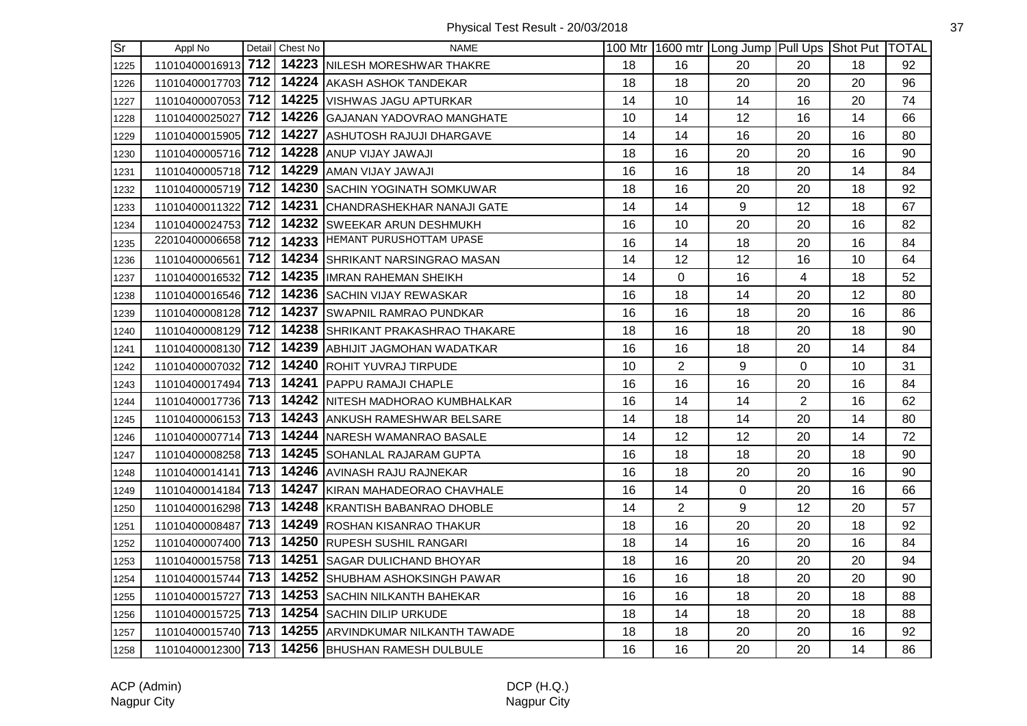| $\overline{\text{Sr}}$ | Appl No            |     | Detail Chest No | <b>NAME</b>                                         |    |                | 100 Mtr 1600 mtr Long Jump Pull Ups Shot Put TOTAL |                |    |    |
|------------------------|--------------------|-----|-----------------|-----------------------------------------------------|----|----------------|----------------------------------------------------|----------------|----|----|
| 1225                   | 11010400016913 712 |     |                 | 14223 NILESH MORESHWAR THAKRE                       | 18 | 16             | 20                                                 | 20             | 18 | 92 |
| 1226                   | 11010400017703 712 |     |                 | 14224 AKASH ASHOK TANDEKAR                          | 18 | 18             | 20                                                 | 20             | 20 | 96 |
| 1227                   | 11010400007053 712 |     |                 | 14225 VISHWAS JAGU APTURKAR                         | 14 | 10             | 14                                                 | 16             | 20 | 74 |
| 1228                   | 11010400025027     | 712 |                 | 14226 GAJANAN YADOVRAO MANGHATE                     | 10 | 14             | 12                                                 | 16             | 14 | 66 |
| 1229                   | 11010400015905 712 |     |                 | 14227 ASHUTOSH RAJUJI DHARGAVE                      | 14 | 14             | 16                                                 | 20             | 16 | 80 |
| 1230                   | 11010400005716 712 |     |                 | 14228 ANUP VIJAY JAWAJI                             | 18 | 16             | 20                                                 | 20             | 16 | 90 |
| 1231                   | 11010400005718 712 |     |                 | 14229 AMAN VIJAY JAWAJI                             | 16 | 16             | 18                                                 | 20             | 14 | 84 |
| 1232                   | 11010400005719 712 |     |                 | 14230 SACHIN YOGINATH SOMKUWAR                      | 18 | 16             | 20                                                 | 20             | 18 | 92 |
| 1233                   | 11010400011322 712 |     |                 | 14231 CHANDRASHEKHAR NANAJI GATE                    | 14 | 14             | 9                                                  | 12             | 18 | 67 |
| 1234                   | 11010400024753     | 712 |                 | 14232 SWEEKAR ARUN DESHMUKH                         | 16 | 10             | 20                                                 | 20             | 16 | 82 |
| 1235                   | 22010400006658 712 |     |                 | 14233 HEMANT PURUSHOTTAM UPASE                      | 16 | 14             | 18                                                 | 20             | 16 | 84 |
| 1236                   | 11010400006561 712 |     |                 | 14234 SHRIKANT NARSINGRAO MASAN                     | 14 | 12             | 12                                                 | 16             | 10 | 64 |
| 1237                   | 11010400016532 712 |     |                 | 14235 IIMRAN RAHEMAN SHEIKH                         | 14 | 0              | 16                                                 | $\overline{4}$ | 18 | 52 |
| 1238                   | 11010400016546 712 |     |                 | 14236 SACHIN VIJAY REWASKAR                         | 16 | 18             | 14                                                 | 20             | 12 | 80 |
| 1239                   | 11010400008128 712 |     |                 | 14237 SWAPNIL RAMRAO PUNDKAR                        | 16 | 16             | 18                                                 | 20             | 16 | 86 |
| 1240                   | 11010400008129 712 |     |                 | 14238 SHRIKANT PRAKASHRAO THAKARE                   | 18 | 16             | 18                                                 | 20             | 18 | 90 |
| 1241                   | 11010400008130 712 |     |                 | 14239 ABHIJIT JAGMOHAN WADATKAR                     | 16 | 16             | 18                                                 | 20             | 14 | 84 |
| 1242                   | 11010400007032 712 |     |                 | 14240 ROHIT YUVRAJ TIRPUDE                          | 10 | $\overline{2}$ | 9                                                  | $\Omega$       | 10 | 31 |
| 1243                   |                    |     |                 | 11010400017494 713 14241 PAPPU RAMAJI CHAPLE        | 16 | 16             | 16                                                 | 20             | 16 | 84 |
| 1244                   |                    |     |                 | 11010400017736 713 14242 NITESH MADHORAO KUMBHALKAR | 16 | 14             | 14                                                 | $\overline{2}$ | 16 | 62 |
| 1245                   | 11010400006153 713 |     |                 | 14243 ANKUSH RAMESHWAR BELSARE                      | 14 | 18             | 14                                                 | 20             | 14 | 80 |
| 1246                   | 11010400007714 713 |     |                 | 14244 NARESH WAMANRAO BASALE                        | 14 | 12             | 12                                                 | 20             | 14 | 72 |
| 1247                   | 11010400008258 713 |     |                 | 14245 SOHANLAL RAJARAM GUPTA                        | 16 | 18             | 18                                                 | 20             | 18 | 90 |
| 1248                   | 11010400014141 713 |     |                 | 14246 AVINASH RAJU RAJNEKAR                         | 16 | 18             | 20                                                 | 20             | 16 | 90 |
| 1249                   | 11010400014184     | 713 |                 | 14247 KIRAN MAHADEORAO CHAVHALE                     | 16 | 14             | $\mathbf 0$                                        | 20             | 16 | 66 |
| 1250                   | 11010400016298 713 |     |                 | 14248 KRANTISH BABANRAO DHOBLE                      | 14 | $\overline{2}$ | 9                                                  | 12             | 20 | 57 |
| 1251                   | 11010400008487 713 |     |                 | 14249 ROSHAN KISANRAO THAKUR                        | 18 | 16             | 20                                                 | 20             | 18 | 92 |
| 1252                   | 11010400007400 713 |     |                 | 14250 RUPESH SUSHIL RANGARI                         | 18 | 14             | 16                                                 | 20             | 16 | 84 |
| 1253                   | 11010400015758 713 |     |                 | 14251 SAGAR DULICHAND BHOYAR                        | 18 | 16             | 20                                                 | 20             | 20 | 94 |
| 1254                   | 11010400015744 713 |     |                 | 14252 SHUBHAM ASHOKSINGH PAWAR                      | 16 | 16             | 18                                                 | 20             | 20 | 90 |
| 1255                   | 11010400015727 713 |     |                 | 14253 SACHIN NILKANTH BAHEKAR                       | 16 | 16             | 18                                                 | 20             | 18 | 88 |
| 1256                   | 11010400015725 713 |     |                 | 14254 SACHIN DILIP URKUDE                           | 18 | 14             | 18                                                 | 20             | 18 | 88 |
| 1257                   | 11010400015740 713 |     |                 | 14255 ARVINDKUMAR NILKANTH TAWADE                   | 18 | 18             | 20                                                 | 20             | 16 | 92 |
| 1258                   |                    |     |                 | 11010400012300 713 14256 BHUSHAN RAMESH DULBULE     | 16 | 16             | 20                                                 | 20             | 14 | 86 |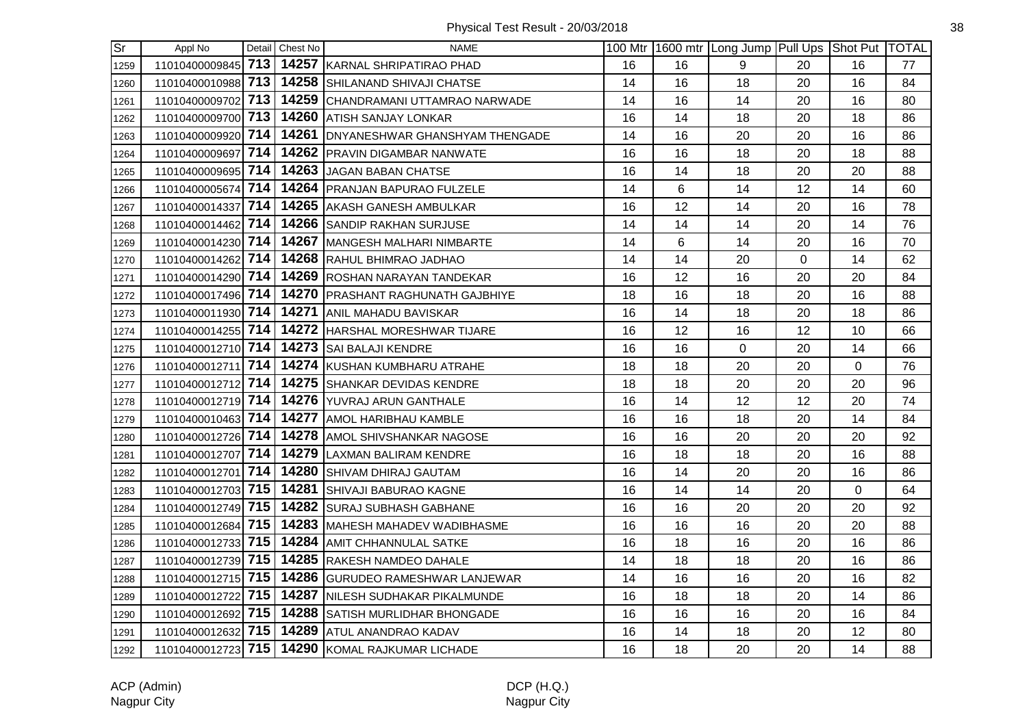| $\overline{\mathsf{Sr}}$ | Appl No            |     | Detail Chest No | <b>NAME</b>                                     |    |    | 100 Mtr   1600 mtr   Long Jump   Pull Ups   Shot Put   TOTAL |    |    |    |
|--------------------------|--------------------|-----|-----------------|-------------------------------------------------|----|----|--------------------------------------------------------------|----|----|----|
| 1259                     | 11010400009845 713 |     |                 | 14257 KARNAL SHRIPATIRAO PHAD                   | 16 | 16 | 9                                                            | 20 | 16 | 77 |
| 1260                     | 11010400010988 713 |     |                 | 14258 SHILANAND SHIVAJI CHATSE                  | 14 | 16 | 18                                                           | 20 | 16 | 84 |
| 1261                     | 11010400009702     | 713 |                 | 14259 CHANDRAMANI UTTAMRAO NARWADE              | 14 | 16 | 14                                                           | 20 | 16 | 80 |
| 1262                     | 11010400009700 713 |     |                 | 14260 ATISH SANJAY LONKAR                       | 16 | 14 | 18                                                           | 20 | 18 | 86 |
| 1263                     | 11010400009920 714 |     |                 | 14261   DNYANESHWAR GHANSHYAM THENGADE          | 14 | 16 | 20                                                           | 20 | 16 | 86 |
| 1264                     | 11010400009697 714 |     |                 | 14262 PRAVIN DIGAMBAR NANWATE                   | 16 | 16 | 18                                                           | 20 | 18 | 88 |
| 1265                     | 11010400009695 714 |     |                 | 14263 JAGAN BABAN CHATSE                        | 16 | 14 | 18                                                           | 20 | 20 | 88 |
| 1266                     | 11010400005674 714 |     |                 | 14264 PRANJAN BAPURAO FULZELE                   | 14 | 6  | 14                                                           | 12 | 14 | 60 |
| 1267                     | 11010400014337     | 714 |                 | 14265 AKASH GANESH AMBULKAR                     | 16 | 12 | 14                                                           | 20 | 16 | 78 |
| 1268                     | 11010400014462 714 |     |                 | 14266 SANDIP RAKHAN SURJUSE                     | 14 | 14 | 14                                                           | 20 | 14 | 76 |
| 1269                     | 11010400014230 714 |     |                 | 14267 MANGESH MALHARI NIMBARTE                  | 14 | 6  | 14                                                           | 20 | 16 | 70 |
| 1270                     | 11010400014262 714 |     |                 | 14268 RAHUL BHIMRAO JADHAO                      | 14 | 14 | 20                                                           | 0  | 14 | 62 |
| 1271                     | 11010400014290 714 |     |                 | 14269 ROSHAN NARAYAN TANDEKAR                   | 16 | 12 | 16                                                           | 20 | 20 | 84 |
| 1272                     | 11010400017496 714 |     |                 | 14270 PRASHANT RAGHUNATH GAJBHIYE               | 18 | 16 | 18                                                           | 20 | 16 | 88 |
| 1273                     | 11010400011930 714 |     |                 | 14271 ANIL MAHADU BAVISKAR                      | 16 | 14 | 18                                                           | 20 | 18 | 86 |
| 1274                     | 11010400014255 714 |     |                 | 14272 HARSHAL MORESHWAR TIJARE                  | 16 | 12 | 16                                                           | 12 | 10 | 66 |
| 1275                     | 11010400012710 714 |     |                 | 14273 SAI BALAJI KENDRE                         | 16 | 16 | 0                                                            | 20 | 14 | 66 |
| 1276                     | 11010400012711 714 |     |                 | 14274 KUSHAN KUMBHARU ATRAHE                    | 18 | 18 | 20                                                           | 20 | 0  | 76 |
| 1277                     | 11010400012712 714 |     |                 | 14275 SHANKAR DEVIDAS KENDRE                    | 18 | 18 | 20                                                           | 20 | 20 | 96 |
| 1278                     | 11010400012719 714 |     |                 | 14276 YUVRAJ ARUN GANTHALE                      | 16 | 14 | 12                                                           | 12 | 20 | 74 |
| 1279                     | 11010400010463 714 |     |                 | 14277 AMOL HARIBHAU KAMBLE                      | 16 | 16 | 18                                                           | 20 | 14 | 84 |
| 1280                     | 11010400012726 714 |     |                 | 14278 AMOL SHIVSHANKAR NAGOSE                   | 16 | 16 | 20                                                           | 20 | 20 | 92 |
| 1281                     | 11010400012707 714 |     |                 | 14279 LAXMAN BALIRAM KENDRE                     | 16 | 18 | 18                                                           | 20 | 16 | 88 |
| 1282                     | 11010400012701     | 714 |                 | 14280 SHIVAM DHIRAJ GAUTAM                      | 16 | 14 | 20                                                           | 20 | 16 | 86 |
| 1283                     | 11010400012703 715 |     |                 | 14281 SHIVAJI BABURAO KAGNE                     | 16 | 14 | 14                                                           | 20 | 0  | 64 |
| 1284                     | 11010400012749 715 |     |                 | 14282 SURAJ SUBHASH GABHANE                     | 16 | 16 | 20                                                           | 20 | 20 | 92 |
| 1285                     | 11010400012684 715 |     |                 | 14283 MAHESH MAHADEV WADIBHASME                 | 16 | 16 | 16                                                           | 20 | 20 | 88 |
| 1286                     | 11010400012733 715 |     |                 | 14284 AMIT CHHANNULAL SATKE                     | 16 | 18 | 16                                                           | 20 | 16 | 86 |
| 1287                     | 11010400012739 715 |     |                 | 14285 RAKESH NAMDEO DAHALE                      | 14 | 18 | 18                                                           | 20 | 16 | 86 |
| 1288                     | 11010400012715 715 |     |                 | 14286 GURUDEO RAMESHWAR LANJEWAR                | 14 | 16 | 16                                                           | 20 | 16 | 82 |
| 1289                     | 11010400012722 715 |     |                 | 14287 NILESH SUDHAKAR PIKALMUNDE                | 16 | 18 | 18                                                           | 20 | 14 | 86 |
| 1290                     | 11010400012692     | 715 |                 | 14288 SATISH MURLIDHAR BHONGADE                 | 16 | 16 | 16                                                           | 20 | 16 | 84 |
| 1291                     | 11010400012632 715 |     |                 | 14289 ATUL ANANDRAO KADAV                       | 16 | 14 | 18                                                           | 20 | 12 | 80 |
| 1292                     |                    |     |                 | 11010400012723 715 14290 KOMAL RAJKUMAR LICHADE | 16 | 18 | 20                                                           | 20 | 14 | 88 |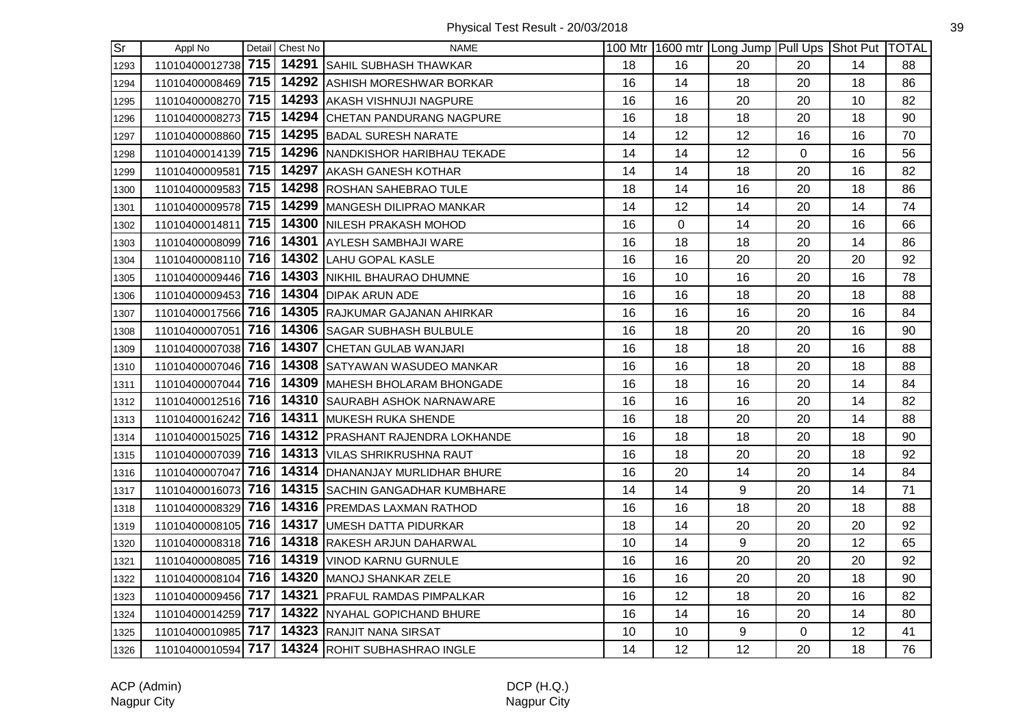| $\overline{\text{Sr}}$ | Appl No            |     | Detail Chest No | <b>NAME</b>                                     |    |    | 100 Mtr 1600 mtr Long Jump Pull Ups Shot Put TOTAL |                |    |    |
|------------------------|--------------------|-----|-----------------|-------------------------------------------------|----|----|----------------------------------------------------|----------------|----|----|
| 1293                   | 11010400012738 715 |     |                 | 14291 SAHIL SUBHASH THAWKAR                     | 18 | 16 | 20                                                 | 20             | 14 | 88 |
| 1294                   | 11010400008469 715 |     |                 | 14292 ASHISH MORESHWAR BORKAR                   | 16 | 14 | 18                                                 | 20             | 18 | 86 |
| 1295                   | 11010400008270 715 |     |                 | 14293 AKASH VISHNUJI NAGPURE                    | 16 | 16 | 20                                                 | 20             | 10 | 82 |
| 1296                   | 11010400008273 715 |     |                 | 14294 CHETAN PANDURANG NAGPURE                  | 16 | 18 | 18                                                 | 20             | 18 | 90 |
| 1297                   | 11010400008860 715 |     |                 | 14295 BADAL SURESH NARATE                       | 14 | 12 | 12                                                 | 16             | 16 | 70 |
| 1298                   | 11010400014139 715 |     |                 | 14296 NANDKISHOR HARIBHAU TEKADE                | 14 | 14 | 12                                                 | $\overline{0}$ | 16 | 56 |
| 1299                   | 11010400009581 715 |     |                 | 14297 AKASH GANESH KOTHAR                       | 14 | 14 | 18                                                 | 20             | 16 | 82 |
| 1300                   | 11010400009583 715 |     |                 | 14298 ROSHAN SAHEBRAO TULE                      | 18 | 14 | 16                                                 | 20             | 18 | 86 |
| 1301                   | 11010400009578 715 |     |                 | 14299 MANGESH DILIPRAO MANKAR                   | 14 | 12 | 14                                                 | 20             | 14 | 74 |
| 1302                   | 11010400014811     | 715 |                 | 14300 NILESH PRAKASH MOHOD                      | 16 | 0  | 14                                                 | 20             | 16 | 66 |
| 1303                   | 11010400008099 716 |     |                 | 14301 AYLESH SAMBHAJI WARE                      | 16 | 18 | 18                                                 | 20             | 14 | 86 |
| 1304                   | 11010400008110 716 |     |                 | 14302 LAHU GOPAL KASLE                          | 16 | 16 | 20                                                 | 20             | 20 | 92 |
| 1305                   | 11010400009446 716 |     |                 | 14303 NIKHIL BHAURAO DHUMNE                     | 16 | 10 | 16                                                 | 20             | 16 | 78 |
| 1306                   | 11010400009453 716 |     |                 | 14304 DIPAK ARUN ADE                            | 16 | 16 | 18                                                 | 20             | 18 | 88 |
| 1307                   | 11010400017566 716 |     |                 | 14305 RAJKUMAR GAJANAN AHIRKAR                  | 16 | 16 | 16                                                 | 20             | 16 | 84 |
| 1308                   | 11010400007051 716 |     |                 | 14306 SAGAR SUBHASH BULBULE                     | 16 | 18 | 20                                                 | 20             | 16 | 90 |
| 1309                   | 11010400007038 716 |     |                 | 14307 CHETAN GULAB WANJARI                      | 16 | 18 | 18                                                 | 20             | 16 | 88 |
| 1310                   | 11010400007046 716 |     |                 | 14308 SATYAWAN WASUDEO MANKAR                   | 16 | 16 | 18                                                 | 20             | 18 | 88 |
| 1311                   | 11010400007044 716 |     |                 | 14309 MAHESH BHOLARAM BHONGADE                  | 16 | 18 | 16                                                 | 20             | 14 | 84 |
| 1312                   | 11010400012516 716 |     |                 | 14310 SAURABH ASHOK NARNAWARE                   | 16 | 16 | 16                                                 | 20             | 14 | 82 |
| 1313                   | 11010400016242 716 |     |                 | 14311 MUKESH RUKA SHENDE                        | 16 | 18 | 20                                                 | 20             | 14 | 88 |
| 1314                   | 11010400015025 716 |     |                 | 14312 PRASHANT RAJENDRA LOKHANDE                | 16 | 18 | 18                                                 | 20             | 18 | 90 |
| 1315                   | 11010400007039 716 |     |                 | 14313 VILAS SHRIKRUSHNA RAUT                    | 16 | 18 | 20                                                 | 20             | 18 | 92 |
| 1316                   | 11010400007047 716 |     |                 | 14314 DHANANJAY MURLIDHAR BHURE                 | 16 | 20 | 14                                                 | 20             | 14 | 84 |
| 1317                   | 11010400016073 716 |     |                 | 14315 SACHIN GANGADHAR KUMBHARE                 | 14 | 14 | 9                                                  | 20             | 14 | 71 |
| 1318                   | 11010400008329 716 |     |                 | 14316 PREMDAS LAXMAN RATHOD                     | 16 | 16 | 18                                                 | 20             | 18 | 88 |
| 1319                   |                    |     |                 | 11010400008105 716 14317 UMESH DATTA PIDURKAR   | 18 | 14 | 20                                                 | 20             | 20 | 92 |
| 1320                   | 11010400008318 716 |     |                 | 14318 RAKESH ARJUN DAHARWAL                     | 10 | 14 | $9\,$                                              | 20             | 12 | 65 |
| 1321                   | 11010400008085 716 |     |                 | 14319 VINOD KARNU GURNULE                       | 16 | 16 | 20                                                 | 20             | 20 | 92 |
| 1322                   | 11010400008104 716 |     |                 | 14320 MANOJ SHANKAR ZELE                        | 16 | 16 | 20                                                 | 20             | 18 | 90 |
| 1323                   | 11010400009456 717 |     |                 | 14321 PRAFUL RAMDAS PIMPALKAR                   | 16 | 12 | 18                                                 | 20             | 16 | 82 |
| 1324                   | 11010400014259     | 717 |                 | 14322 NYAHAL GOPICHAND BHURE                    | 16 | 14 | 16                                                 | 20             | 14 | 80 |
| 1325                   | 11010400010985 717 |     |                 | 14323 RANJIT NANA SIRSAT                        | 10 | 10 | 9                                                  | 0              | 12 | 41 |
| 1326                   |                    |     |                 | 11010400010594 717 14324 ROHIT SUBHASHRAO INGLE | 14 | 12 | 12                                                 | 20             | 18 | 76 |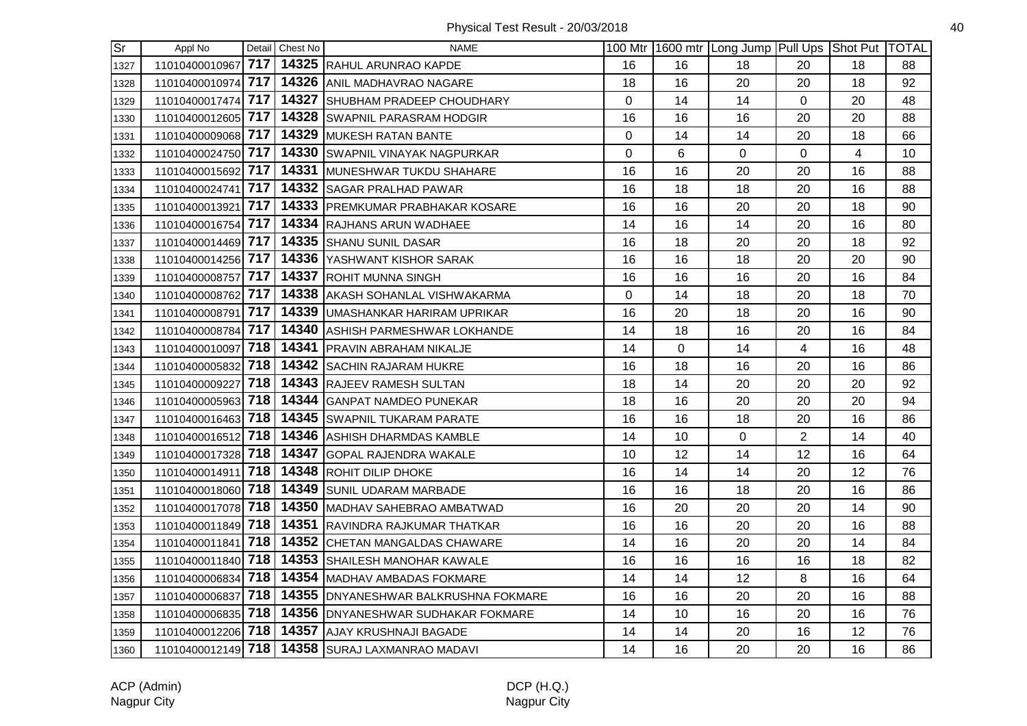| $\overline{\text{Sr}}$ | Appl No            |     | Detail Chest No | <b>NAME</b>                                     |    |    | 100 Mtr   1600 mtr   Long Jump   Pull Ups   Shot Put   TOTAL |                |    |    |
|------------------------|--------------------|-----|-----------------|-------------------------------------------------|----|----|--------------------------------------------------------------|----------------|----|----|
| 1327                   | 11010400010967     | 717 |                 | 14325 RAHUL ARUNRAO KAPDE                       | 16 | 16 | 18                                                           | 20             | 18 | 88 |
| 1328                   | 11010400010974     | 717 |                 | 14326 ANIL MADHAVRAO NAGARE                     | 18 | 16 | 20                                                           | 20             | 18 | 92 |
| 1329                   | 11010400017474     | 717 |                 | 14327 SHUBHAM PRADEEP CHOUDHARY                 | 0  | 14 | 14                                                           | 0              | 20 | 48 |
| 1330                   | 11010400012605 717 |     |                 | 14328 SWAPNIL PARASRAM HODGIR                   | 16 | 16 | 16                                                           | 20             | 20 | 88 |
| 1331                   | 11010400009068 717 |     |                 | 14329 MUKESH RATAN BANTE                        | 0  | 14 | 14                                                           | 20             | 18 | 66 |
| 1332                   | 11010400024750 717 |     |                 | 14330 SWAPNIL VINAYAK NAGPURKAR                 | 0  | 6  | $\mathbf 0$                                                  | $\Omega$       | 4  | 10 |
| 1333                   | 11010400015692 717 |     |                 | 14331 MUNESHWAR TUKDU SHAHARE                   | 16 | 16 | 20                                                           | 20             | 16 | 88 |
| 1334                   | 11010400024741 717 |     |                 | 14332 SAGAR PRALHAD PAWAR                       | 16 | 18 | 18                                                           | 20             | 16 | 88 |
| 1335                   | 11010400013921     | 717 |                 | 14333 PREMKUMAR PRABHAKAR KOSARE                | 16 | 16 | 20                                                           | 20             | 18 | 90 |
| 1336                   | 11010400016754     | 717 |                 | 14334 RAJHANS ARUN WADHAEE                      | 14 | 16 | 14                                                           | 20             | 16 | 80 |
| 1337                   | 11010400014469 717 |     |                 | 14335 SHANU SUNIL DASAR                         | 16 | 18 | 20                                                           | 20             | 18 | 92 |
| 1338                   | 11010400014256 717 |     |                 | 14336 YASHWANT KISHOR SARAK                     | 16 | 16 | 18                                                           | 20             | 20 | 90 |
| 1339                   | 11010400008757 717 |     |                 | <b>14337 ROHIT MUNNA SINGH</b>                  | 16 | 16 | 16                                                           | 20             | 16 | 84 |
| 1340                   | 11010400008762 717 |     |                 | 14338 AKASH SOHANLAL VISHWAKARMA                | 0  | 14 | 18                                                           | 20             | 18 | 70 |
| 1341                   | 11010400008791 717 |     |                 | 14339 UMASHANKAR HARIRAM UPRIKAR                | 16 | 20 | 18                                                           | 20             | 16 | 90 |
| 1342                   | 11010400008784 717 |     |                 | 14340 ASHISH PARMESHWAR LOKHANDE                | 14 | 18 | 16                                                           | 20             | 16 | 84 |
| 1343                   | 11010400010097     | 718 |                 | 14341 PRAVIN ABRAHAM NIKALJE                    | 14 | 0  | 14                                                           | $\overline{4}$ | 16 | 48 |
| 1344                   | 11010400005832     | 718 |                 | 14342 SACHIN RAJARAM HUKRE                      | 16 | 18 | 16                                                           | 20             | 16 | 86 |
| 1345                   | 11010400009227 718 |     |                 | 14343 RAJEEV RAMESH SULTAN                      | 18 | 14 | 20                                                           | 20             | 20 | 92 |
| 1346                   | 11010400005963 718 |     |                 | 14344 GANPAT NAMDEO PUNEKAR                     | 18 | 16 | 20                                                           | 20             | 20 | 94 |
| 1347                   | 11010400016463 718 |     |                 | 14345 SWAPNIL TUKARAM PARATE                    | 16 | 16 | 18                                                           | 20             | 16 | 86 |
| 1348                   | 11010400016512 718 |     |                 | 14346 ASHISH DHARMDAS KAMBLE                    | 14 | 10 | $\mathbf 0$                                                  | $\overline{2}$ | 14 | 40 |
| 1349                   | 11010400017328 718 |     |                 | 14347 GOPAL RAJENDRA WAKALE                     | 10 | 12 | 14                                                           | 12             | 16 | 64 |
| 1350                   | 11010400014911     | 718 |                 | 14348 ROHIT DILIP DHOKE                         | 16 | 14 | 14                                                           | 20             | 12 | 76 |
| 1351                   | 11010400018060 718 |     |                 | 14349 SUNIL UDARAM MARBADE                      | 16 | 16 | 18                                                           | 20             | 16 | 86 |
| 1352                   | 11010400017078 718 |     |                 | 14350 MADHAV SAHEBRAO AMBATWAD                  | 16 | 20 | 20                                                           | 20             | 14 | 90 |
| 1353                   | 11010400011849 718 |     |                 | 14351 RAVINDRA RAJKUMAR THATKAR                 | 16 | 16 | 20                                                           | 20             | 16 | 88 |
| 1354                   | 11010400011841 718 |     |                 | 14352 CHETAN MANGALDAS CHAWARE                  | 14 | 16 | 20                                                           | 20             | 14 | 84 |
| 1355                   | 11010400011840 718 |     |                 | 14353 SHAILESH MANOHAR KAWALE                   | 16 | 16 | 16                                                           | 16             | 18 | 82 |
| 1356                   | 11010400006834 718 |     |                 | 14354 MADHAV AMBADAS FOKMARE                    | 14 | 14 | 12                                                           | 8              | 16 | 64 |
| 1357                   | 11010400006837     | 718 |                 | 14355 DNYANESHWAR BALKRUSHNA FOKMARE            | 16 | 16 | 20                                                           | 20             | 16 | 88 |
| 1358                   | 11010400006835     | 718 |                 | 14356 DNYANESHWAR SUDHAKAR FOKMARE              | 14 | 10 | 16                                                           | 20             | 16 | 76 |
| 1359                   | 11010400012206 718 |     |                 | 14357 AJAY KRUSHNAJI BAGADE                     | 14 | 14 | 20                                                           | 16             | 12 | 76 |
| 1360                   |                    |     |                 | 11010400012149 718 14358 SURAJ LAXMANRAO MADAVI | 14 | 16 | 20                                                           | 20             | 16 | 86 |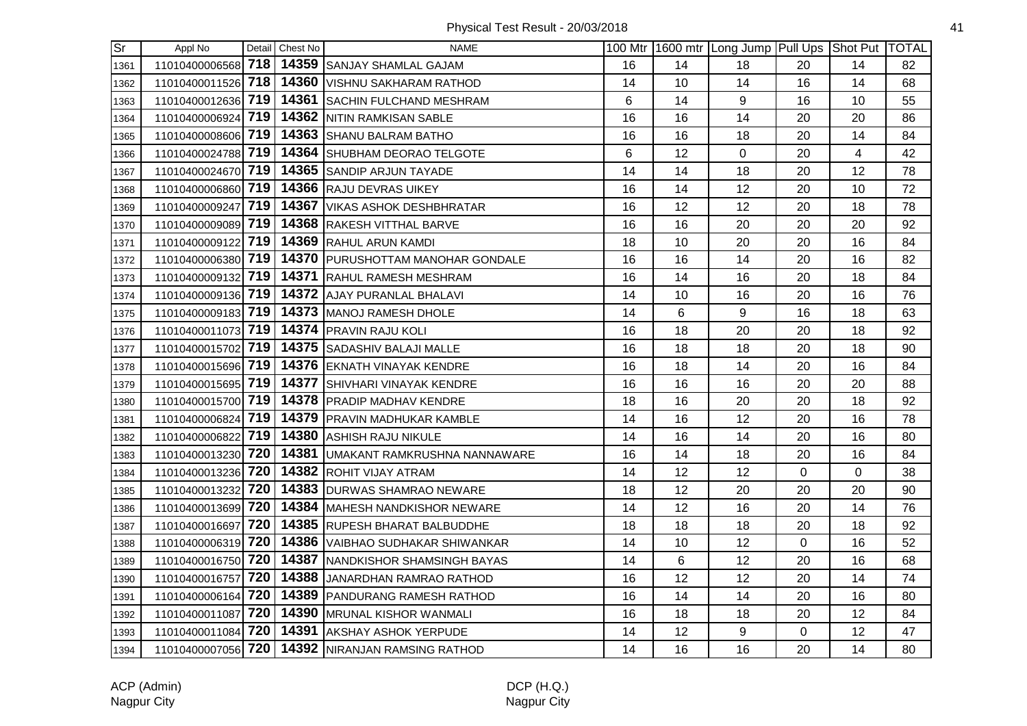| $\overline{\text{Sr}}$ | Appl No            |     | Detail Chest No | <b>NAME</b>                        |    |    | 100 Mtr 1600 mtr Long Jump Pull Ups Shot Put TOTAL |                |    |    |
|------------------------|--------------------|-----|-----------------|------------------------------------|----|----|----------------------------------------------------|----------------|----|----|
| 1361                   | 11010400006568 718 |     |                 | 14359 SANJAY SHAMLAL GAJAM         | 16 | 14 | 18                                                 | 20             | 14 | 82 |
| 1362                   | 11010400011526 718 |     |                 | 14360   VISHNU SAKHARAM RATHOD     | 14 | 10 | 14                                                 | 16             | 14 | 68 |
| 1363                   | 11010400012636     | 719 |                 | 14361 SACHIN FULCHAND MESHRAM      | 6  | 14 | 9                                                  | 16             | 10 | 55 |
| 1364                   | 11010400006924 719 |     |                 | 14362 NITIN RAMKISAN SABLE         | 16 | 16 | 14                                                 | 20             | 20 | 86 |
| 1365                   | 11010400008606 719 |     |                 | 14363 SHANU BALRAM BATHO           | 16 | 16 | 18                                                 | 20             | 14 | 84 |
| 1366                   | 11010400024788 719 |     |                 | 14364 SHUBHAM DEORAO TELGOTE       | 6  | 12 | $\mathbf 0$                                        | 20             | 4  | 42 |
| 1367                   | 11010400024670 719 |     |                 | 14365 SANDIP ARJUN TAYADE          | 14 | 14 | 18                                                 | 20             | 12 | 78 |
| 1368                   | 11010400006860 719 |     |                 | 14366 RAJU DEVRAS UIKEY            | 16 | 14 | 12                                                 | 20             | 10 | 72 |
| 1369                   | 11010400009247     | 719 |                 | 14367 VIKAS ASHOK DESHBHRATAR      | 16 | 12 | 12                                                 | 20             | 18 | 78 |
| 1370                   | 11010400009089 719 |     |                 | 14368 RAKESH VITTHAL BARVE         | 16 | 16 | 20                                                 | 20             | 20 | 92 |
| 1371                   | 11010400009122     | 719 |                 | 14369 RAHUL ARUN KAMDI             | 18 | 10 | 20                                                 | 20             | 16 | 84 |
| 1372                   | 11010400006380 719 |     |                 | 14370 PURUSHOTTAM MANOHAR GONDALE  | 16 | 16 | 14                                                 | 20             | 16 | 82 |
| 1373                   | 11010400009132 719 |     |                 | 14371 RAHUL RAMESH MESHRAM         | 16 | 14 | 16                                                 | 20             | 18 | 84 |
| 1374                   | 11010400009136 719 |     |                 | 14372 AJAY PURANLAL BHALAVI        | 14 | 10 | 16                                                 | 20             | 16 | 76 |
| 1375                   | 11010400009183 719 |     |                 | 14373 MANOJ RAMESH DHOLE           | 14 | 6  | 9                                                  | 16             | 18 | 63 |
| 1376                   | 11010400011073 719 |     |                 | 14374 PRAVIN RAJU KOLI             | 16 | 18 | 20                                                 | 20             | 18 | 92 |
| 1377                   | 11010400015702 719 |     |                 | 14375 SADASHIV BALAJI MALLE        | 16 | 18 | 18                                                 | 20             | 18 | 90 |
| 1378                   | 11010400015696 719 |     |                 | 14376 EKNATH VINAYAK KENDRE        | 16 | 18 | 14                                                 | 20             | 16 | 84 |
| 1379                   | 11010400015695 719 |     |                 | 14377 SHIVHARI VINAYAK KENDRE      | 16 | 16 | 16                                                 | 20             | 20 | 88 |
| 1380                   | 11010400015700 719 |     |                 | 14378 PRADIP MADHAV KENDRE         | 18 | 16 | 20                                                 | 20             | 18 | 92 |
| 1381                   | 11010400006824 719 |     |                 | 14379 PRAVIN MADHUKAR KAMBLE       | 14 | 16 | 12                                                 | 20             | 16 | 78 |
| 1382                   | 11010400006822 719 |     |                 | 14380 ASHISH RAJU NIKULE           | 14 | 16 | 14                                                 | 20             | 16 | 80 |
| 1383                   | 11010400013230 720 |     |                 | 14381 UMAKANT RAMKRUSHNA NANNAWARE | 16 | 14 | 18                                                 | 20             | 16 | 84 |
| 1384                   | 11010400013236     | 720 |                 | 14382 ROHIT VIJAY ATRAM            | 14 | 12 | 12                                                 | 0              | 0  | 38 |
| 1385                   | 11010400013232     | 720 |                 | 14383 DURWAS SHAMRAO NEWARE        | 18 | 12 | 20                                                 | 20             | 20 | 90 |
| 1386                   | 11010400013699 720 |     |                 | 14384 MAHESH NANDKISHOR NEWARE     | 14 | 12 | 16                                                 | 20             | 14 | 76 |
| 1387                   | 11010400016697     | 720 |                 | 14385 RUPESH BHARAT BALBUDDHE      | 18 | 18 | 18                                                 | 20             | 18 | 92 |
| 1388                   | 11010400006319 720 |     |                 | 14386 VAIBHAO SUDHAKAR SHIWANKAR   | 14 | 10 | 12                                                 | $\mathbf 0$    | 16 | 52 |
| 1389                   | 11010400016750 720 |     |                 | 14387 NANDKISHOR SHAMSINGH BAYAS   | 14 | 6  | 12                                                 | 20             | 16 | 68 |
| 1390                   | 11010400016757 720 |     |                 | 14388 JANARDHAN RAMRAO RATHOD      | 16 | 12 | 12                                                 | 20             | 14 | 74 |
| 1391                   | 11010400006164 720 |     |                 | 14389 PANDURANG RAMESH RATHOD      | 16 | 14 | 14                                                 | 20             | 16 | 80 |
| 1392                   | 11010400011087     | 720 |                 | 14390   MRUNAL KISHOR WANMALI      | 16 | 18 | 18                                                 | 20             | 12 | 84 |
| 1393                   | 11010400011084 720 |     |                 | 14391 AKSHAY ASHOK YERPUDE         | 14 | 12 | 9                                                  | $\overline{0}$ | 12 | 47 |
| 1394                   | 11010400007056 720 |     |                 | 14392 NIRANJAN RAMSING RATHOD      | 14 | 16 | 16                                                 | 20             | 14 | 80 |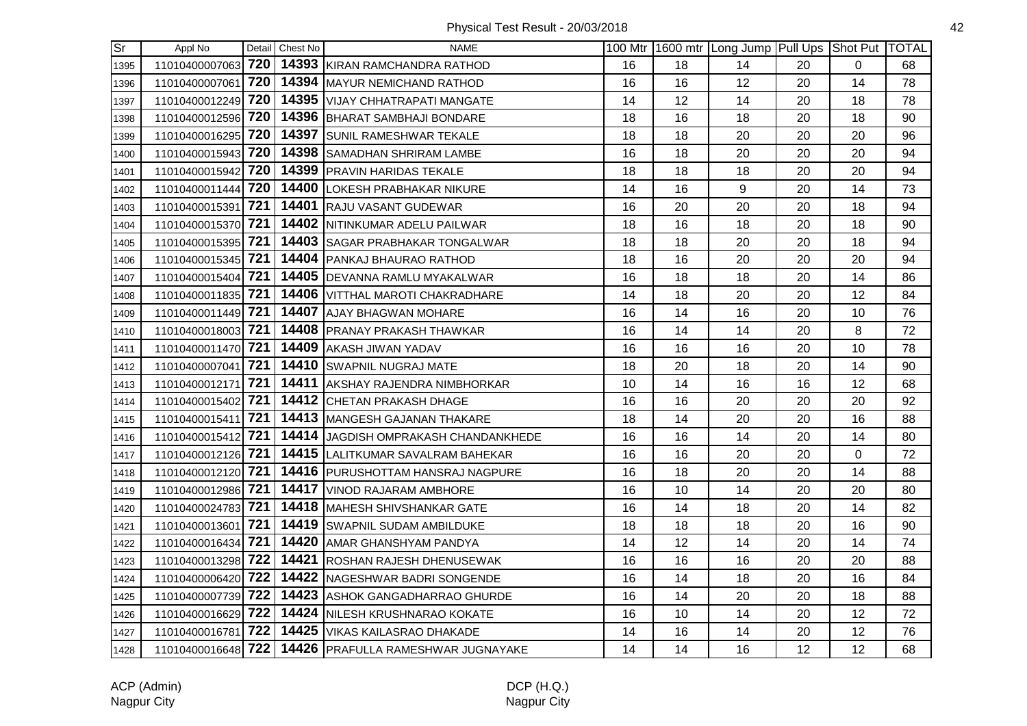| $\overline{\text{Sr}}$ | Appl No            |     | Detail Chest No | <b>NAME</b>                                           |    |    | 100 Mtr   1600 mtr   Long Jump   Pull Ups   Shot Put   TOTAL |    |          |    |
|------------------------|--------------------|-----|-----------------|-------------------------------------------------------|----|----|--------------------------------------------------------------|----|----------|----|
| 1395                   | 11010400007063     | 720 |                 | 14393 KIRAN RAMCHANDRA RATHOD                         | 16 | 18 | 14                                                           | 20 | 0        | 68 |
| 1396                   | 11010400007061     | 720 |                 | 14394 MAYUR NEMICHAND RATHOD                          | 16 | 16 | 12                                                           | 20 | 14       | 78 |
| 1397                   | 11010400012249 720 |     |                 | 14395 VIJAY CHHATRAPATI MANGATE                       | 14 | 12 | 14                                                           | 20 | 18       | 78 |
| 1398                   | 11010400012596 720 |     |                 | 14396 BHARAT SAMBHAJI BONDARE                         | 18 | 16 | 18                                                           | 20 | 18       | 90 |
| 1399                   | 11010400016295 720 |     |                 | 14397 SUNIL RAMESHWAR TEKALE                          | 18 | 18 | 20                                                           | 20 | 20       | 96 |
| 1400                   | 11010400015943 720 |     |                 | 14398 SAMADHAN SHRIRAM LAMBE                          | 16 | 18 | 20                                                           | 20 | 20       | 94 |
| 1401                   | 11010400015942 720 |     |                 | 14399 PRAVIN HARIDAS TEKALE                           | 18 | 18 | 18                                                           | 20 | 20       | 94 |
| 1402                   | 11010400011444 720 |     |                 | 14400 LOKESH PRABHAKAR NIKURE                         | 14 | 16 | $\boldsymbol{9}$                                             | 20 | 14       | 73 |
| 1403                   | 11010400015391     | 721 |                 | 14401 RAJU VASANT GUDEWAR                             | 16 | 20 | 20                                                           | 20 | 18       | 94 |
| 1404                   | 11010400015370     | 721 |                 | 14402 NITINKUMAR ADELU PAILWAR                        | 18 | 16 | 18                                                           | 20 | 18       | 90 |
| 1405                   | 11010400015395     | 721 |                 | 14403 SAGAR PRABHAKAR TONGALWAR                       | 18 | 18 | 20                                                           | 20 | 18       | 94 |
| 1406                   | 11010400015345 721 |     |                 | 14404 PANKAJ BHAURAO RATHOD                           | 18 | 16 | 20                                                           | 20 | 20       | 94 |
| 1407                   | 11010400015404 721 |     |                 | 14405 DEVANNA RAMLU MYAKALWAR                         | 16 | 18 | 18                                                           | 20 | 14       | 86 |
| 1408                   | 11010400011835 721 |     |                 | 14406 VITTHAL MAROTI CHAKRADHARE                      | 14 | 18 | 20                                                           | 20 | 12       | 84 |
| 1409                   | 11010400011449 721 |     |                 | 14407 AJAY BHAGWAN MOHARE                             | 16 | 14 | 16                                                           | 20 | 10       | 76 |
| 1410                   | 11010400018003 721 |     |                 | 14408 PRANAY PRAKASH THAWKAR                          | 16 | 14 | 14                                                           | 20 | 8        | 72 |
| 1411                   | 11010400011470     | 721 |                 | 14409 AKASH JIWAN YADAV                               | 16 | 16 | 16                                                           | 20 | 10       | 78 |
| 1412                   | 11010400007041     | 721 |                 | 14410 SWAPNIL NUGRAJ MATE                             | 18 | 20 | 18                                                           | 20 | 14       | 90 |
| 1413                   | 11010400012171     | 721 |                 | 14411 AKSHAY RAJENDRA NIMBHORKAR                      | 10 | 14 | 16                                                           | 16 | 12       | 68 |
| 1414                   | 11010400015402 721 |     |                 | 14412 CHETAN PRAKASH DHAGE                            | 16 | 16 | 20                                                           | 20 | 20       | 92 |
| 1415                   | 11010400015411 721 |     |                 | 14413 MANGESH GAJANAN THAKARE                         | 18 | 14 | 20                                                           | 20 | 16       | 88 |
| 1416                   | 11010400015412 721 |     |                 | 14414 JAGDISH OMPRAKASH CHANDANKHEDE                  | 16 | 16 | 14                                                           | 20 | 14       | 80 |
| 1417                   | 11010400012126 721 |     |                 | 14415 LALITKUMAR SAVALRAM BAHEKAR                     | 16 | 16 | 20                                                           | 20 | $\Omega$ | 72 |
| 1418                   | 11010400012120 721 |     |                 | 14416 PURUSHOTTAM HANSRAJ NAGPURE                     | 16 | 18 | 20                                                           | 20 | 14       | 88 |
| 1419                   | 11010400012986 721 |     |                 | 14417 VINOD RAJARAM AMBHORE                           | 16 | 10 | 14                                                           | 20 | 20       | 80 |
| 1420                   | 11010400024783 721 |     |                 | <b>14418 MAHESH SHIVSHANKAR GATE</b>                  | 16 | 14 | 18                                                           | 20 | 14       | 82 |
| 1421                   | 11010400013601     | 721 |                 | 14419 SWAPNIL SUDAM AMBILDUKE                         | 18 | 18 | 18                                                           | 20 | 16       | 90 |
| 1422                   | 11010400016434 721 |     |                 | 14420 AMAR GHANSHYAM PANDYA                           | 14 | 12 | 14                                                           | 20 | 14       | 74 |
| 1423                   | 11010400013298 722 |     |                 | 14421 ROSHAN RAJESH DHENUSEWAK                        | 16 | 16 | 16                                                           | 20 | 20       | 88 |
| 1424                   | 11010400006420 722 |     |                 | 14422 NAGESHWAR BADRI SONGENDE                        | 16 | 14 | 18                                                           | 20 | 16       | 84 |
| 1425                   | 11010400007739 722 |     |                 | 14423 ASHOK GANGADHARRAO GHURDE                       | 16 | 14 | 20                                                           | 20 | 18       | 88 |
| 1426                   | 11010400016629     | 722 |                 | 14424 NILESH KRUSHNARAO KOKATE                        | 16 | 10 | 14                                                           | 20 | 12       | 72 |
| 1427                   | 11010400016781 722 |     |                 | 14425 VIKAS KAILASRAO DHAKADE                         | 14 | 16 | 14                                                           | 20 | 12       | 76 |
| 1428                   |                    |     |                 | 11010400016648 722 14426 PRAFULLA RAMESHWAR JUGNAYAKE | 14 | 14 | 16                                                           | 12 | 12       | 68 |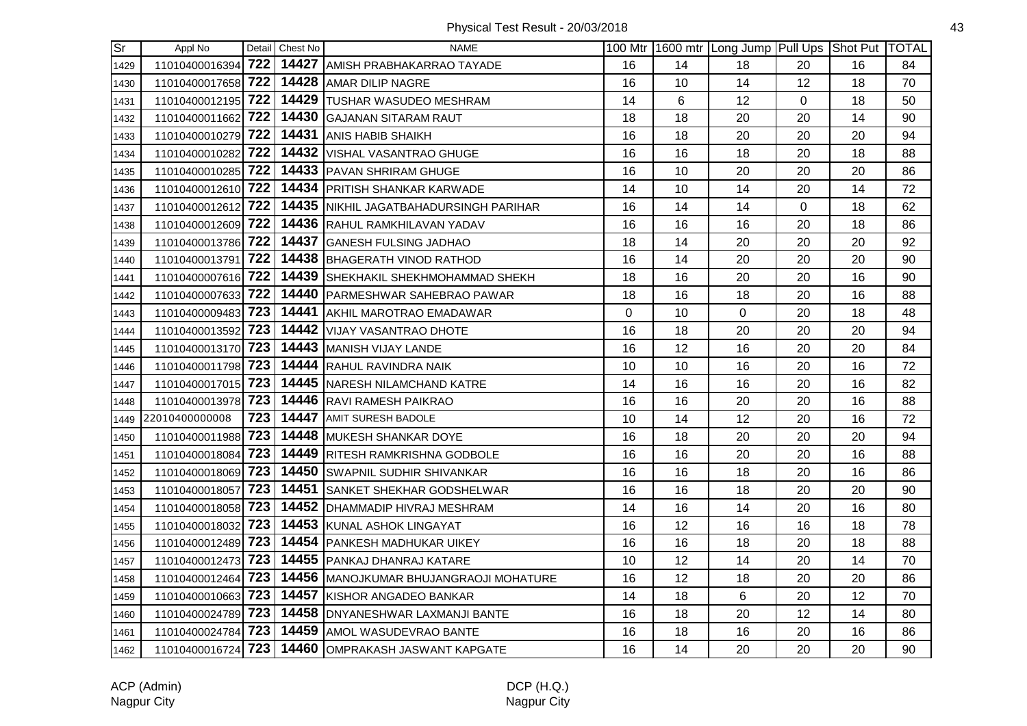| $\overline{\text{Sr}}$ | Appl No            |     | Detail Chest No | <b>NAME</b>                                        |    |    | 100 Mtr   1600 mtr   Long Jump   Pull Ups   Shot Put   TOTAL |                |    |    |
|------------------------|--------------------|-----|-----------------|----------------------------------------------------|----|----|--------------------------------------------------------------|----------------|----|----|
| 1429                   | 11010400016394 722 |     |                 | 14427 AMISH PRABHAKARRAO TAYADE                    | 16 | 14 | 18                                                           | 20             | 16 | 84 |
| 1430                   | 11010400017658 722 |     |                 | 14428 AMAR DILIP NAGRE                             | 16 | 10 | 14                                                           | 12             | 18 | 70 |
| 1431                   | 11010400012195     | 722 |                 | 14429 TUSHAR WASUDEO MESHRAM                       | 14 | 6  | 12                                                           | $\overline{0}$ | 18 | 50 |
| 1432                   | 11010400011662 722 |     |                 | 14430 GAJANAN SITARAM RAUT                         | 18 | 18 | 20                                                           | 20             | 14 | 90 |
| 1433                   | 11010400010279 722 |     |                 | 14431 ANIS HABIB SHAIKH                            | 16 | 18 | 20                                                           | 20             | 20 | 94 |
| 1434                   | 11010400010282 722 |     |                 | 14432 VISHAL VASANTRAO GHUGE                       | 16 | 16 | 18                                                           | 20             | 18 | 88 |
| 1435                   | 11010400010285 722 |     |                 | 14433 PAVAN SHRIRAM GHUGE                          | 16 | 10 | 20                                                           | 20             | 20 | 86 |
| 1436                   | 11010400012610 722 |     |                 | 14434 PRITISH SHANKAR KARWADE                      | 14 | 10 | 14                                                           | 20             | 14 | 72 |
| 1437                   | 11010400012612     | 722 |                 | 14435 NIKHIL JAGATBAHADURSINGH PARIHAR             | 16 | 14 | 14                                                           | $\mathbf{0}$   | 18 | 62 |
| 1438                   | 11010400012609 722 |     |                 | 14436 RAHUL RAMKHILAVAN YADAV                      | 16 | 16 | 16                                                           | 20             | 18 | 86 |
| 1439                   | 11010400013786 722 |     |                 | 14437 GANESH FULSING JADHAO                        | 18 | 14 | 20                                                           | 20             | 20 | 92 |
| 1440                   | 11010400013791 722 |     |                 | 14438 BHAGERATH VINOD RATHOD                       | 16 | 14 | 20                                                           | 20             | 20 | 90 |
| 1441                   | 11010400007616 722 |     |                 | 14439 SHEKHAKIL SHEKHMOHAMMAD SHEKH                | 18 | 16 | 20                                                           | 20             | 16 | 90 |
| 1442                   | 11010400007633 722 |     |                 | 14440 PARMESHWAR SAHEBRAO PAWAR                    | 18 | 16 | 18                                                           | 20             | 16 | 88 |
| 1443                   | 11010400009483 723 |     |                 | 14441 AKHIL MAROTRAO EMADAWAR                      | 0  | 10 | $\mathbf 0$                                                  | 20             | 18 | 48 |
| 1444                   | 11010400013592 723 |     |                 | 14442 VIJAY VASANTRAO DHOTE                        | 16 | 18 | 20                                                           | 20             | 20 | 94 |
| 1445                   | 11010400013170 723 |     |                 | 14443 MANISH VIJAY LANDE                           | 16 | 12 | 16                                                           | 20             | 20 | 84 |
| 1446                   | 11010400011798 723 |     |                 | 14444 RAHUL RAVINDRA NAIK                          | 10 | 10 | 16                                                           | 20             | 16 | 72 |
| 1447                   | 11010400017015 723 |     |                 | 14445 NARESH NILAMCHAND KATRE                      | 14 | 16 | 16                                                           | 20             | 16 | 82 |
| 1448                   | 11010400013978     | 723 |                 | 14446 RAVI RAMESH PAIKRAO                          | 16 | 16 | 20                                                           | 20             | 16 | 88 |
| 1449                   | 22010400000008     | 723 |                 | <b>14447 AMIT SURESH BADOLE</b>                    | 10 | 14 | 12                                                           | 20             | 16 | 72 |
| 1450                   | 11010400011988 723 |     |                 | 14448 MUKESH SHANKAR DOYE                          | 16 | 18 | 20                                                           | 20             | 20 | 94 |
| 1451                   | 11010400018084 723 |     |                 | 14449 RITESH RAMKRISHNA GODBOLE                    | 16 | 16 | 20                                                           | 20             | 16 | 88 |
| 1452                   | 11010400018069 723 |     |                 | 14450 SWAPNIL SUDHIR SHIVANKAR                     | 16 | 16 | 18                                                           | 20             | 16 | 86 |
| 1453                   | 11010400018057     | 723 |                 | 14451 SANKET SHEKHAR GODSHELWAR                    | 16 | 16 | 18                                                           | 20             | 20 | 90 |
| 1454                   | 11010400018058 723 |     |                 | 14452   DHAMMADIP HIVRAJ MESHRAM                   | 14 | 16 | 14                                                           | 20             | 16 | 80 |
| 1455                   | 11010400018032 723 |     |                 | 14453 KUNAL ASHOK LINGAYAT                         | 16 | 12 | 16                                                           | 16             | 18 | 78 |
| 1456                   | 11010400012489 723 |     |                 | 14454 PANKESH MADHUKAR UIKEY                       | 16 | 16 | 18                                                           | 20             | 18 | 88 |
| 1457                   | 11010400012473 723 |     |                 | 14455   PANKAJ DHANRAJ KATARE                      | 10 | 12 | 14                                                           | 20             | 14 | 70 |
| 1458                   | 11010400012464 723 |     |                 | 14456 MANOJKUMAR BHUJANGRAOJI MOHATURE             | 16 | 12 | 18                                                           | 20             | 20 | 86 |
| 1459                   | 11010400010663 723 |     |                 | 14457 KISHOR ANGADEO BANKAR                        | 14 | 18 | 6                                                            | 20             | 12 | 70 |
| 1460                   | 11010400024789 723 |     |                 | 14458 DNYANESHWAR LAXMANJI BANTE                   | 16 | 18 | 20                                                           | 12             | 14 | 80 |
| 1461                   | 11010400024784 723 |     |                 | 14459 AMOL WASUDEVRAO BANTE                        | 16 | 18 | 16                                                           | 20             | 16 | 86 |
| 1462                   |                    |     |                 | 11010400016724 723 14460 OMPRAKASH JASWANT KAPGATE | 16 | 14 | 20                                                           | 20             | 20 | 90 |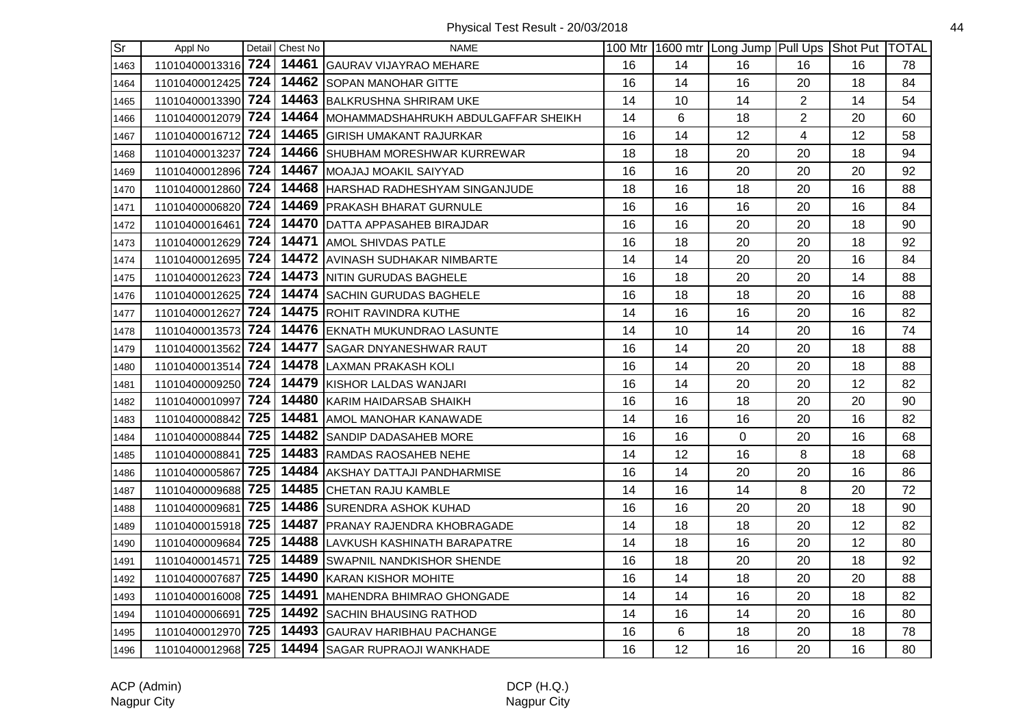| $\overline{\text{Sr}}$ | Appl No            |     | Detail Chest No | <b>NAME</b>                                 |    |    | 100 Mtr 1600 mtr Long Jump Pull Ups Shot Put TOTAL |                |    |    |
|------------------------|--------------------|-----|-----------------|---------------------------------------------|----|----|----------------------------------------------------|----------------|----|----|
| 1463                   | 11010400013316 724 |     |                 | 14461 GAURAV VIJAYRAO MEHARE                | 16 | 14 | 16                                                 | 16             | 16 | 78 |
| 1464                   | 11010400012425     | 724 |                 | 14462 SOPAN MANOHAR GITTE                   | 16 | 14 | 16                                                 | 20             | 18 | 84 |
| 1465                   | 11010400013390     | 724 |                 | 14463 BALKRUSHNA SHRIRAM UKE                | 14 | 10 | 14                                                 | $\overline{2}$ | 14 | 54 |
| 1466                   | 11010400012079 724 |     |                 | 14464   MOHAMMADSHAHRUKH ABDULGAFFAR SHEIKH | 14 | 6  | 18                                                 | $\overline{2}$ | 20 | 60 |
| 1467                   | 11010400016712 724 |     |                 | 14465 GIRISH UMAKANT RAJURKAR               | 16 | 14 | 12                                                 | $\overline{4}$ | 12 | 58 |
| 1468                   | 11010400013237 724 |     |                 | 14466 SHUBHAM MORESHWAR KURREWAR            | 18 | 18 | 20                                                 | 20             | 18 | 94 |
| 1469                   | 11010400012896 724 |     |                 | 14467 MOAJAJ MOAKIL SAIYYAD                 | 16 | 16 | 20                                                 | 20             | 20 | 92 |
| 1470                   | 11010400012860 724 |     |                 | 14468 HARSHAD RADHESHYAM SINGANJUDE         | 18 | 16 | 18                                                 | 20             | 16 | 88 |
| 1471                   | 11010400006820 724 |     |                 | 14469 PRAKASH BHARAT GURNULE                | 16 | 16 | 16                                                 | 20             | 16 | 84 |
| 1472                   | 11010400016461     | 724 |                 | 14470 DATTA APPASAHEB BIRAJDAR              | 16 | 16 | 20                                                 | 20             | 18 | 90 |
| 1473                   | 11010400012629 724 |     |                 | 14471 AMOL SHIVDAS PATLE                    | 16 | 18 | 20                                                 | 20             | 18 | 92 |
| 1474                   | 11010400012695 724 |     |                 | 14472 AVINASH SUDHAKAR NIMBARTE             | 14 | 14 | 20                                                 | 20             | 16 | 84 |
| 1475                   | 11010400012623 724 |     |                 | 14473 NITIN GURUDAS BAGHELE                 | 16 | 18 | 20                                                 | 20             | 14 | 88 |
| 1476                   | 11010400012625 724 |     |                 | 14474 SACHIN GURUDAS BAGHELE                | 16 | 18 | 18                                                 | 20             | 16 | 88 |
| 1477                   | 11010400012627 724 |     |                 | 14475 ROHIT RAVINDRA KUTHE                  | 14 | 16 | 16                                                 | 20             | 16 | 82 |
| 1478                   | 11010400013573 724 |     |                 | 14476 EKNATH MUKUNDRAO LASUNTE              | 14 | 10 | 14                                                 | 20             | 16 | 74 |
| 1479                   | 11010400013562 724 |     |                 | 14477 SAGAR DNYANESHWAR RAUT                | 16 | 14 | 20                                                 | 20             | 18 | 88 |
| 1480                   | 11010400013514 724 |     |                 | 14478 LAXMAN PRAKASH KOLI                   | 16 | 14 | 20                                                 | 20             | 18 | 88 |
| 1481                   | 11010400009250 724 |     |                 | 14479 KISHOR LALDAS WANJARI                 | 16 | 14 | 20                                                 | 20             | 12 | 82 |
| 1482                   | 11010400010997 724 |     |                 | 14480 KARIM HAIDARSAB SHAIKH                | 16 | 16 | 18                                                 | 20             | 20 | 90 |
| 1483                   | 11010400008842 725 |     |                 | 14481 AMOL MANOHAR KANAWADE                 | 14 | 16 | 16                                                 | 20             | 16 | 82 |
| 1484                   | 11010400008844 725 |     |                 | 14482 SANDIP DADASAHEB MORE                 | 16 | 16 | $\mathbf 0$                                        | 20             | 16 | 68 |
| 1485                   | 11010400008841 725 |     |                 | 14483 RAMDAS RAOSAHEB NEHE                  | 14 | 12 | 16                                                 | 8              | 18 | 68 |
| 1486                   | 11010400005867     | 725 | 14484           | <b>AKSHAY DATTAJI PANDHARMISE</b>           | 16 | 14 | 20                                                 | 20             | 16 | 86 |
| 1487                   | 11010400009688 725 |     |                 | 14485 CHETAN RAJU KAMBLE                    | 14 | 16 | 14                                                 | 8              | 20 | 72 |
| 1488                   | 11010400009681 725 |     |                 | 14486 SURENDRA ASHOK KUHAD                  | 16 | 16 | 20                                                 | 20             | 18 | 90 |
| 1489                   | 11010400015918 725 |     |                 | 14487 PRANAY RAJENDRA KHOBRAGADE            | 14 | 18 | 18                                                 | 20             | 12 | 82 |
| 1490                   | 11010400009684 725 |     |                 | 14488 LAVKUSH KASHINATH BARAPATRE           | 14 | 18 | 16                                                 | 20             | 12 | 80 |
| 1491                   | 11010400014571     | 725 |                 | 14489 SWAPNIL NANDKISHOR SHENDE             | 16 | 18 | 20                                                 | 20             | 18 | 92 |
| 1492                   | 11010400007687 725 |     |                 | 14490 KARAN KISHOR MOHITE                   | 16 | 14 | 18                                                 | 20             | 20 | 88 |
| 1493                   | 11010400016008 725 |     |                 | 14491   MAHENDRA BHIMRAO GHONGADE           | 14 | 14 | 16                                                 | 20             | 18 | 82 |
| 1494                   | 11010400006691     | 725 |                 | 14492 SACHIN BHAUSING RATHOD                | 14 | 16 | 14                                                 | 20             | 16 | 80 |
| 1495                   | 11010400012970 725 |     |                 | 14493 GAURAV HARIBHAU PACHANGE              | 16 | 6  | 18                                                 | 20             | 18 | 78 |
| 1496                   | 11010400012968 725 |     |                 | 14494 SAGAR RUPRAOJI WANKHADE               | 16 | 12 | 16                                                 | 20             | 16 | 80 |